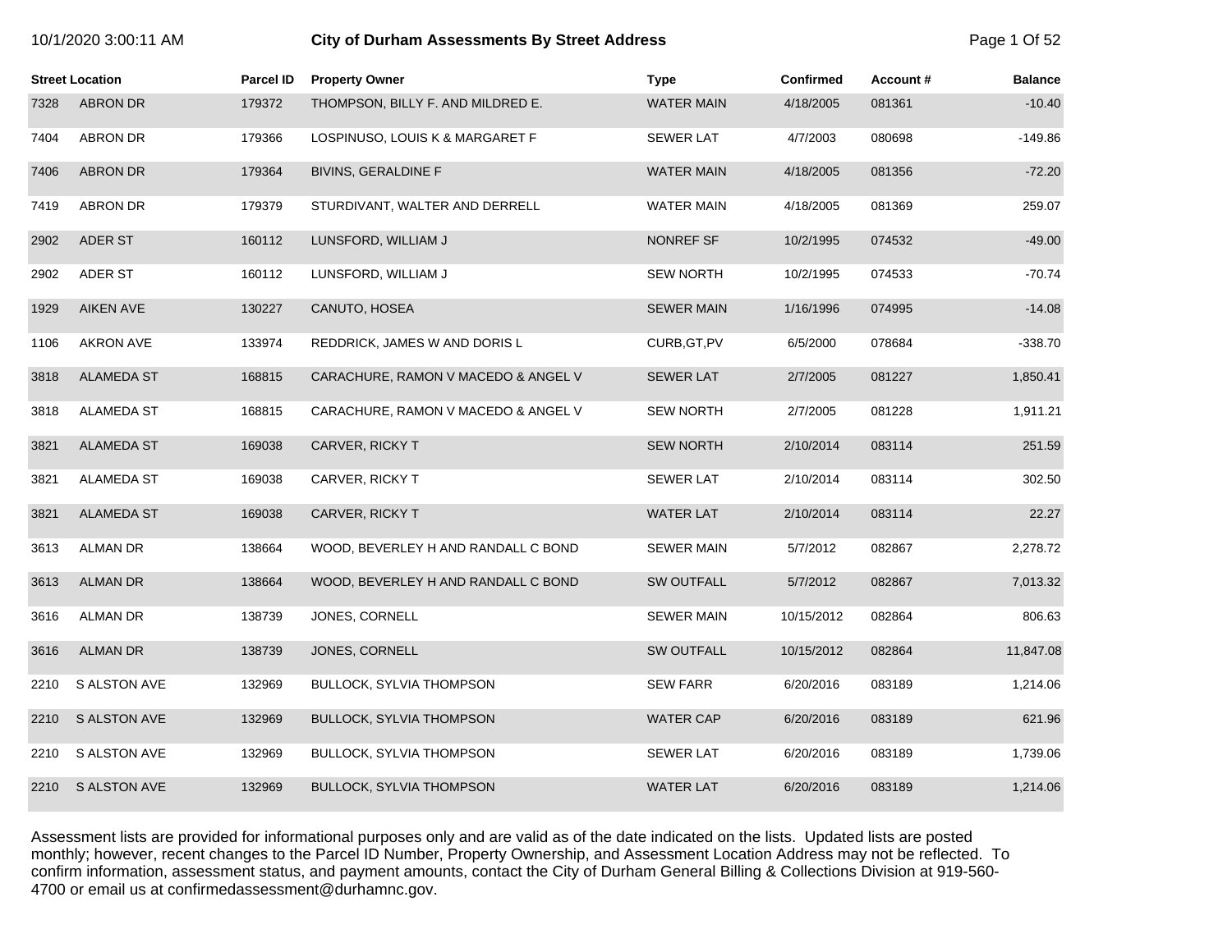| 10/1/2020 3:00:11 AM |  |  |
|----------------------|--|--|
|----------------------|--|--|

# **10.12020 3:00:1200 City of Durham Assessments By Street Address** Page 1 Of 52

|      | <b>Street Location</b> | <b>Parcel ID</b> | <b>Property Owner</b>               | <b>Type</b>       | <b>Confirmed</b> | Account# | <b>Balance</b> |
|------|------------------------|------------------|-------------------------------------|-------------------|------------------|----------|----------------|
| 7328 | <b>ABRON DR</b>        | 179372           | THOMPSON, BILLY F. AND MILDRED E.   | <b>WATER MAIN</b> | 4/18/2005        | 081361   | $-10.40$       |
| 7404 | <b>ABRON DR</b>        | 179366           | LOSPINUSO, LOUIS K & MARGARET F     | <b>SEWER LAT</b>  | 4/7/2003         | 080698   | $-149.86$      |
| 7406 | <b>ABRON DR</b>        | 179364           | <b>BIVINS, GERALDINE F</b>          | <b>WATER MAIN</b> | 4/18/2005        | 081356   | $-72.20$       |
| 7419 | <b>ABRON DR</b>        | 179379           | STURDIVANT, WALTER AND DERRELL      | WATER MAIN        | 4/18/2005        | 081369   | 259.07         |
| 2902 | ADER ST                | 160112           | LUNSFORD, WILLIAM J                 | NONREF SF         | 10/2/1995        | 074532   | $-49.00$       |
| 2902 | ADER ST                | 160112           | LUNSFORD, WILLIAM J                 | <b>SEW NORTH</b>  | 10/2/1995        | 074533   | $-70.74$       |
| 1929 | <b>AIKEN AVE</b>       | 130227           | CANUTO, HOSEA                       | <b>SEWER MAIN</b> | 1/16/1996        | 074995   | $-14.08$       |
| 1106 | AKRON AVE              | 133974           | REDDRICK, JAMES W AND DORIS L       | CURB, GT, PV      | 6/5/2000         | 078684   | $-338.70$      |
| 3818 | <b>ALAMEDA ST</b>      | 168815           | CARACHURE, RAMON V MACEDO & ANGEL V | <b>SEWER LAT</b>  | 2/7/2005         | 081227   | 1,850.41       |
| 3818 | <b>ALAMEDA ST</b>      | 168815           | CARACHURE, RAMON V MACEDO & ANGEL V | <b>SEW NORTH</b>  | 2/7/2005         | 081228   | 1,911.21       |
| 3821 | <b>ALAMEDA ST</b>      | 169038           | CARVER, RICKY T                     | <b>SEW NORTH</b>  | 2/10/2014        | 083114   | 251.59         |
| 3821 | ALAMEDA ST             | 169038           | CARVER, RICKY T                     | <b>SEWER LAT</b>  | 2/10/2014        | 083114   | 302.50         |
| 3821 | <b>ALAMEDA ST</b>      | 169038           | CARVER, RICKY T                     | <b>WATER LAT</b>  | 2/10/2014        | 083114   | 22.27          |
| 3613 | <b>ALMAN DR</b>        | 138664           | WOOD, BEVERLEY H AND RANDALL C BOND | <b>SEWER MAIN</b> | 5/7/2012         | 082867   | 2,278.72       |
| 3613 | <b>ALMAN DR</b>        | 138664           | WOOD, BEVERLEY H AND RANDALL C BOND | <b>SW OUTFALL</b> | 5/7/2012         | 082867   | 7,013.32       |
| 3616 | <b>ALMAN DR</b>        | 138739           | JONES, CORNELL                      | <b>SEWER MAIN</b> | 10/15/2012       | 082864   | 806.63         |
| 3616 | <b>ALMAN DR</b>        | 138739           | JONES, CORNELL                      | <b>SW OUTFALL</b> | 10/15/2012       | 082864   | 11,847.08      |
| 2210 | S ALSTON AVE           | 132969           | <b>BULLOCK, SYLVIA THOMPSON</b>     | <b>SEW FARR</b>   | 6/20/2016        | 083189   | 1,214.06       |
| 2210 | <b>S ALSTON AVE</b>    | 132969           | <b>BULLOCK, SYLVIA THOMPSON</b>     | WATER CAP         | 6/20/2016        | 083189   | 621.96         |
| 2210 | S ALSTON AVE           | 132969           | <b>BULLOCK, SYLVIA THOMPSON</b>     | <b>SEWER LAT</b>  | 6/20/2016        | 083189   | 1,739.06       |
| 2210 | <b>S ALSTON AVE</b>    | 132969           | <b>BULLOCK, SYLVIA THOMPSON</b>     | <b>WATER LAT</b>  | 6/20/2016        | 083189   | 1,214.06       |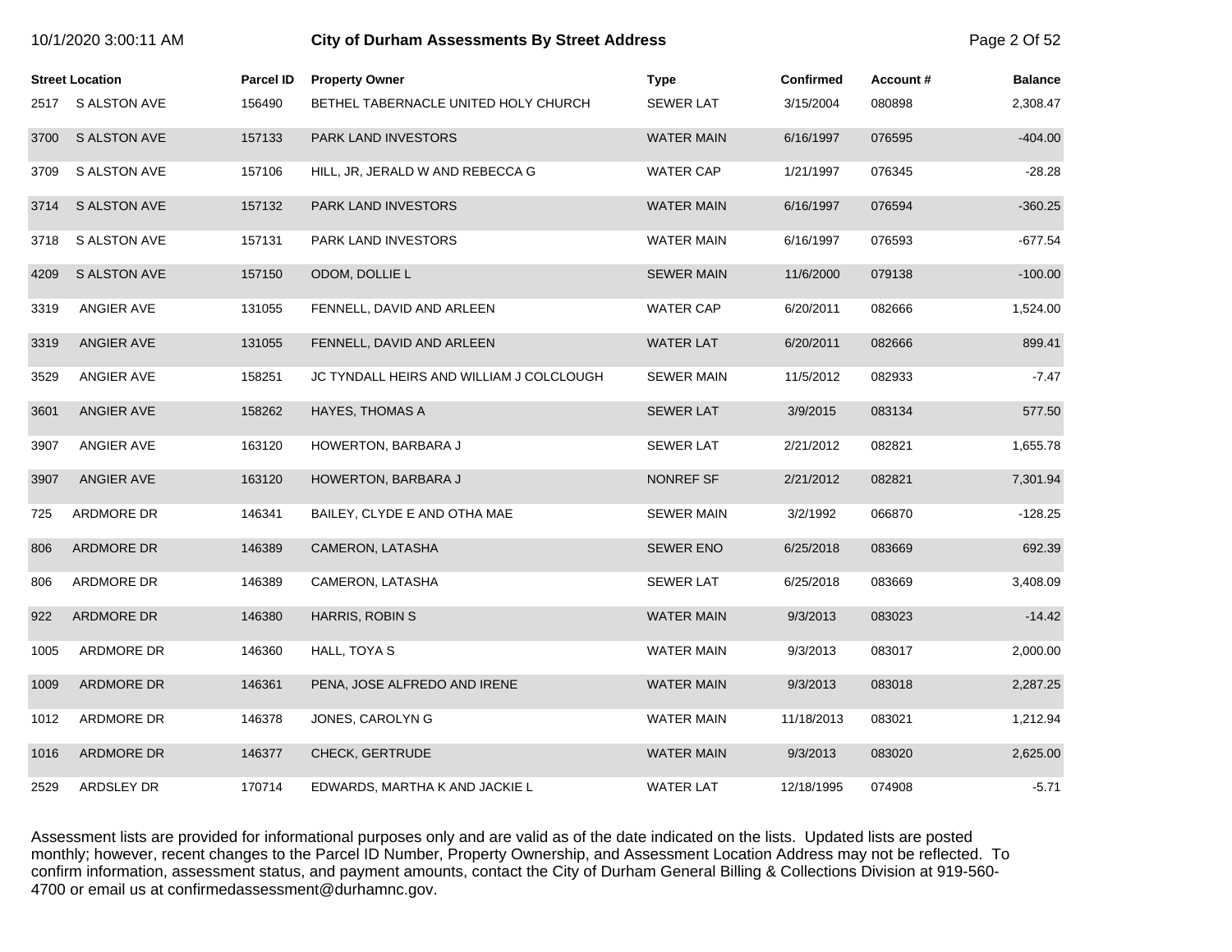|      | <b>Street Location</b> | <b>Parcel ID</b> | <b>Property Owner</b>                    | <b>Type</b>       | <b>Confirmed</b> | Account# | <b>Balance</b> |
|------|------------------------|------------------|------------------------------------------|-------------------|------------------|----------|----------------|
| 2517 | S ALSTON AVE           | 156490           | BETHEL TABERNACLE UNITED HOLY CHURCH     | <b>SEWER LAT</b>  | 3/15/2004        | 080898   | 2,308.47       |
| 3700 | S ALSTON AVE           | 157133           | PARK LAND INVESTORS                      | <b>WATER MAIN</b> | 6/16/1997        | 076595   | $-404.00$      |
| 3709 | S ALSTON AVE           | 157106           | HILL, JR, JERALD W AND REBECCA G         | <b>WATER CAP</b>  | 1/21/1997        | 076345   | $-28.28$       |
| 3714 | <b>S ALSTON AVE</b>    | 157132           | PARK LAND INVESTORS                      | <b>WATER MAIN</b> | 6/16/1997        | 076594   | $-360.25$      |
| 3718 | S ALSTON AVE           | 157131           | PARK LAND INVESTORS                      | <b>WATER MAIN</b> | 6/16/1997        | 076593   | $-677.54$      |
| 4209 | <b>S ALSTON AVE</b>    | 157150           | ODOM, DOLLIE L                           | <b>SEWER MAIN</b> | 11/6/2000        | 079138   | $-100.00$      |
| 3319 | ANGIER AVE             | 131055           | FENNELL, DAVID AND ARLEEN                | <b>WATER CAP</b>  | 6/20/2011        | 082666   | 1,524.00       |
| 3319 | ANGIER AVE             | 131055           | FENNELL, DAVID AND ARLEEN                | <b>WATER LAT</b>  | 6/20/2011        | 082666   | 899.41         |
| 3529 | ANGIER AVE             | 158251           | JC TYNDALL HEIRS AND WILLIAM J COLCLOUGH | <b>SEWER MAIN</b> | 11/5/2012        | 082933   | $-7.47$        |
| 3601 | <b>ANGIER AVE</b>      | 158262           | <b>HAYES, THOMAS A</b>                   | <b>SEWER LAT</b>  | 3/9/2015         | 083134   | 577.50         |
| 3907 | ANGIER AVE             | 163120           | HOWERTON, BARBARA J                      | <b>SEWER LAT</b>  | 2/21/2012        | 082821   | 1,655.78       |
| 3907 | ANGIER AVE             | 163120           | HOWERTON, BARBARA J                      | NONREF SF         | 2/21/2012        | 082821   | 7,301.94       |
| 725  | ARDMORE DR             | 146341           | BAILEY, CLYDE E AND OTHA MAE             | <b>SEWER MAIN</b> | 3/2/1992         | 066870   | $-128.25$      |
| 806  | ARDMORE DR             | 146389           | CAMERON, LATASHA                         | <b>SEWER ENO</b>  | 6/25/2018        | 083669   | 692.39         |
| 806  | ARDMORE DR             | 146389           | CAMERON, LATASHA                         | <b>SEWER LAT</b>  | 6/25/2018        | 083669   | 3,408.09       |
| 922  | ARDMORE DR             | 146380           | HARRIS, ROBIN S                          | <b>WATER MAIN</b> | 9/3/2013         | 083023   | $-14.42$       |
| 1005 | ARDMORE DR             | 146360           | HALL, TOYA S                             | <b>WATER MAIN</b> | 9/3/2013         | 083017   | 2,000.00       |
| 1009 | ARDMORE DR             | 146361           | PENA, JOSE ALFREDO AND IRENE             | <b>WATER MAIN</b> | 9/3/2013         | 083018   | 2,287.25       |
| 1012 | ARDMORE DR             | 146378           | JONES, CAROLYN G                         | WATER MAIN        | 11/18/2013       | 083021   | 1,212.94       |
| 1016 | ARDMORE DR             | 146377           | <b>CHECK, GERTRUDE</b>                   | <b>WATER MAIN</b> | 9/3/2013         | 083020   | 2,625.00       |
| 2529 | ARDSLEY DR             | 170714           | EDWARDS, MARTHA K AND JACKIE L           | <b>WATER LAT</b>  | 12/18/1995       | 074908   | $-5.71$        |

10/1/2020 3:00:11 AM **City of Durham Assessments By Street Address** Page 2 Of 52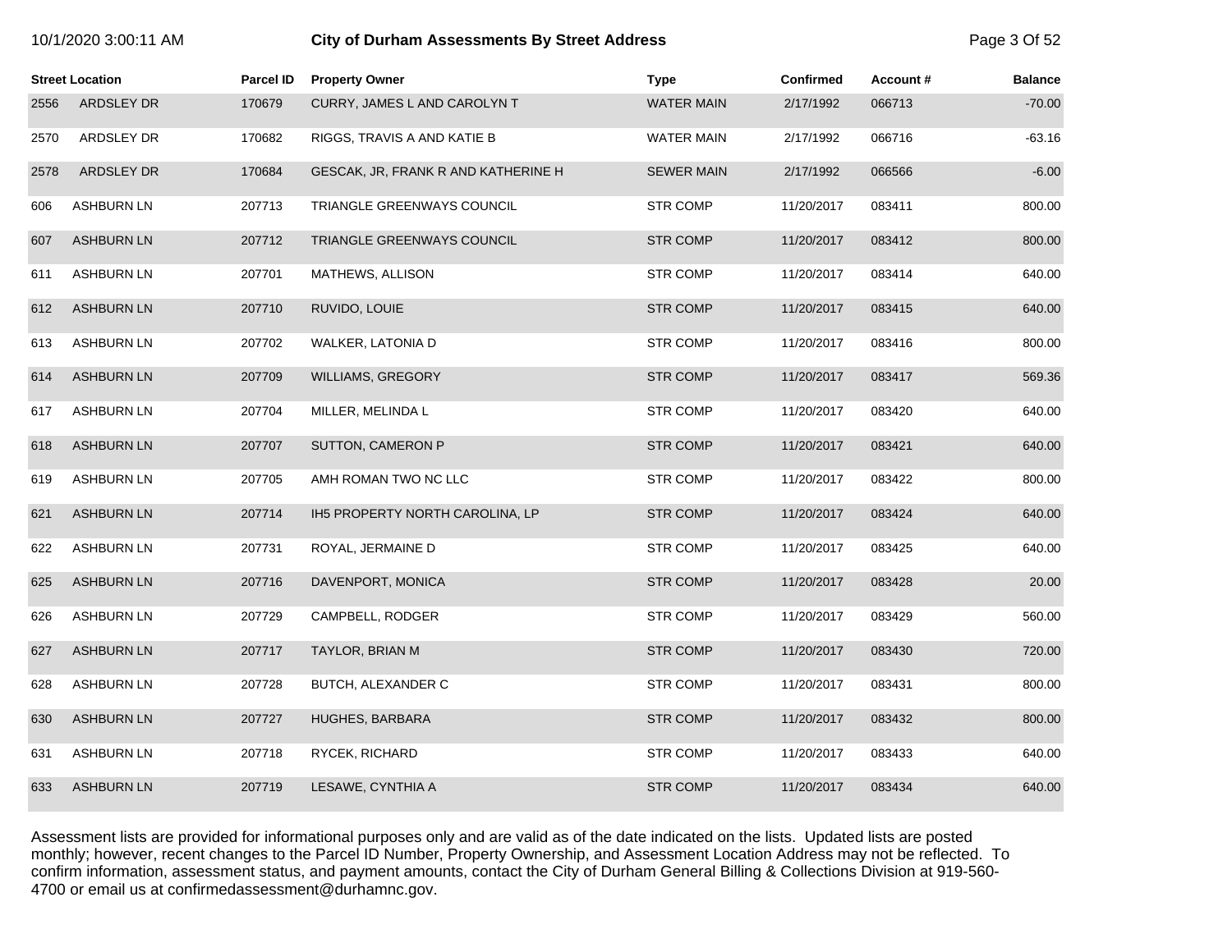| 10/1/2020 3:00:11 AM |  |  |
|----------------------|--|--|
|----------------------|--|--|

# 10/1/2020 3:00:11 AM **City of Durham Assessments By Street Address** Page 3 Of 52

|      | <b>Street Location</b> | Parcel ID | <b>Property Owner</b>               | <b>Type</b>       | <b>Confirmed</b> | Account# | <b>Balance</b> |
|------|------------------------|-----------|-------------------------------------|-------------------|------------------|----------|----------------|
| 2556 | ARDSLEY DR             | 170679    | CURRY, JAMES L AND CAROLYN T        | <b>WATER MAIN</b> | 2/17/1992        | 066713   | $-70.00$       |
| 2570 | ARDSLEY DR             | 170682    | RIGGS, TRAVIS A AND KATIE B         | WATER MAIN        | 2/17/1992        | 066716   | $-63.16$       |
| 2578 | ARDSLEY DR             | 170684    | GESCAK, JR, FRANK R AND KATHERINE H | <b>SEWER MAIN</b> | 2/17/1992        | 066566   | $-6.00$        |
| 606  | <b>ASHBURN LN</b>      | 207713    | TRIANGLE GREENWAYS COUNCIL          | <b>STR COMP</b>   | 11/20/2017       | 083411   | 800.00         |
| 607  | <b>ASHBURN LN</b>      | 207712    | TRIANGLE GREENWAYS COUNCIL          | <b>STR COMP</b>   | 11/20/2017       | 083412   | 800.00         |
| 611  | <b>ASHBURN LN</b>      | 207701    | MATHEWS, ALLISON                    | <b>STR COMP</b>   | 11/20/2017       | 083414   | 640.00         |
| 612  | <b>ASHBURN LN</b>      | 207710    | RUVIDO, LOUIE                       | <b>STR COMP</b>   | 11/20/2017       | 083415   | 640.00         |
| 613  | <b>ASHBURN LN</b>      | 207702    | WALKER, LATONIA D                   | <b>STR COMP</b>   | 11/20/2017       | 083416   | 800.00         |
| 614  | <b>ASHBURN LN</b>      | 207709    | <b>WILLIAMS, GREGORY</b>            | <b>STR COMP</b>   | 11/20/2017       | 083417   | 569.36         |
| 617  | <b>ASHBURN LN</b>      | 207704    | MILLER, MELINDA L                   | <b>STR COMP</b>   | 11/20/2017       | 083420   | 640.00         |
| 618  | <b>ASHBURN LN</b>      | 207707    | SUTTON, CAMERON P                   | <b>STR COMP</b>   | 11/20/2017       | 083421   | 640.00         |
| 619  | <b>ASHBURN LN</b>      | 207705    | AMH ROMAN TWO NC LLC                | <b>STR COMP</b>   | 11/20/2017       | 083422   | 800.00         |
| 621  | <b>ASHBURN LN</b>      | 207714    | IH5 PROPERTY NORTH CAROLINA, LP     | <b>STR COMP</b>   | 11/20/2017       | 083424   | 640.00         |
| 622  | <b>ASHBURN LN</b>      | 207731    | ROYAL, JERMAINE D                   | <b>STR COMP</b>   | 11/20/2017       | 083425   | 640.00         |
| 625  | <b>ASHBURN LN</b>      | 207716    | DAVENPORT, MONICA                   | <b>STR COMP</b>   | 11/20/2017       | 083428   | 20.00          |
| 626  | <b>ASHBURN LN</b>      | 207729    | CAMPBELL, RODGER                    | <b>STR COMP</b>   | 11/20/2017       | 083429   | 560.00         |
| 627  | <b>ASHBURN LN</b>      | 207717    | TAYLOR, BRIAN M                     | <b>STR COMP</b>   | 11/20/2017       | 083430   | 720.00         |
| 628  | <b>ASHBURN LN</b>      | 207728    | BUTCH, ALEXANDER C                  | <b>STR COMP</b>   | 11/20/2017       | 083431   | 800.00         |
| 630  | <b>ASHBURN LN</b>      | 207727    | <b>HUGHES, BARBARA</b>              | <b>STR COMP</b>   | 11/20/2017       | 083432   | 800.00         |
| 631  | <b>ASHBURN LN</b>      | 207718    | RYCEK, RICHARD                      | <b>STR COMP</b>   | 11/20/2017       | 083433   | 640.00         |
| 633  | <b>ASHBURN LN</b>      | 207719    | LESAWE, CYNTHIA A                   | <b>STR COMP</b>   | 11/20/2017       | 083434   | 640.00         |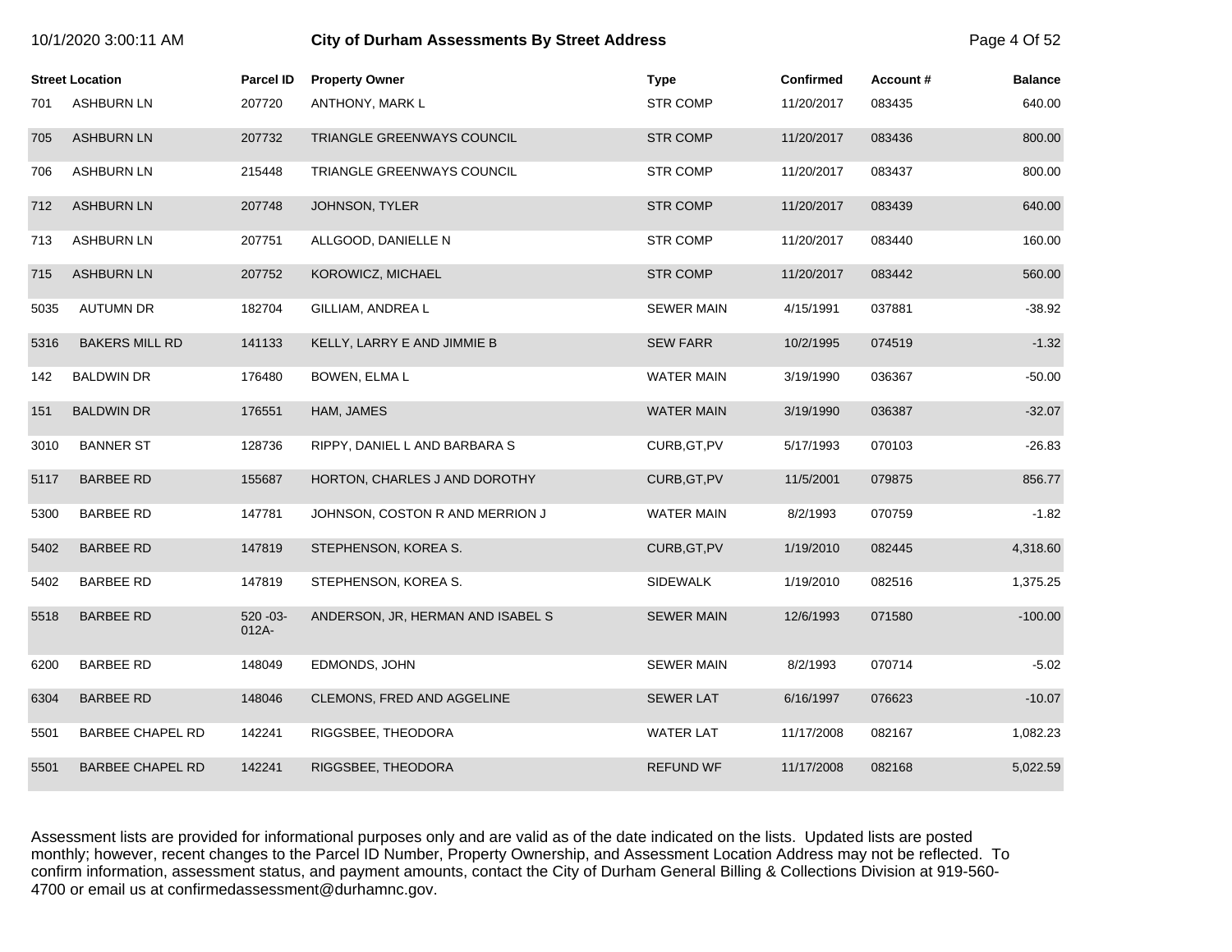|      |                         |                       |                                   |                   |                  |          | .              |
|------|-------------------------|-----------------------|-----------------------------------|-------------------|------------------|----------|----------------|
|      | <b>Street Location</b>  | <b>Parcel ID</b>      | <b>Property Owner</b>             | <b>Type</b>       | <b>Confirmed</b> | Account# | <b>Balance</b> |
| 701  | <b>ASHBURN LN</b>       | 207720                | ANTHONY, MARK L                   | <b>STR COMP</b>   | 11/20/2017       | 083435   | 640.00         |
| 705  | <b>ASHBURN LN</b>       | 207732                | TRIANGLE GREENWAYS COUNCIL        | <b>STR COMP</b>   | 11/20/2017       | 083436   | 800.00         |
| 706  | <b>ASHBURN LN</b>       | 215448                | TRIANGLE GREENWAYS COUNCIL        | <b>STR COMP</b>   | 11/20/2017       | 083437   | 800.00         |
| 712  | <b>ASHBURN LN</b>       | 207748                | JOHNSON, TYLER                    | <b>STR COMP</b>   | 11/20/2017       | 083439   | 640.00         |
| 713  | <b>ASHBURN LN</b>       | 207751                | ALLGOOD, DANIELLE N               | <b>STR COMP</b>   | 11/20/2017       | 083440   | 160.00         |
| 715  | <b>ASHBURN LN</b>       | 207752                | KOROWICZ, MICHAEL                 | STR COMP          | 11/20/2017       | 083442   | 560.00         |
| 5035 | <b>AUTUMN DR</b>        | 182704                | GILLIAM, ANDREA L                 | <b>SEWER MAIN</b> | 4/15/1991        | 037881   | $-38.92$       |
| 5316 | <b>BAKERS MILL RD</b>   | 141133                | KELLY, LARRY E AND JIMMIE B       | <b>SEW FARR</b>   | 10/2/1995        | 074519   | $-1.32$        |
| 142  | <b>BALDWIN DR</b>       | 176480                | BOWEN, ELMA L                     | <b>WATER MAIN</b> | 3/19/1990        | 036367   | $-50.00$       |
| 151  | <b>BALDWIN DR</b>       | 176551                | HAM, JAMES                        | <b>WATER MAIN</b> | 3/19/1990        | 036387   | $-32.07$       |
| 3010 | <b>BANNER ST</b>        | 128736                | RIPPY, DANIEL L AND BARBARA S     | CURB, GT, PV      | 5/17/1993        | 070103   | $-26.83$       |
| 5117 | <b>BARBEE RD</b>        | 155687                | HORTON, CHARLES J AND DOROTHY     | CURB, GT, PV      | 11/5/2001        | 079875   | 856.77         |
| 5300 | <b>BARBEE RD</b>        | 147781                | JOHNSON, COSTON R AND MERRION J   | <b>WATER MAIN</b> | 8/2/1993         | 070759   | $-1.82$        |
| 5402 | <b>BARBEE RD</b>        | 147819                | STEPHENSON, KOREA S.              | CURB, GT, PV      | 1/19/2010        | 082445   | 4,318.60       |
| 5402 | <b>BARBEE RD</b>        | 147819                | STEPHENSON, KOREA S.              | <b>SIDEWALK</b>   | 1/19/2010        | 082516   | 1,375.25       |
| 5518 | <b>BARBEE RD</b>        | $520 - 03 -$<br>012A- | ANDERSON, JR, HERMAN AND ISABEL S | <b>SEWER MAIN</b> | 12/6/1993        | 071580   | $-100.00$      |
| 6200 | <b>BARBEE RD</b>        | 148049                | EDMONDS, JOHN                     | <b>SEWER MAIN</b> | 8/2/1993         | 070714   | $-5.02$        |
| 6304 | <b>BARBEE RD</b>        | 148046                | CLEMONS, FRED AND AGGELINE        | <b>SEWER LAT</b>  | 6/16/1997        | 076623   | $-10.07$       |
| 5501 | <b>BARBEE CHAPEL RD</b> | 142241                | RIGGSBEE, THEODORA                | <b>WATER LAT</b>  | 11/17/2008       | 082167   | 1,082.23       |
| 5501 | BARBEE CHAPEL RD        | 142241                | RIGGSBEE, THEODORA                | <b>REFUND WF</b>  | 11/17/2008       | 082168   | 5,022.59       |

10/1/2020 3:00:11 AM **City of Durham Assessments By Street Address** Page 4 Of 52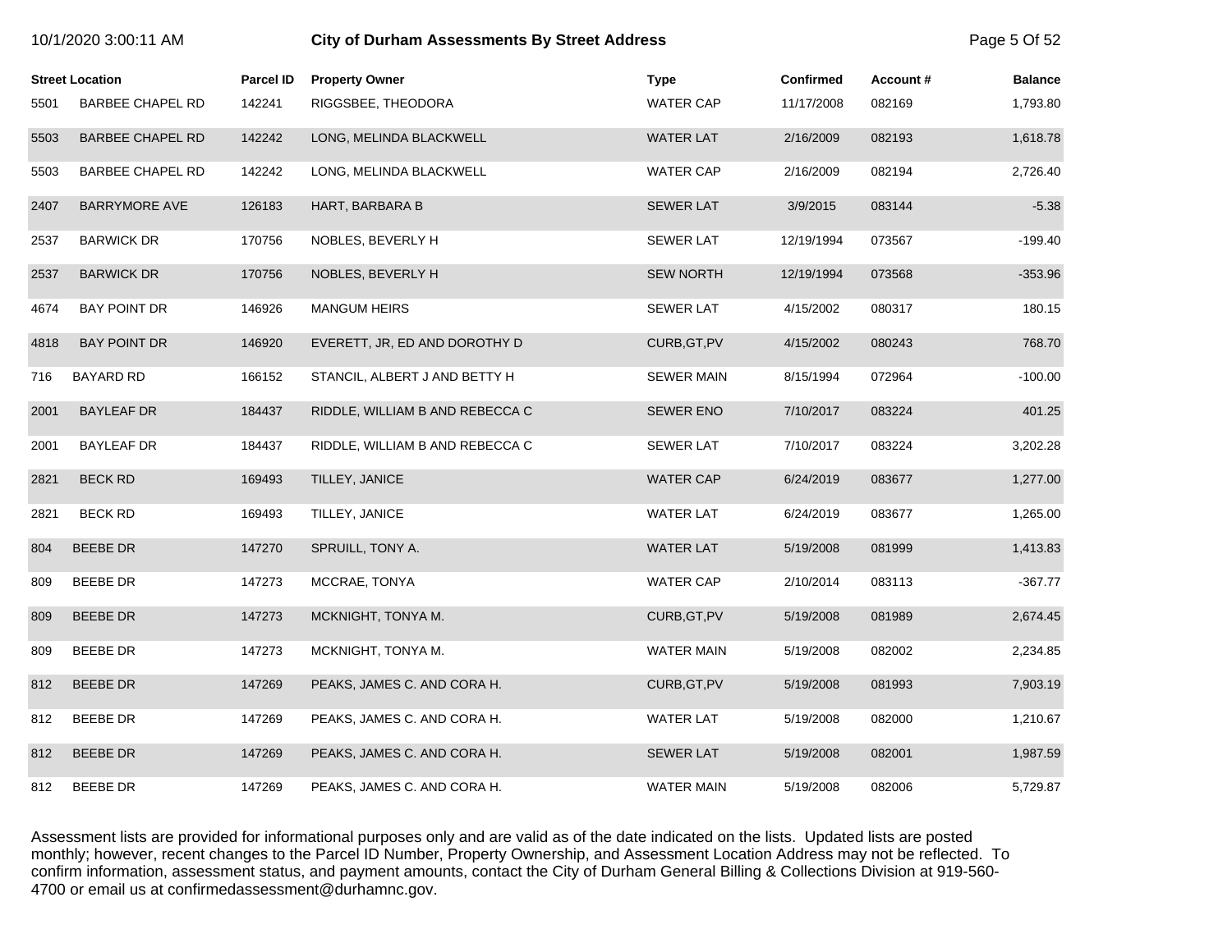|      | <b>Street Location</b>  | <b>Parcel ID</b> | <b>Property Owner</b>           | Type              | <b>Confirmed</b> | Account# | <b>Balance</b> |
|------|-------------------------|------------------|---------------------------------|-------------------|------------------|----------|----------------|
| 5501 | <b>BARBEE CHAPEL RD</b> | 142241           | RIGGSBEE, THEODORA              | <b>WATER CAP</b>  | 11/17/2008       | 082169   | 1,793.80       |
| 5503 | <b>BARBEE CHAPEL RD</b> | 142242           | LONG, MELINDA BLACKWELL         | <b>WATER LAT</b>  | 2/16/2009        | 082193   | 1,618.78       |
| 5503 | <b>BARBEE CHAPEL RD</b> | 142242           | LONG, MELINDA BLACKWELL         | <b>WATER CAP</b>  | 2/16/2009        | 082194   | 2,726.40       |
| 2407 | BARRYMORE AVE           | 126183           | HART, BARBARA B                 | <b>SEWER LAT</b>  | 3/9/2015         | 083144   | $-5.38$        |
| 2537 | <b>BARWICK DR</b>       | 170756           | NOBLES, BEVERLY H               | <b>SEWER LAT</b>  | 12/19/1994       | 073567   | $-199.40$      |
| 2537 | <b>BARWICK DR</b>       | 170756           | NOBLES, BEVERLY H               | <b>SEW NORTH</b>  | 12/19/1994       | 073568   | $-353.96$      |
| 4674 | <b>BAY POINT DR</b>     | 146926           | <b>MANGUM HEIRS</b>             | <b>SEWER LAT</b>  | 4/15/2002        | 080317   | 180.15         |
| 4818 | <b>BAY POINT DR</b>     | 146920           | EVERETT, JR, ED AND DOROTHY D   | CURB, GT, PV      | 4/15/2002        | 080243   | 768.70         |
| 716  | <b>BAYARD RD</b>        | 166152           | STANCIL, ALBERT J AND BETTY H   | <b>SEWER MAIN</b> | 8/15/1994        | 072964   | $-100.00$      |
| 2001 | <b>BAYLEAF DR</b>       | 184437           | RIDDLE, WILLIAM B AND REBECCA C | <b>SEWER ENO</b>  | 7/10/2017        | 083224   | 401.25         |
| 2001 | <b>BAYLEAF DR</b>       | 184437           | RIDDLE, WILLIAM B AND REBECCA C | <b>SEWER LAT</b>  | 7/10/2017        | 083224   | 3,202.28       |
| 2821 | <b>BECK RD</b>          | 169493           | TILLEY, JANICE                  | <b>WATER CAP</b>  | 6/24/2019        | 083677   | 1,277.00       |
| 2821 | <b>BECK RD</b>          | 169493           | TILLEY, JANICE                  | <b>WATER LAT</b>  | 6/24/2019        | 083677   | 1,265.00       |
| 804  | <b>BEEBE DR</b>         | 147270           | SPRUILL, TONY A.                | <b>WATER LAT</b>  | 5/19/2008        | 081999   | 1,413.83       |
| 809  | <b>BEEBE DR</b>         | 147273           | MCCRAE, TONYA                   | <b>WATER CAP</b>  | 2/10/2014        | 083113   | $-367.77$      |
| 809  | <b>BEEBE DR</b>         | 147273           | MCKNIGHT, TONYA M.              | CURB, GT, PV      | 5/19/2008        | 081989   | 2,674.45       |
| 809  | BEEBE DR                | 147273           | MCKNIGHT, TONYA M.              | WATER MAIN        | 5/19/2008        | 082002   | 2,234.85       |
| 812  | BEEBE DR                | 147269           | PEAKS, JAMES C. AND CORA H.     | CURB, GT, PV      | 5/19/2008        | 081993   | 7,903.19       |
| 812  | <b>BEEBE DR</b>         | 147269           | PEAKS, JAMES C. AND CORA H.     | <b>WATER LAT</b>  | 5/19/2008        | 082000   | 1,210.67       |
| 812  | <b>BEEBE DR</b>         | 147269           | PEAKS, JAMES C. AND CORA H.     | <b>SEWER LAT</b>  | 5/19/2008        | 082001   | 1,987.59       |
| 812  | <b>BEEBE DR</b>         | 147269           | PEAKS, JAMES C. AND CORA H.     | <b>WATER MAIN</b> | 5/19/2008        | 082006   | 5,729.87       |

10/1/2020 3:00:11 AM **City of Durham Assessments By Street Address** Page 5 Of 52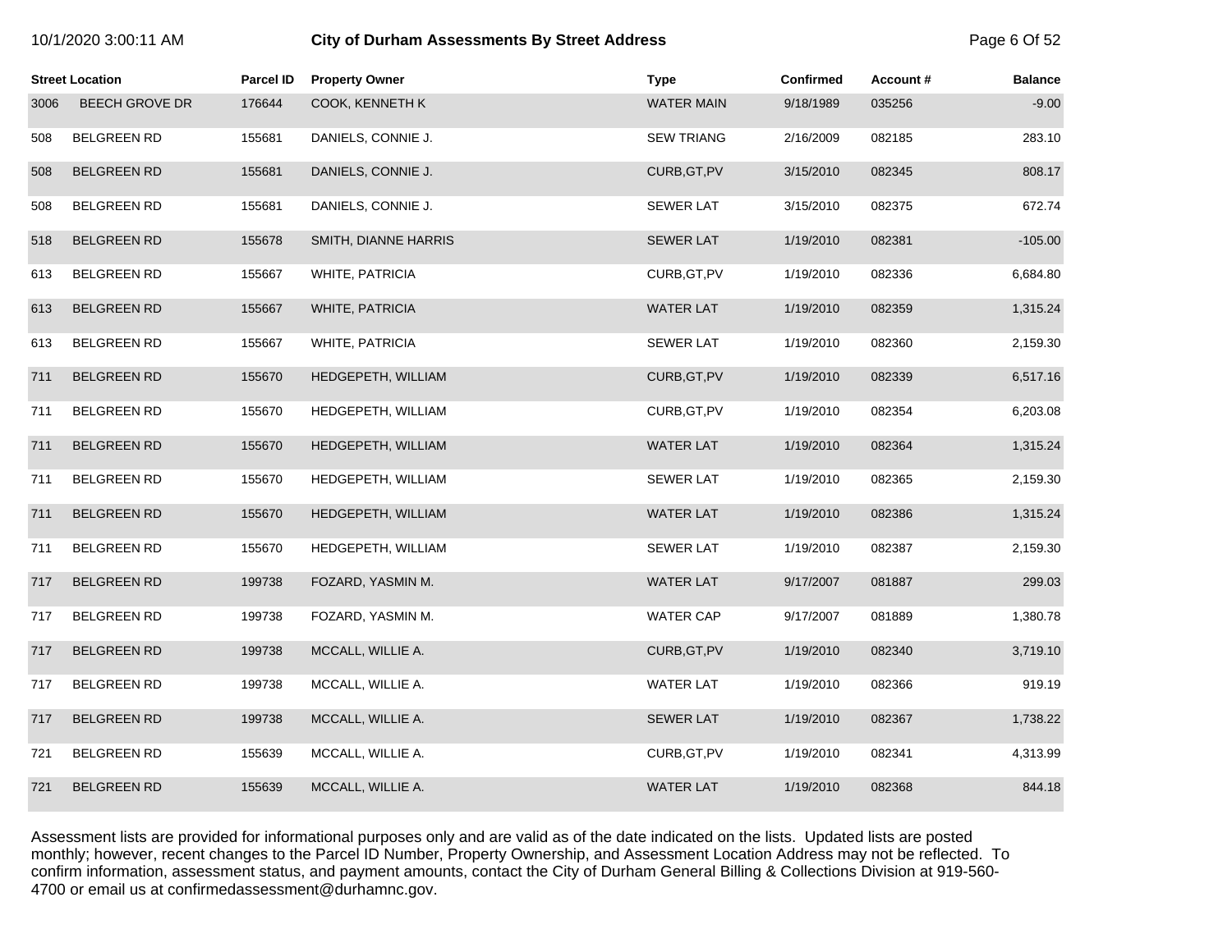| 10/1/2020 3:00:11 AM |  |  |  |
|----------------------|--|--|--|
|----------------------|--|--|--|

# **10.12020 3:00:11 City of Durham Assessments By Street Address** Page 6 Of 52

|      | <b>Street Location</b> | <b>Parcel ID</b> | <b>Property Owner</b> | <b>Type</b>       | <b>Confirmed</b> | Account# | <b>Balance</b> |
|------|------------------------|------------------|-----------------------|-------------------|------------------|----------|----------------|
| 3006 | <b>BEECH GROVE DR</b>  | 176644           | COOK, KENNETH K       | <b>WATER MAIN</b> | 9/18/1989        | 035256   | $-9.00$        |
| 508  | <b>BELGREEN RD</b>     | 155681           | DANIELS, CONNIE J.    | <b>SEW TRIANG</b> | 2/16/2009        | 082185   | 283.10         |
| 508  | <b>BELGREEN RD</b>     | 155681           | DANIELS, CONNIE J.    | CURB, GT, PV      | 3/15/2010        | 082345   | 808.17         |
| 508  | <b>BELGREEN RD</b>     | 155681           | DANIELS, CONNIE J.    | <b>SEWER LAT</b>  | 3/15/2010        | 082375   | 672.74         |
| 518  | <b>BELGREEN RD</b>     | 155678           | SMITH, DIANNE HARRIS  | <b>SEWER LAT</b>  | 1/19/2010        | 082381   | $-105.00$      |
| 613  | <b>BELGREEN RD</b>     | 155667           | WHITE, PATRICIA       | CURB, GT, PV      | 1/19/2010        | 082336   | 6,684.80       |
| 613  | <b>BELGREEN RD</b>     | 155667           | WHITE, PATRICIA       | <b>WATER LAT</b>  | 1/19/2010        | 082359   | 1,315.24       |
| 613  | <b>BELGREEN RD</b>     | 155667           | WHITE, PATRICIA       | <b>SEWER LAT</b>  | 1/19/2010        | 082360   | 2,159.30       |
| 711  | <b>BELGREEN RD</b>     | 155670           | HEDGEPETH, WILLIAM    | CURB, GT, PV      | 1/19/2010        | 082339   | 6,517.16       |
| 711  | <b>BELGREEN RD</b>     | 155670           | HEDGEPETH, WILLIAM    | CURB, GT, PV      | 1/19/2010        | 082354   | 6,203.08       |
| 711  | <b>BELGREEN RD</b>     | 155670           | HEDGEPETH, WILLIAM    | <b>WATER LAT</b>  | 1/19/2010        | 082364   | 1,315.24       |
| 711  | <b>BELGREEN RD</b>     | 155670           | HEDGEPETH, WILLIAM    | <b>SEWER LAT</b>  | 1/19/2010        | 082365   | 2,159.30       |
| 711  | <b>BELGREEN RD</b>     | 155670           | HEDGEPETH, WILLIAM    | <b>WATER LAT</b>  | 1/19/2010        | 082386   | 1,315.24       |
| 711  | <b>BELGREEN RD</b>     | 155670           | HEDGEPETH, WILLIAM    | <b>SEWER LAT</b>  | 1/19/2010        | 082387   | 2,159.30       |
| 717  | <b>BELGREEN RD</b>     | 199738           | FOZARD, YASMIN M.     | <b>WATER LAT</b>  | 9/17/2007        | 081887   | 299.03         |
| 717  | <b>BELGREEN RD</b>     | 199738           | FOZARD, YASMIN M.     | <b>WATER CAP</b>  | 9/17/2007        | 081889   | 1,380.78       |
| 717  | <b>BELGREEN RD</b>     | 199738           | MCCALL, WILLIE A.     | CURB, GT, PV      | 1/19/2010        | 082340   | 3,719.10       |
| 717  | <b>BELGREEN RD</b>     | 199738           | MCCALL, WILLIE A.     | <b>WATER LAT</b>  | 1/19/2010        | 082366   | 919.19         |
| 717  | <b>BELGREEN RD</b>     | 199738           | MCCALL, WILLIE A.     | <b>SEWER LAT</b>  | 1/19/2010        | 082367   | 1,738.22       |
| 721  | <b>BELGREEN RD</b>     | 155639           | MCCALL, WILLIE A.     | CURB, GT, PV      | 1/19/2010        | 082341   | 4,313.99       |
| 721  | <b>BELGREEN RD</b>     | 155639           | MCCALL, WILLIE A.     | <b>WATER LAT</b>  | 1/19/2010        | 082368   | 844.18         |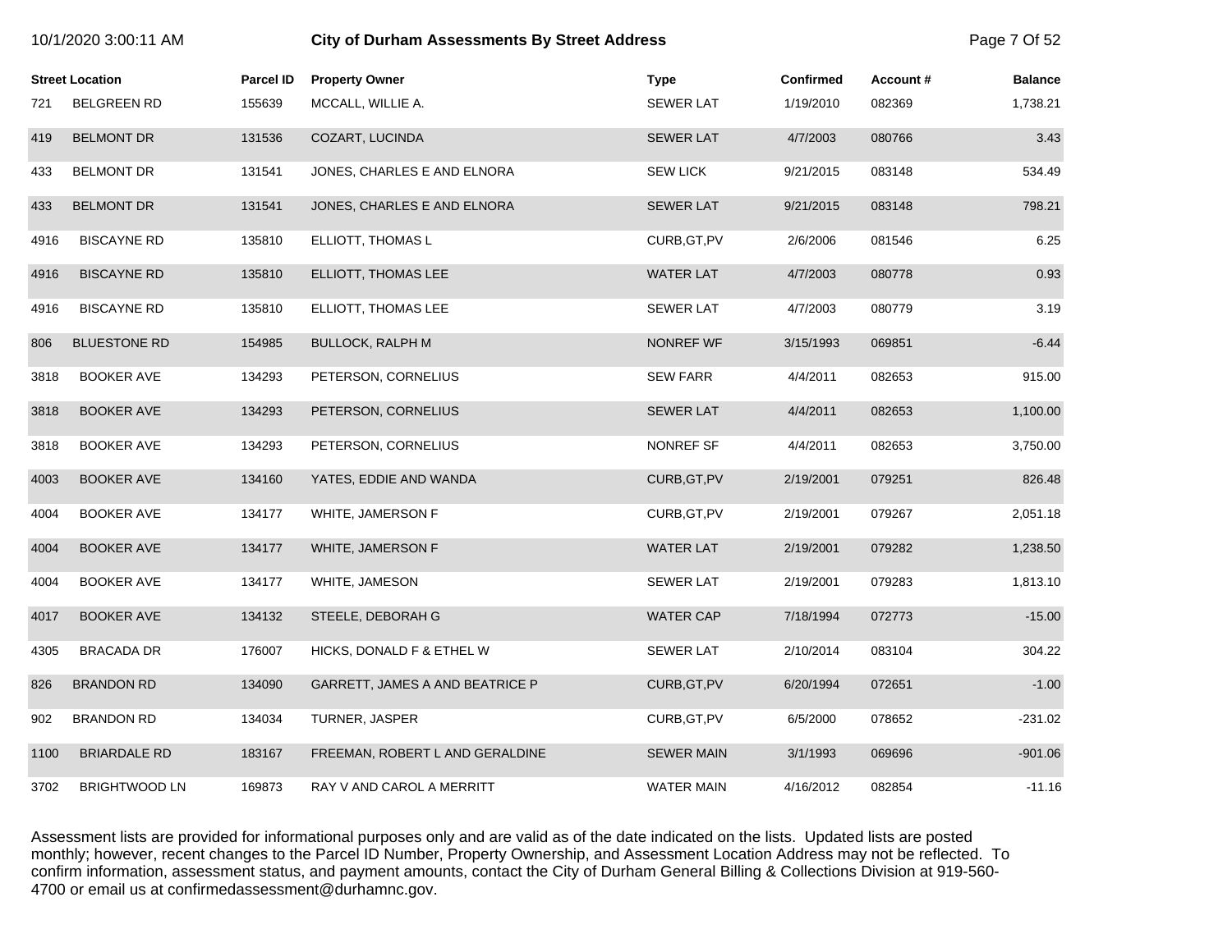|      | <b>Street Location</b> | <b>Parcel ID</b> | <b>Property Owner</b>           | <b>Type</b>       | <b>Confirmed</b> | Account# | <b>Balance</b> |
|------|------------------------|------------------|---------------------------------|-------------------|------------------|----------|----------------|
| 721  | <b>BELGREEN RD</b>     | 155639           | MCCALL, WILLIE A.               | <b>SEWER LAT</b>  | 1/19/2010        | 082369   | 1,738.21       |
| 419  | <b>BELMONT DR</b>      | 131536           | COZART, LUCINDA                 | <b>SEWER LAT</b>  | 4/7/2003         | 080766   | 3.43           |
| 433  | <b>BELMONT DR</b>      | 131541           | JONES, CHARLES E AND ELNORA     | <b>SEW LICK</b>   | 9/21/2015        | 083148   | 534.49         |
| 433  | <b>BELMONT DR</b>      | 131541           | JONES, CHARLES E AND ELNORA     | <b>SEWER LAT</b>  | 9/21/2015        | 083148   | 798.21         |
| 4916 | <b>BISCAYNE RD</b>     | 135810           | ELLIOTT, THOMAS L               | CURB, GT, PV      | 2/6/2006         | 081546   | 6.25           |
| 4916 | <b>BISCAYNE RD</b>     | 135810           | ELLIOTT, THOMAS LEE             | <b>WATER LAT</b>  | 4/7/2003         | 080778   | 0.93           |
| 4916 | <b>BISCAYNE RD</b>     | 135810           | ELLIOTT, THOMAS LEE             | <b>SEWER LAT</b>  | 4/7/2003         | 080779   | 3.19           |
| 806  | <b>BLUESTONE RD</b>    | 154985           | BULLOCK, RALPH M                | NONREF WF         | 3/15/1993        | 069851   | $-6.44$        |
| 3818 | <b>BOOKER AVE</b>      | 134293           | PETERSON, CORNELIUS             | <b>SEW FARR</b>   | 4/4/2011         | 082653   | 915.00         |
| 3818 | <b>BOOKER AVE</b>      | 134293           | PETERSON, CORNELIUS             | <b>SEWER LAT</b>  | 4/4/2011         | 082653   | 1,100.00       |
| 3818 | <b>BOOKER AVE</b>      | 134293           | PETERSON, CORNELIUS             | NONREF SF         | 4/4/2011         | 082653   | 3,750.00       |
| 4003 | <b>BOOKER AVE</b>      | 134160           | YATES, EDDIE AND WANDA          | CURB, GT, PV      | 2/19/2001        | 079251   | 826.48         |
| 4004 | <b>BOOKER AVE</b>      | 134177           | WHITE, JAMERSON F               | CURB, GT, PV      | 2/19/2001        | 079267   | 2,051.18       |
| 4004 | <b>BOOKER AVE</b>      | 134177           | WHITE, JAMERSON F               | <b>WATER LAT</b>  | 2/19/2001        | 079282   | 1,238.50       |
| 4004 | <b>BOOKER AVE</b>      | 134177           | WHITE, JAMESON                  | <b>SEWER LAT</b>  | 2/19/2001        | 079283   | 1,813.10       |
| 4017 | <b>BOOKER AVE</b>      | 134132           | STEELE, DEBORAH G               | <b>WATER CAP</b>  | 7/18/1994        | 072773   | $-15.00$       |
| 4305 | <b>BRACADA DR</b>      | 176007           | HICKS, DONALD F & ETHEL W       | <b>SEWER LAT</b>  | 2/10/2014        | 083104   | 304.22         |
| 826  | <b>BRANDON RD</b>      | 134090           | GARRETT, JAMES A AND BEATRICE P | CURB, GT, PV      | 6/20/1994        | 072651   | $-1.00$        |
| 902  | <b>BRANDON RD</b>      | 134034           | TURNER, JASPER                  | CURB, GT, PV      | 6/5/2000         | 078652   | $-231.02$      |
| 1100 | <b>BRIARDALE RD</b>    | 183167           | FREEMAN, ROBERT L AND GERALDINE | <b>SEWER MAIN</b> | 3/1/1993         | 069696   | $-901.06$      |
| 3702 | <b>BRIGHTWOOD LN</b>   | 169873           | RAY V AND CAROL A MERRITT       | <b>WATER MAIN</b> | 4/16/2012        | 082854   | $-11.16$       |

10/1/2020 3:00:11 AM **City of Durham Assessments By Street Address** Page 7 Of 52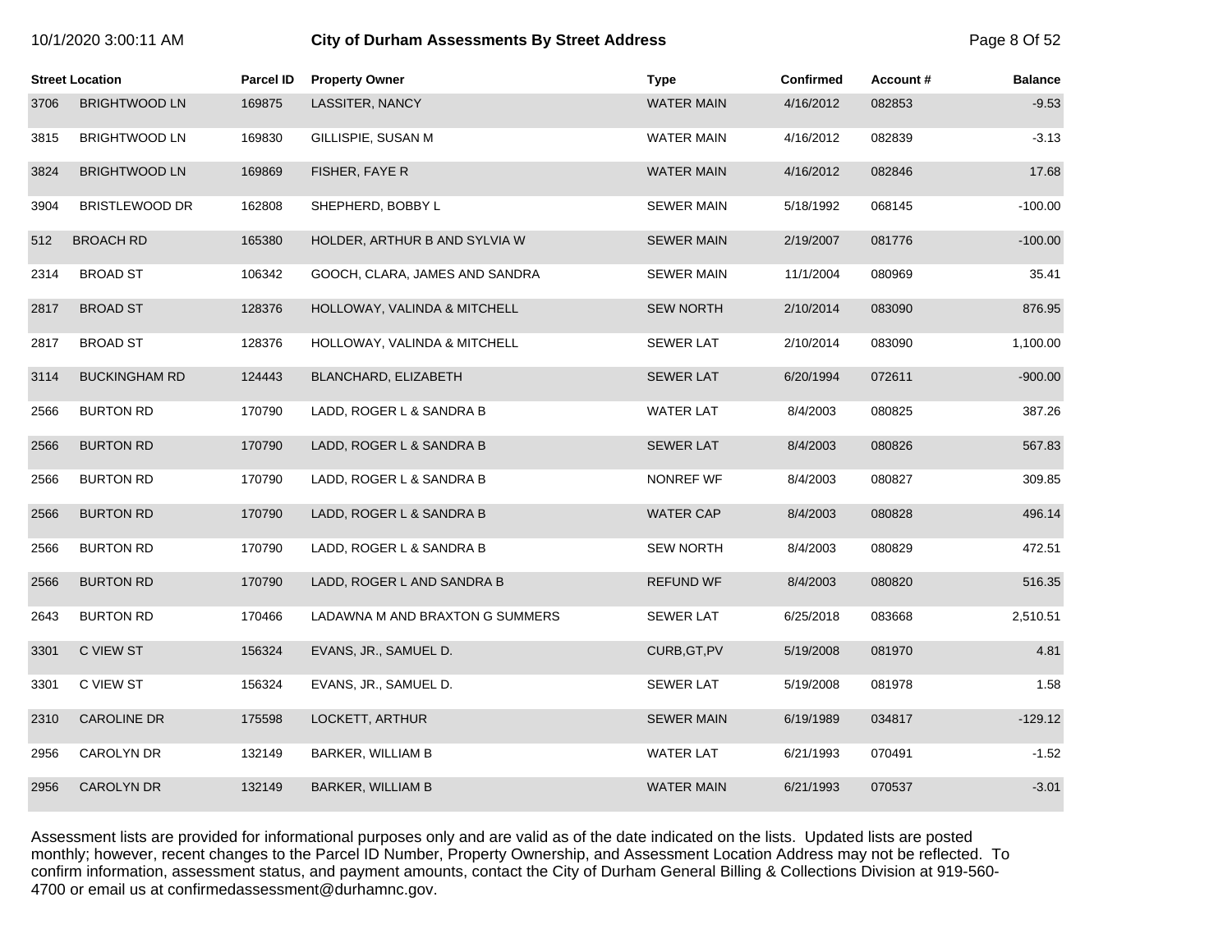|  |  | 10/1/2020 3:00:11 AM |  |
|--|--|----------------------|--|
|--|--|----------------------|--|

# **10.12020 3:00:11 City of Durham Assessments By Street Address** Page 8 Of 52

|      | <b>Street Location</b> | <b>Parcel ID</b> | <b>Property Owner</b>           | <b>Type</b>       | <b>Confirmed</b> | <b>Account #</b> | <b>Balance</b> |
|------|------------------------|------------------|---------------------------------|-------------------|------------------|------------------|----------------|
| 3706 | <b>BRIGHTWOOD LN</b>   | 169875           | LASSITER, NANCY                 | <b>WATER MAIN</b> | 4/16/2012        | 082853           | $-9.53$        |
| 3815 | <b>BRIGHTWOOD LN</b>   | 169830           | GILLISPIE, SUSAN M              | <b>WATER MAIN</b> | 4/16/2012        | 082839           | $-3.13$        |
| 3824 | <b>BRIGHTWOOD LN</b>   | 169869           | FISHER, FAYE R                  | <b>WATER MAIN</b> | 4/16/2012        | 082846           | 17.68          |
| 3904 | <b>BRISTLEWOOD DR</b>  | 162808           | SHEPHERD, BOBBY L               | <b>SEWER MAIN</b> | 5/18/1992        | 068145           | $-100.00$      |
| 512  | <b>BROACH RD</b>       | 165380           | HOLDER, ARTHUR B AND SYLVIA W   | <b>SEWER MAIN</b> | 2/19/2007        | 081776           | $-100.00$      |
| 2314 | <b>BROAD ST</b>        | 106342           | GOOCH, CLARA, JAMES AND SANDRA  | <b>SEWER MAIN</b> | 11/1/2004        | 080969           | 35.41          |
| 2817 | <b>BROAD ST</b>        | 128376           | HOLLOWAY, VALINDA & MITCHELL    | <b>SEW NORTH</b>  | 2/10/2014        | 083090           | 876.95         |
| 2817 | <b>BROAD ST</b>        | 128376           | HOLLOWAY, VALINDA & MITCHELL    | <b>SEWER LAT</b>  | 2/10/2014        | 083090           | 1,100.00       |
| 3114 | <b>BUCKINGHAM RD</b>   | 124443           | BLANCHARD, ELIZABETH            | <b>SEWER LAT</b>  | 6/20/1994        | 072611           | $-900.00$      |
| 2566 | <b>BURTON RD</b>       | 170790           | LADD, ROGER L & SANDRA B        | <b>WATER LAT</b>  | 8/4/2003         | 080825           | 387.26         |
| 2566 | <b>BURTON RD</b>       | 170790           | LADD, ROGER L & SANDRA B        | <b>SEWER LAT</b>  | 8/4/2003         | 080826           | 567.83         |
| 2566 | <b>BURTON RD</b>       | 170790           | LADD, ROGER L & SANDRA B        | NONREF WF         | 8/4/2003         | 080827           | 309.85         |
| 2566 | <b>BURTON RD</b>       | 170790           | LADD, ROGER L & SANDRA B        | <b>WATER CAP</b>  | 8/4/2003         | 080828           | 496.14         |
| 2566 | <b>BURTON RD</b>       | 170790           | LADD, ROGER L & SANDRA B        | <b>SEW NORTH</b>  | 8/4/2003         | 080829           | 472.51         |
| 2566 | <b>BURTON RD</b>       | 170790           | LADD, ROGER L AND SANDRA B      | <b>REFUND WF</b>  | 8/4/2003         | 080820           | 516.35         |
| 2643 | <b>BURTON RD</b>       | 170466           | LADAWNA M AND BRAXTON G SUMMERS | <b>SEWER LAT</b>  | 6/25/2018        | 083668           | 2,510.51       |
| 3301 | C VIEW ST              | 156324           | EVANS, JR., SAMUEL D.           | CURB, GT, PV      | 5/19/2008        | 081970           | 4.81           |
| 3301 | C VIEW ST              | 156324           | EVANS, JR., SAMUEL D.           | <b>SEWER LAT</b>  | 5/19/2008        | 081978           | 1.58           |
| 2310 | <b>CAROLINE DR</b>     | 175598           | LOCKETT, ARTHUR                 | <b>SEWER MAIN</b> | 6/19/1989        | 034817           | $-129.12$      |
| 2956 | CAROLYN DR             | 132149           | BARKER, WILLIAM B               | <b>WATER LAT</b>  | 6/21/1993        | 070491           | $-1.52$        |
| 2956 | <b>CAROLYN DR</b>      | 132149           | <b>BARKER, WILLIAM B</b>        | <b>WATER MAIN</b> | 6/21/1993        | 070537           | $-3.01$        |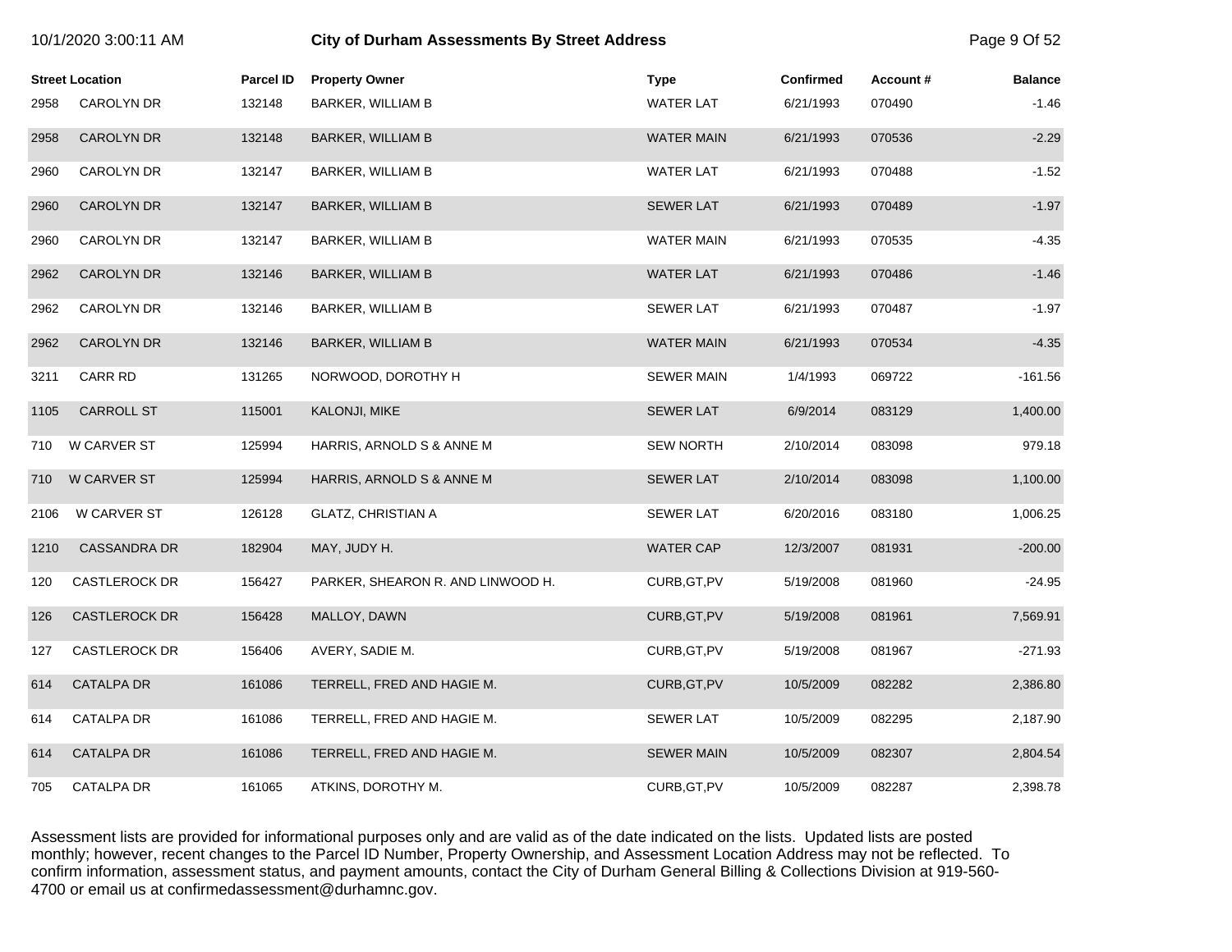|      | <b>Street Location</b> | <b>Parcel ID</b> | <b>Property Owner</b>             | <b>Type</b>       | Confirmed | Account# | <b>Balance</b> |
|------|------------------------|------------------|-----------------------------------|-------------------|-----------|----------|----------------|
| 2958 | CAROLYN DR             | 132148           | BARKER, WILLIAM B                 | <b>WATER LAT</b>  | 6/21/1993 | 070490   | $-1.46$        |
| 2958 | <b>CAROLYN DR</b>      | 132148           | <b>BARKER, WILLIAM B</b>          | <b>WATER MAIN</b> | 6/21/1993 | 070536   | $-2.29$        |
| 2960 | CAROLYN DR             | 132147           | BARKER, WILLIAM B                 | <b>WATER LAT</b>  | 6/21/1993 | 070488   | $-1.52$        |
| 2960 | <b>CAROLYN DR</b>      | 132147           | <b>BARKER, WILLIAM B</b>          | <b>SEWER LAT</b>  | 6/21/1993 | 070489   | $-1.97$        |
| 2960 | <b>CAROLYN DR</b>      | 132147           | BARKER, WILLIAM B                 | <b>WATER MAIN</b> | 6/21/1993 | 070535   | $-4.35$        |
| 2962 | <b>CAROLYN DR</b>      | 132146           | <b>BARKER, WILLIAM B</b>          | <b>WATER LAT</b>  | 6/21/1993 | 070486   | $-1.46$        |
| 2962 | CAROLYN DR             | 132146           | BARKER, WILLIAM B                 | <b>SEWER LAT</b>  | 6/21/1993 | 070487   | $-1.97$        |
| 2962 | <b>CAROLYN DR</b>      | 132146           | <b>BARKER, WILLIAM B</b>          | <b>WATER MAIN</b> | 6/21/1993 | 070534   | $-4.35$        |
| 3211 | CARR RD                | 131265           | NORWOOD, DOROTHY H                | <b>SEWER MAIN</b> | 1/4/1993  | 069722   | $-161.56$      |
| 1105 | <b>CARROLL ST</b>      | 115001           | KALONJI, MIKE                     | <b>SEWER LAT</b>  | 6/9/2014  | 083129   | 1,400.00       |
| 710  | W CARVER ST            | 125994           | HARRIS, ARNOLD S & ANNE M         | <b>SEW NORTH</b>  | 2/10/2014 | 083098   | 979.18         |
| 710  | W CARVER ST            | 125994           | HARRIS, ARNOLD S & ANNE M         | <b>SEWER LAT</b>  | 2/10/2014 | 083098   | 1,100.00       |
| 2106 | <b>W CARVER ST</b>     | 126128           | <b>GLATZ, CHRISTIAN A</b>         | <b>SEWER LAT</b>  | 6/20/2016 | 083180   | 1,006.25       |
| 1210 | <b>CASSANDRA DR</b>    | 182904           | MAY, JUDY H.                      | <b>WATER CAP</b>  | 12/3/2007 | 081931   | $-200.00$      |
| 120  | CASTLEROCK DR          | 156427           | PARKER, SHEARON R. AND LINWOOD H. | CURB, GT, PV      | 5/19/2008 | 081960   | $-24.95$       |
| 126  | <b>CASTLEROCK DR</b>   | 156428           | MALLOY, DAWN                      | CURB, GT, PV      | 5/19/2008 | 081961   | 7,569.91       |
| 127  | CASTLEROCK DR          | 156406           | AVERY, SADIE M.                   | CURB, GT, PV      | 5/19/2008 | 081967   | $-271.93$      |
| 614  | <b>CATALPA DR</b>      | 161086           | TERRELL, FRED AND HAGIE M.        | CURB, GT, PV      | 10/5/2009 | 082282   | 2,386.80       |
| 614  | CATALPA DR             | 161086           | TERRELL, FRED AND HAGIE M.        | <b>SEWER LAT</b>  | 10/5/2009 | 082295   | 2,187.90       |
| 614  | <b>CATALPA DR</b>      | 161086           | TERRELL, FRED AND HAGIE M.        | <b>SEWER MAIN</b> | 10/5/2009 | 082307   | 2,804.54       |
| 705  | CATALPA DR             | 161065           | ATKINS, DOROTHY M.                | CURB, GT, PV      | 10/5/2009 | 082287   | 2,398.78       |

10/1/2020 3:00:11 AM **City of Durham Assessments By Street Address** Page 9 Of 52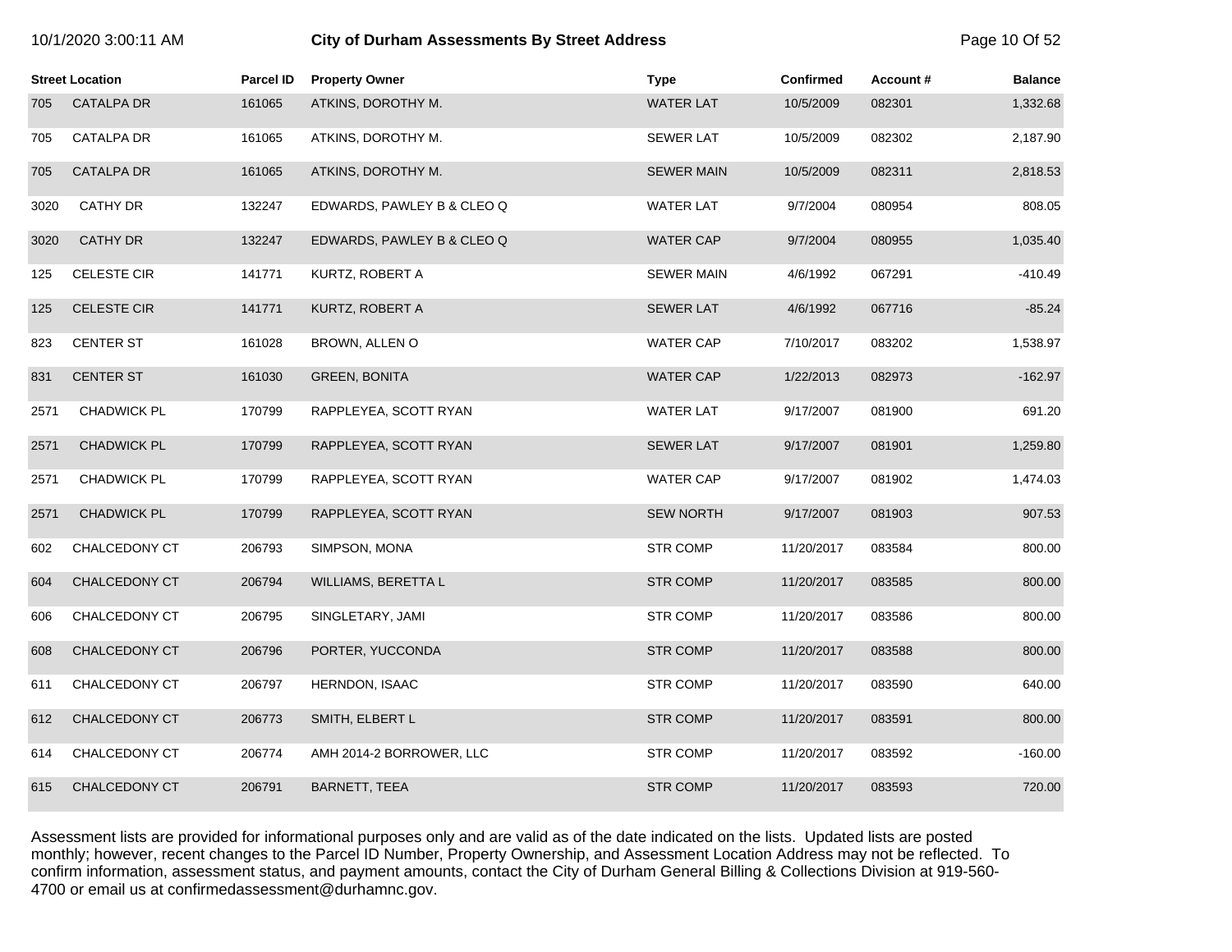# 10/1/2020 3:00:11 AM **City of Durham Assessments By Street Address** Page 10 Of 52

|      | <b>Street Location</b> | <b>Parcel ID</b> | <b>Property Owner</b>      | <b>Type</b>       | <b>Confirmed</b> | Account# | <b>Balance</b> |
|------|------------------------|------------------|----------------------------|-------------------|------------------|----------|----------------|
| 705  | <b>CATALPA DR</b>      | 161065           | ATKINS, DOROTHY M.         | <b>WATER LAT</b>  | 10/5/2009        | 082301   | 1,332.68       |
| 705  | <b>CATALPA DR</b>      | 161065           | ATKINS, DOROTHY M.         | <b>SEWER LAT</b>  | 10/5/2009        | 082302   | 2,187.90       |
| 705  | <b>CATALPA DR</b>      | 161065           | ATKINS, DOROTHY M.         | <b>SEWER MAIN</b> | 10/5/2009        | 082311   | 2,818.53       |
| 3020 | <b>CATHY DR</b>        | 132247           | EDWARDS, PAWLEY B & CLEO Q | <b>WATER LAT</b>  | 9/7/2004         | 080954   | 808.05         |
| 3020 | <b>CATHY DR</b>        | 132247           | EDWARDS, PAWLEY B & CLEO Q | <b>WATER CAP</b>  | 9/7/2004         | 080955   | 1,035.40       |
| 125  | <b>CELESTE CIR</b>     | 141771           | KURTZ, ROBERT A            | <b>SEWER MAIN</b> | 4/6/1992         | 067291   | $-410.49$      |
| 125  | <b>CELESTE CIR</b>     | 141771           | KURTZ, ROBERT A            | <b>SEWER LAT</b>  | 4/6/1992         | 067716   | $-85.24$       |
| 823  | <b>CENTER ST</b>       | 161028           | BROWN, ALLEN O             | <b>WATER CAP</b>  | 7/10/2017        | 083202   | 1,538.97       |
| 831  | <b>CENTER ST</b>       | 161030           | <b>GREEN, BONITA</b>       | <b>WATER CAP</b>  | 1/22/2013        | 082973   | $-162.97$      |
| 2571 | CHADWICK PL            | 170799           | RAPPLEYEA, SCOTT RYAN      | <b>WATER LAT</b>  | 9/17/2007        | 081900   | 691.20         |
| 2571 | <b>CHADWICK PL</b>     | 170799           | RAPPLEYEA, SCOTT RYAN      | <b>SEWER LAT</b>  | 9/17/2007        | 081901   | 1,259.80       |
| 2571 | <b>CHADWICK PL</b>     | 170799           | RAPPLEYEA, SCOTT RYAN      | <b>WATER CAP</b>  | 9/17/2007        | 081902   | 1,474.03       |
| 2571 | <b>CHADWICK PL</b>     | 170799           | RAPPLEYEA, SCOTT RYAN      | <b>SEW NORTH</b>  | 9/17/2007        | 081903   | 907.53         |
| 602  | CHALCEDONY CT          | 206793           | SIMPSON, MONA              | STR COMP          | 11/20/2017       | 083584   | 800.00         |
| 604  | CHALCEDONY CT          | 206794           | WILLIAMS, BERETTA L        | <b>STR COMP</b>   | 11/20/2017       | 083585   | 800.00         |
| 606  | CHALCEDONY CT          | 206795           | SINGLETARY, JAMI           | STR COMP          | 11/20/2017       | 083586   | 800.00         |
| 608  | <b>CHALCEDONY CT</b>   | 206796           | PORTER, YUCCONDA           | <b>STR COMP</b>   | 11/20/2017       | 083588   | 800.00         |
| 611  | CHALCEDONY CT          | 206797           | HERNDON, ISAAC             | STR COMP          | 11/20/2017       | 083590   | 640.00         |
| 612  | CHALCEDONY CT          | 206773           | SMITH, ELBERT L            | <b>STR COMP</b>   | 11/20/2017       | 083591   | 800.00         |
| 614  | CHALCEDONY CT          | 206774           | AMH 2014-2 BORROWER, LLC   | STR COMP          | 11/20/2017       | 083592   | $-160.00$      |
| 615  | CHALCEDONY CT          | 206791           | <b>BARNETT, TEEA</b>       | <b>STR COMP</b>   | 11/20/2017       | 083593   | 720.00         |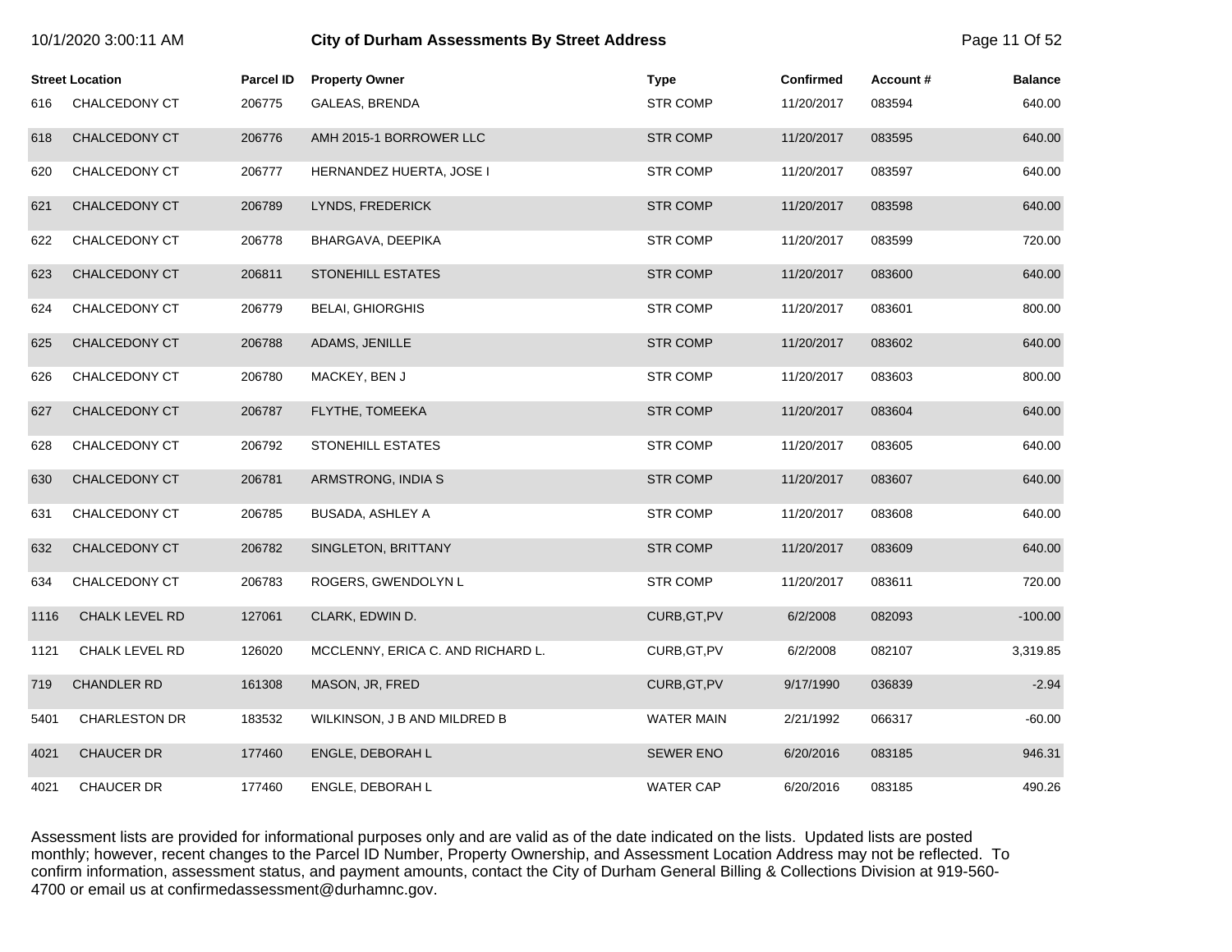|      | 10/1/2020 3:00:11 AM   |                  | <b>City of Durham Assessments By Street Address</b> |                   |                  |          | Page 11 Of 52  |  |
|------|------------------------|------------------|-----------------------------------------------------|-------------------|------------------|----------|----------------|--|
|      | <b>Street Location</b> | <b>Parcel ID</b> | <b>Property Owner</b>                               | <b>Type</b>       | <b>Confirmed</b> | Account# | <b>Balance</b> |  |
| 616  | CHALCEDONY CT          | 206775           | GALEAS, BRENDA                                      | <b>STR COMP</b>   | 11/20/2017       | 083594   | 640.00         |  |
| 618  | CHALCEDONY CT          | 206776           | AMH 2015-1 BORROWER LLC                             | <b>STR COMP</b>   | 11/20/2017       | 083595   | 640.00         |  |
| 620  | CHALCEDONY CT          | 206777           | HERNANDEZ HUERTA, JOSE I                            | <b>STR COMP</b>   | 11/20/2017       | 083597   | 640.00         |  |
| 621  | CHALCEDONY CT          | 206789           | LYNDS, FREDERICK                                    | <b>STR COMP</b>   | 11/20/2017       | 083598   | 640.00         |  |
| 622  | CHALCEDONY CT          | 206778           | BHARGAVA, DEEPIKA                                   | <b>STR COMP</b>   | 11/20/2017       | 083599   | 720.00         |  |
| 623  | CHALCEDONY CT          | 206811           | STONEHILL ESTATES                                   | <b>STR COMP</b>   | 11/20/2017       | 083600   | 640.00         |  |
| 624  | CHALCEDONY CT          | 206779           | <b>BELAI, GHIORGHIS</b>                             | <b>STR COMP</b>   | 11/20/2017       | 083601   | 800.00         |  |
| 625  | CHALCEDONY CT          | 206788           | ADAMS, JENILLE                                      | <b>STR COMP</b>   | 11/20/2017       | 083602   | 640.00         |  |
| 626  | CHALCEDONY CT          | 206780           | MACKEY, BEN J                                       | <b>STR COMP</b>   | 11/20/2017       | 083603   | 800.00         |  |
| 627  | <b>CHALCEDONY CT</b>   | 206787           | FLYTHE, TOMEEKA                                     | <b>STR COMP</b>   | 11/20/2017       | 083604   | 640.00         |  |
| 628  | CHALCEDONY CT          | 206792           | STONEHILL ESTATES                                   | <b>STR COMP</b>   | 11/20/2017       | 083605   | 640.00         |  |
| 630  | CHALCEDONY CT          | 206781           | ARMSTRONG, INDIA S                                  | <b>STR COMP</b>   | 11/20/2017       | 083607   | 640.00         |  |
| 631  | CHALCEDONY CT          | 206785           | BUSADA, ASHLEY A                                    | <b>STR COMP</b>   | 11/20/2017       | 083608   | 640.00         |  |
| 632  | CHALCEDONY CT          | 206782           | SINGLETON, BRITTANY                                 | <b>STR COMP</b>   | 11/20/2017       | 083609   | 640.00         |  |
| 634  | CHALCEDONY CT          | 206783           | ROGERS, GWENDOLYN L                                 | <b>STR COMP</b>   | 11/20/2017       | 083611   | 720.00         |  |
| 1116 | <b>CHALK LEVEL RD</b>  | 127061           | CLARK, EDWIN D.                                     | CURB, GT, PV      | 6/2/2008         | 082093   | $-100.00$      |  |
| 1121 | CHALK LEVEL RD         | 126020           | MCCLENNY, ERICA C. AND RICHARD L.                   | CURB, GT, PV      | 6/2/2008         | 082107   | 3,319.85       |  |
| 719  | CHANDLER RD            | 161308           | MASON, JR, FRED                                     | CURB, GT, PV      | 9/17/1990        | 036839   | $-2.94$        |  |
| 5401 | <b>CHARLESTON DR</b>   | 183532           | WILKINSON, J B AND MILDRED B                        | <b>WATER MAIN</b> | 2/21/1992        | 066317   | $-60.00$       |  |
| 4021 | <b>CHAUCER DR</b>      | 177460           | ENGLE, DEBORAH L                                    | <b>SEWER ENO</b>  | 6/20/2016        | 083185   | 946.31         |  |
| 4021 | <b>CHAUCER DR</b>      | 177460           | ENGLE, DEBORAH L                                    | <b>WATER CAP</b>  | 6/20/2016        | 083185   | 490.26         |  |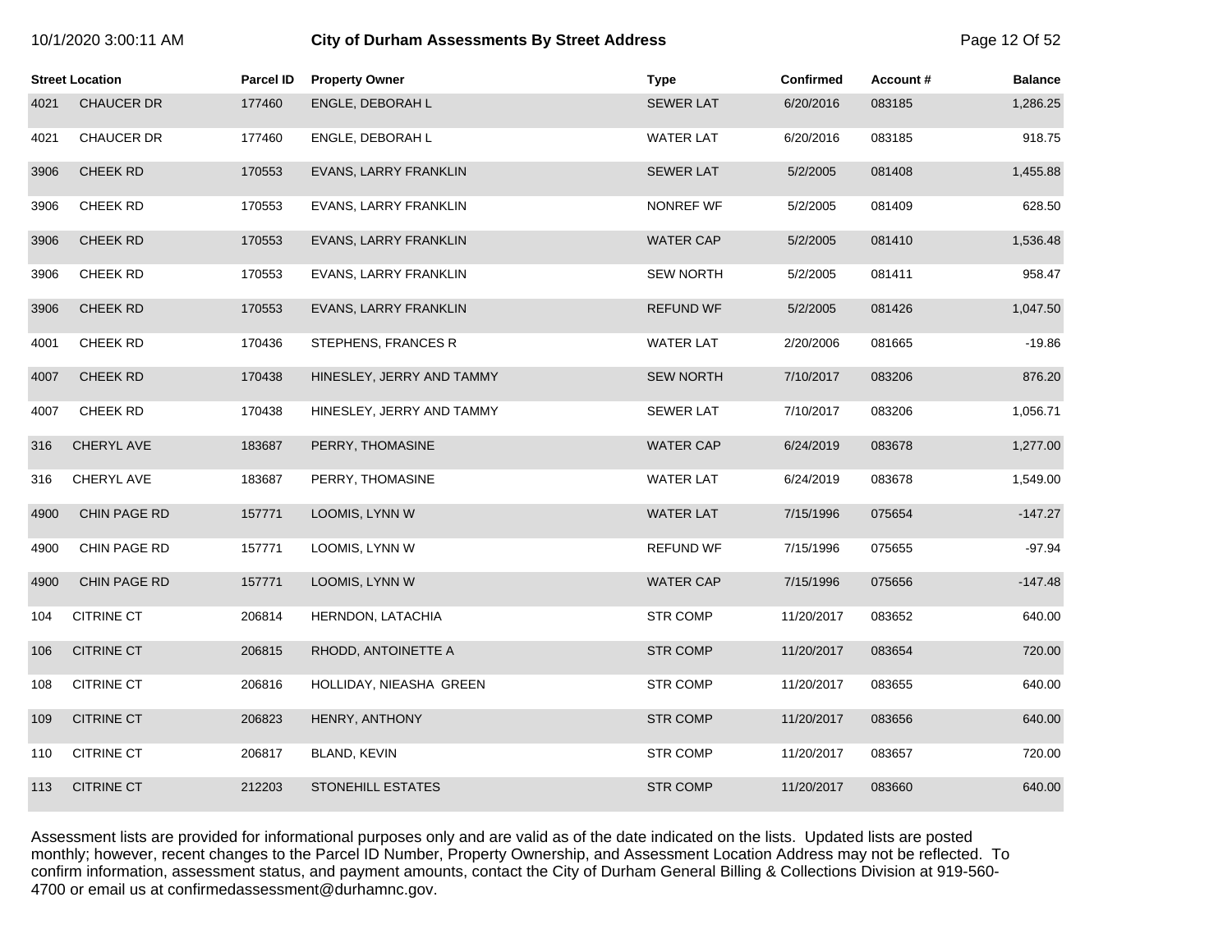| 10/1/2020 3:00:11 AM |  |  |  |
|----------------------|--|--|--|
|----------------------|--|--|--|

# **City of Durham Assessments By Street Address Page 12 Of 52**

|      | <b>Street Location</b> | Parcel ID | <b>Property Owner</b>     | Type             | <b>Confirmed</b> | Account# | <b>Balance</b> |
|------|------------------------|-----------|---------------------------|------------------|------------------|----------|----------------|
| 4021 | <b>CHAUCER DR</b>      | 177460    | ENGLE, DEBORAH L          | <b>SEWER LAT</b> | 6/20/2016        | 083185   | 1,286.25       |
| 4021 | CHAUCER DR             | 177460    | ENGLE, DEBORAH L          | <b>WATER LAT</b> | 6/20/2016        | 083185   | 918.75         |
| 3906 | <b>CHEEK RD</b>        | 170553    | EVANS, LARRY FRANKLIN     | <b>SEWER LAT</b> | 5/2/2005         | 081408   | 1,455.88       |
| 3906 | CHEEK RD               | 170553    | EVANS, LARRY FRANKLIN     | NONREF WF        | 5/2/2005         | 081409   | 628.50         |
| 3906 | CHEEK RD               | 170553    | EVANS, LARRY FRANKLIN     | <b>WATER CAP</b> | 5/2/2005         | 081410   | 1,536.48       |
| 3906 | CHEEK RD               | 170553    | EVANS, LARRY FRANKLIN     | <b>SEW NORTH</b> | 5/2/2005         | 081411   | 958.47         |
| 3906 | CHEEK RD               | 170553    | EVANS, LARRY FRANKLIN     | <b>REFUND WF</b> | 5/2/2005         | 081426   | 1,047.50       |
| 4001 | CHEEK RD               | 170436    | STEPHENS, FRANCES R       | <b>WATER LAT</b> | 2/20/2006        | 081665   | $-19.86$       |
| 4007 | <b>CHEEK RD</b>        | 170438    | HINESLEY, JERRY AND TAMMY | <b>SEW NORTH</b> | 7/10/2017        | 083206   | 876.20         |
| 4007 | CHEEK RD               | 170438    | HINESLEY, JERRY AND TAMMY | <b>SEWER LAT</b> | 7/10/2017        | 083206   | 1,056.71       |
| 316  | CHERYL AVE             | 183687    | PERRY, THOMASINE          | <b>WATER CAP</b> | 6/24/2019        | 083678   | 1,277.00       |
| 316  | CHERYL AVE             | 183687    | PERRY, THOMASINE          | <b>WATER LAT</b> | 6/24/2019        | 083678   | 1,549.00       |
| 4900 | CHIN PAGE RD           | 157771    | LOOMIS, LYNN W            | <b>WATER LAT</b> | 7/15/1996        | 075654   | $-147.27$      |
| 4900 | CHIN PAGE RD           | 157771    | LOOMIS, LYNN W            | <b>REFUND WF</b> | 7/15/1996        | 075655   | $-97.94$       |
| 4900 | CHIN PAGE RD           | 157771    | LOOMIS, LYNN W            | <b>WATER CAP</b> | 7/15/1996        | 075656   | $-147.48$      |
| 104  | <b>CITRINE CT</b>      | 206814    | HERNDON, LATACHIA         | STR COMP         | 11/20/2017       | 083652   | 640.00         |
| 106  | <b>CITRINE CT</b>      | 206815    | RHODD, ANTOINETTE A       | <b>STR COMP</b>  | 11/20/2017       | 083654   | 720.00         |
| 108  | <b>CITRINE CT</b>      | 206816    | HOLLIDAY, NIEASHA GREEN   | <b>STR COMP</b>  | 11/20/2017       | 083655   | 640.00         |
| 109  | <b>CITRINE CT</b>      | 206823    | HENRY, ANTHONY            | <b>STR COMP</b>  | 11/20/2017       | 083656   | 640.00         |
| 110  | <b>CITRINE CT</b>      | 206817    | BLAND, KEVIN              | STR COMP         | 11/20/2017       | 083657   | 720.00         |
| 113  | <b>CITRINE CT</b>      | 212203    | <b>STONEHILL ESTATES</b>  | <b>STR COMP</b>  | 11/20/2017       | 083660   | 640.00         |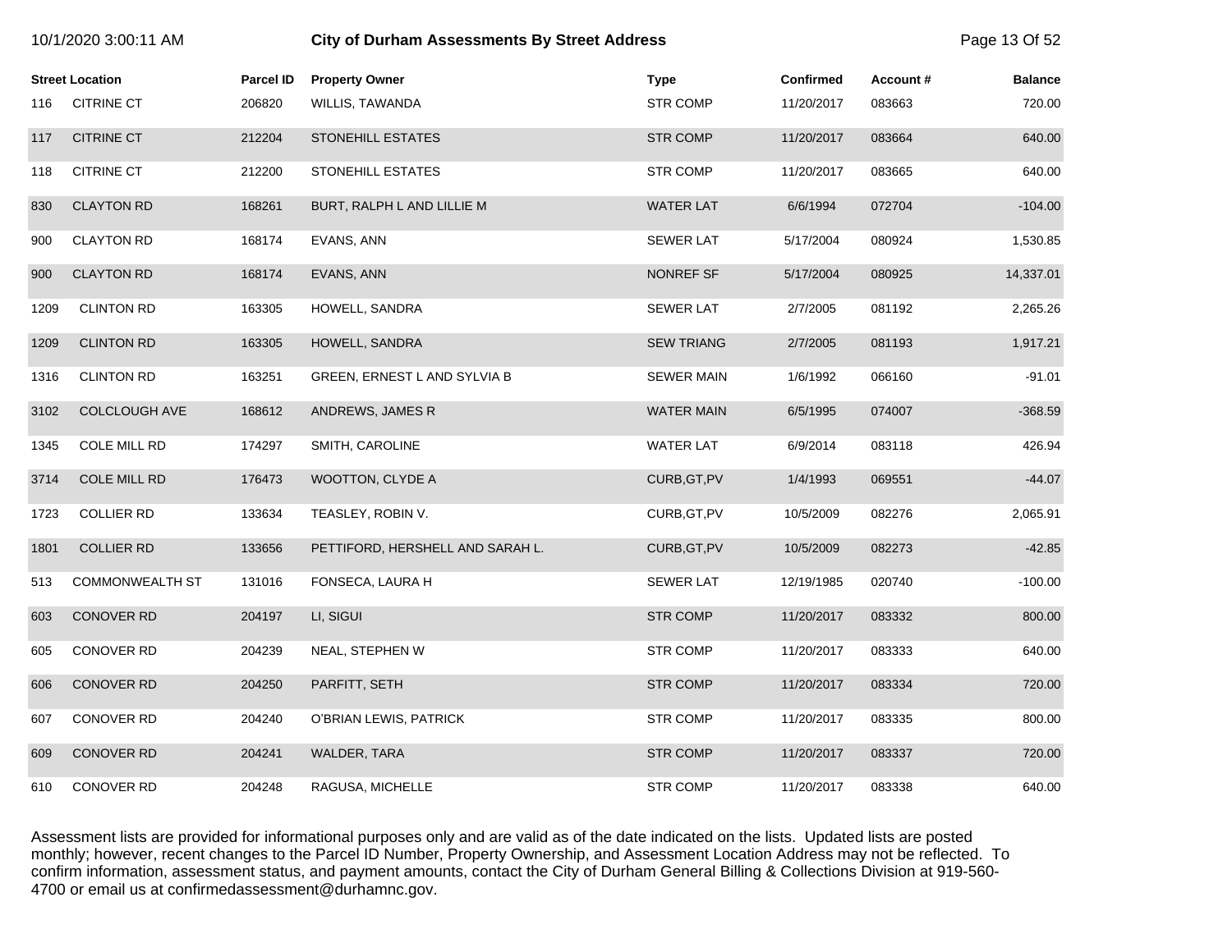|      |                        |           |                                  |                   |                  |          | ∽ອ∽            |
|------|------------------------|-----------|----------------------------------|-------------------|------------------|----------|----------------|
|      | <b>Street Location</b> | Parcel ID | <b>Property Owner</b>            | <b>Type</b>       | <b>Confirmed</b> | Account# | <b>Balance</b> |
| 116  | <b>CITRINE CT</b>      | 206820    | WILLIS, TAWANDA                  | <b>STR COMP</b>   | 11/20/2017       | 083663   | 720.00         |
| 117  | <b>CITRINE CT</b>      | 212204    | <b>STONEHILL ESTATES</b>         | <b>STR COMP</b>   | 11/20/2017       | 083664   | 640.00         |
| 118  | <b>CITRINE CT</b>      | 212200    | STONEHILL ESTATES                | <b>STR COMP</b>   | 11/20/2017       | 083665   | 640.00         |
| 830  | <b>CLAYTON RD</b>      | 168261    | BURT, RALPH L AND LILLIE M       | <b>WATER LAT</b>  | 6/6/1994         | 072704   | $-104.00$      |
| 900  | <b>CLAYTON RD</b>      | 168174    | EVANS, ANN                       | <b>SEWER LAT</b>  | 5/17/2004        | 080924   | 1,530.85       |
| 900  | <b>CLAYTON RD</b>      | 168174    | EVANS, ANN                       | NONREF SF         | 5/17/2004        | 080925   | 14,337.01      |
| 1209 | <b>CLINTON RD</b>      | 163305    | HOWELL, SANDRA                   | <b>SEWER LAT</b>  | 2/7/2005         | 081192   | 2,265.26       |
| 1209 | <b>CLINTON RD</b>      | 163305    | HOWELL, SANDRA                   | <b>SEW TRIANG</b> | 2/7/2005         | 081193   | 1,917.21       |
| 1316 | <b>CLINTON RD</b>      | 163251    | GREEN, ERNEST L AND SYLVIA B     | <b>SEWER MAIN</b> | 1/6/1992         | 066160   | $-91.01$       |
| 3102 | <b>COLCLOUGH AVE</b>   | 168612    | ANDREWS, JAMES R                 | <b>WATER MAIN</b> | 6/5/1995         | 074007   | $-368.59$      |
| 1345 | COLE MILL RD           | 174297    | SMITH, CAROLINE                  | <b>WATER LAT</b>  | 6/9/2014         | 083118   | 426.94         |
| 3714 | <b>COLE MILL RD</b>    | 176473    | <b>WOOTTON, CLYDE A</b>          | CURB, GT, PV      | 1/4/1993         | 069551   | $-44.07$       |
| 1723 | <b>COLLIER RD</b>      | 133634    | TEASLEY, ROBIN V.                | CURB, GT, PV      | 10/5/2009        | 082276   | 2,065.91       |
| 1801 | <b>COLLIER RD</b>      | 133656    | PETTIFORD, HERSHELL AND SARAH L. | CURB, GT, PV      | 10/5/2009        | 082273   | $-42.85$       |
| 513  | <b>COMMONWEALTH ST</b> | 131016    | FONSECA, LAURA H                 | <b>SEWER LAT</b>  | 12/19/1985       | 020740   | $-100.00$      |
| 603  | <b>CONOVER RD</b>      | 204197    | LI, SIGUI                        | <b>STR COMP</b>   | 11/20/2017       | 083332   | 800.00         |
| 605  | <b>CONOVER RD</b>      | 204239    | NEAL, STEPHEN W                  | <b>STR COMP</b>   | 11/20/2017       | 083333   | 640.00         |
| 606  | <b>CONOVER RD</b>      | 204250    | PARFITT, SETH                    | <b>STR COMP</b>   | 11/20/2017       | 083334   | 720.00         |
| 607  | <b>CONOVER RD</b>      | 204240    | O'BRIAN LEWIS, PATRICK           | <b>STR COMP</b>   | 11/20/2017       | 083335   | 800.00         |
| 609  | <b>CONOVER RD</b>      | 204241    | WALDER, TARA                     | <b>STR COMP</b>   | 11/20/2017       | 083337   | 720.00         |
| 610  | CONOVER RD             | 204248    | RAGUSA, MICHELLE                 | <b>STR COMP</b>   | 11/20/2017       | 083338   | 640.00         |

10/1/2020 3:00:11 AM **City of Durham Assessments By Street Address** Page 13 Of 52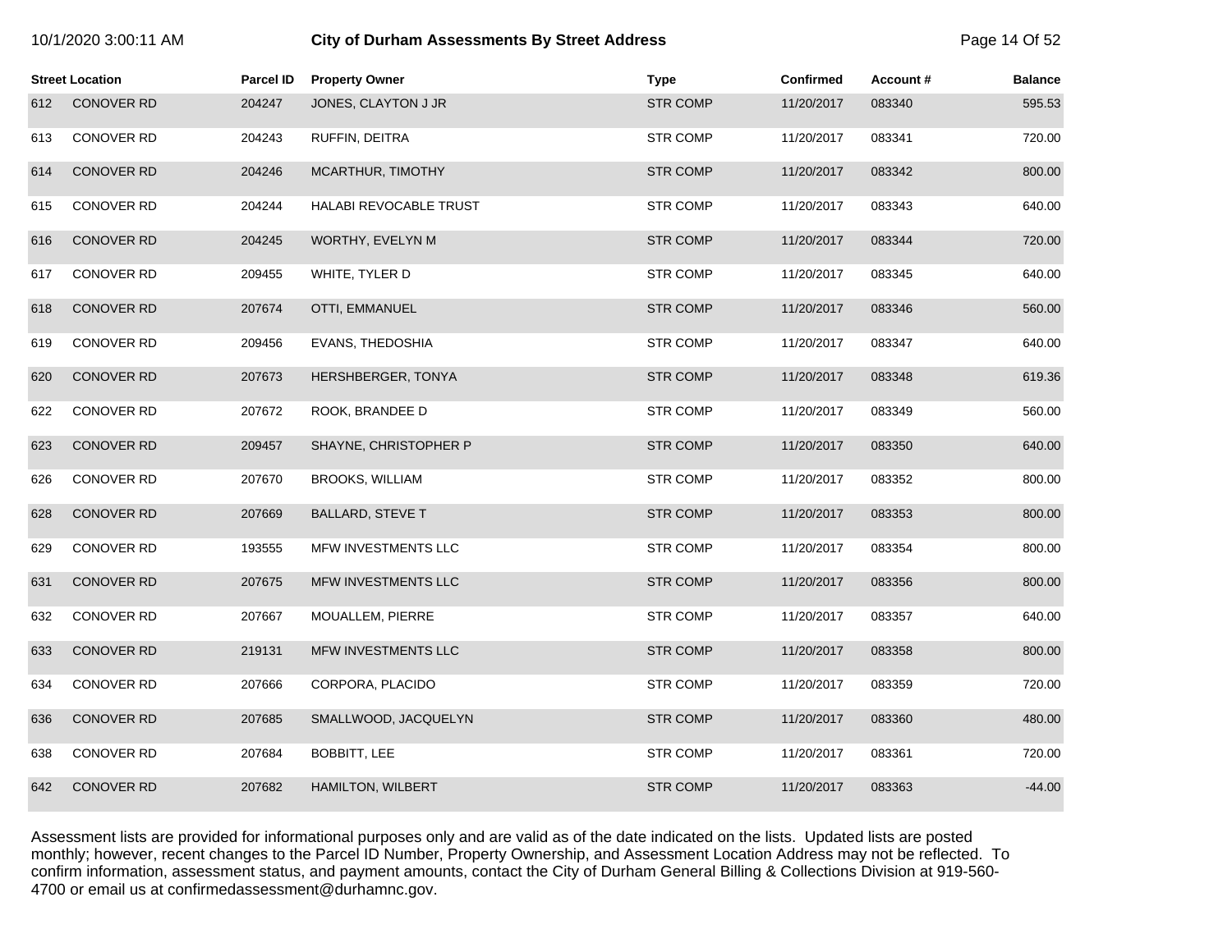| 10/1/2020 3:00:11 AM |  |  |
|----------------------|--|--|
|----------------------|--|--|

# **City of Durham Assessments By Street Address Page 14 Of 52**

|     | <b>Street Location</b> | <b>Parcel ID</b> | <b>Property Owner</b>    | <b>Type</b>     | <b>Confirmed</b> | Account# | <b>Balance</b> |
|-----|------------------------|------------------|--------------------------|-----------------|------------------|----------|----------------|
| 612 | <b>CONOVER RD</b>      | 204247           | JONES, CLAYTON J JR      | <b>STR COMP</b> | 11/20/2017       | 083340   | 595.53         |
| 613 | CONOVER RD             | 204243           | RUFFIN, DEITRA           | <b>STR COMP</b> | 11/20/2017       | 083341   | 720.00         |
| 614 | <b>CONOVER RD</b>      | 204246           | MCARTHUR, TIMOTHY        | <b>STR COMP</b> | 11/20/2017       | 083342   | 800.00         |
| 615 | CONOVER RD             | 204244           | HALABI REVOCABLE TRUST   | <b>STR COMP</b> | 11/20/2017       | 083343   | 640.00         |
| 616 | <b>CONOVER RD</b>      | 204245           | WORTHY, EVELYN M         | <b>STR COMP</b> | 11/20/2017       | 083344   | 720.00         |
| 617 | CONOVER RD             | 209455           | WHITE, TYLER D           | <b>STR COMP</b> | 11/20/2017       | 083345   | 640.00         |
| 618 | <b>CONOVER RD</b>      | 207674           | <b>OTTI, EMMANUEL</b>    | <b>STR COMP</b> | 11/20/2017       | 083346   | 560.00         |
| 619 | CONOVER RD             | 209456           | EVANS, THEDOSHIA         | <b>STR COMP</b> | 11/20/2017       | 083347   | 640.00         |
| 620 | <b>CONOVER RD</b>      | 207673           | HERSHBERGER, TONYA       | <b>STR COMP</b> | 11/20/2017       | 083348   | 619.36         |
| 622 | CONOVER RD             | 207672           | ROOK, BRANDEE D          | <b>STR COMP</b> | 11/20/2017       | 083349   | 560.00         |
| 623 | <b>CONOVER RD</b>      | 209457           | SHAYNE, CHRISTOPHER P    | <b>STR COMP</b> | 11/20/2017       | 083350   | 640.00         |
| 626 | CONOVER RD             | 207670           | <b>BROOKS, WILLIAM</b>   | <b>STR COMP</b> | 11/20/2017       | 083352   | 800.00         |
| 628 | <b>CONOVER RD</b>      | 207669           | <b>BALLARD, STEVE T</b>  | <b>STR COMP</b> | 11/20/2017       | 083353   | 800.00         |
| 629 | CONOVER RD             | 193555           | MFW INVESTMENTS LLC      | <b>STR COMP</b> | 11/20/2017       | 083354   | 800.00         |
| 631 | <b>CONOVER RD</b>      | 207675           | MFW INVESTMENTS LLC      | <b>STR COMP</b> | 11/20/2017       | 083356   | 800.00         |
| 632 | <b>CONOVER RD</b>      | 207667           | MOUALLEM, PIERRE         | <b>STR COMP</b> | 11/20/2017       | 083357   | 640.00         |
| 633 | <b>CONOVER RD</b>      | 219131           | MFW INVESTMENTS LLC      | <b>STR COMP</b> | 11/20/2017       | 083358   | 800.00         |
| 634 | <b>CONOVER RD</b>      | 207666           | CORPORA, PLACIDO         | <b>STR COMP</b> | 11/20/2017       | 083359   | 720.00         |
| 636 | <b>CONOVER RD</b>      | 207685           | SMALLWOOD, JACQUELYN     | <b>STR COMP</b> | 11/20/2017       | 083360   | 480.00         |
| 638 | CONOVER RD             | 207684           | <b>BOBBITT, LEE</b>      | <b>STR COMP</b> | 11/20/2017       | 083361   | 720.00         |
| 642 | <b>CONOVER RD</b>      | 207682           | <b>HAMILTON, WILBERT</b> | <b>STR COMP</b> | 11/20/2017       | 083363   | $-44.00$       |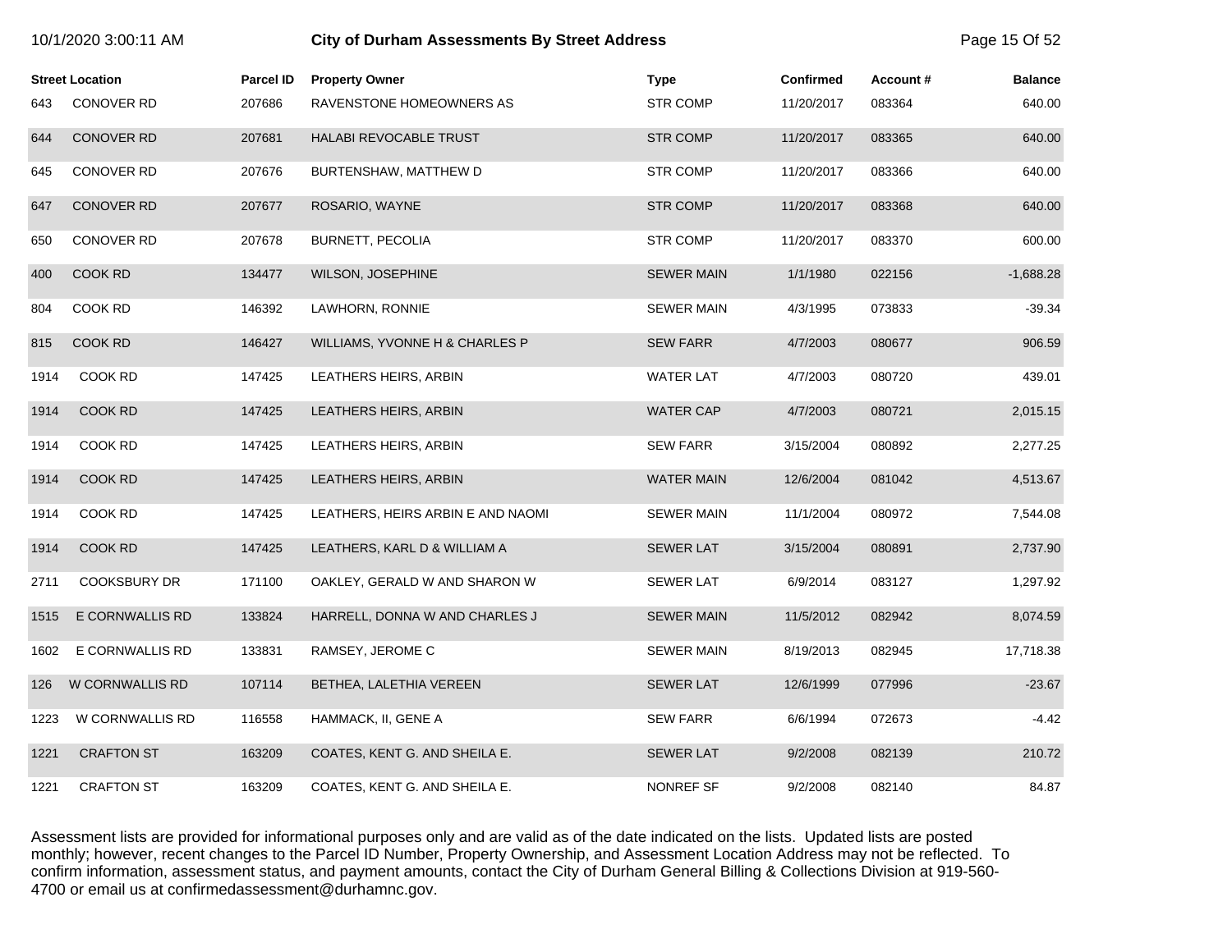|      | 10/1/2020 3:00:11 AM   |                  | <b>City of Durham Assessments By Street Address</b> |                   |                  |          | Page 15 Of 52  |  |
|------|------------------------|------------------|-----------------------------------------------------|-------------------|------------------|----------|----------------|--|
|      | <b>Street Location</b> | <b>Parcel ID</b> | <b>Property Owner</b>                               | <b>Type</b>       | <b>Confirmed</b> | Account# | <b>Balance</b> |  |
| 643  | <b>CONOVER RD</b>      | 207686           | RAVENSTONE HOMEOWNERS AS                            | <b>STR COMP</b>   | 11/20/2017       | 083364   | 640.00         |  |
| 644  | <b>CONOVER RD</b>      | 207681           | HALABI REVOCABLE TRUST                              | <b>STR COMP</b>   | 11/20/2017       | 083365   | 640.00         |  |
| 645  | CONOVER RD             | 207676           | BURTENSHAW, MATTHEW D                               | <b>STR COMP</b>   | 11/20/2017       | 083366   | 640.00         |  |
| 647  | <b>CONOVER RD</b>      | 207677           | ROSARIO, WAYNE                                      | <b>STR COMP</b>   | 11/20/2017       | 083368   | 640.00         |  |
| 650  | CONOVER RD             | 207678           | BURNETT, PECOLIA                                    | <b>STR COMP</b>   | 11/20/2017       | 083370   | 600.00         |  |
| 400  | COOK RD                | 134477           | <b>WILSON, JOSEPHINE</b>                            | <b>SEWER MAIN</b> | 1/1/1980         | 022156   | $-1,688.28$    |  |
| 804  | COOK RD                | 146392           | LAWHORN, RONNIE                                     | <b>SEWER MAIN</b> | 4/3/1995         | 073833   | $-39.34$       |  |
| 815  | <b>COOK RD</b>         | 146427           | WILLIAMS, YVONNE H & CHARLES P                      | <b>SEW FARR</b>   | 4/7/2003         | 080677   | 906.59         |  |
| 1914 | COOK RD                | 147425           | LEATHERS HEIRS, ARBIN                               | <b>WATER LAT</b>  | 4/7/2003         | 080720   | 439.01         |  |
| 1914 | COOK RD                | 147425           | LEATHERS HEIRS, ARBIN                               | <b>WATER CAP</b>  | 4/7/2003         | 080721   | 2,015.15       |  |
| 1914 | COOK RD                | 147425           | LEATHERS HEIRS, ARBIN                               | <b>SEW FARR</b>   | 3/15/2004        | 080892   | 2,277.25       |  |
| 1914 | COOK RD                | 147425           | LEATHERS HEIRS, ARBIN                               | <b>WATER MAIN</b> | 12/6/2004        | 081042   | 4,513.67       |  |
| 1914 | COOK RD                | 147425           | LEATHERS, HEIRS ARBIN E AND NAOMI                   | <b>SEWER MAIN</b> | 11/1/2004        | 080972   | 7,544.08       |  |
| 1914 | <b>COOK RD</b>         | 147425           | LEATHERS, KARL D & WILLIAM A                        | <b>SEWER LAT</b>  | 3/15/2004        | 080891   | 2,737.90       |  |
| 2711 | <b>COOKSBURY DR</b>    | 171100           | OAKLEY, GERALD W AND SHARON W                       | <b>SEWER LAT</b>  | 6/9/2014         | 083127   | 1,297.92       |  |
| 1515 | E CORNWALLIS RD        | 133824           | HARRELL, DONNA W AND CHARLES J                      | <b>SEWER MAIN</b> | 11/5/2012        | 082942   | 8,074.59       |  |
| 1602 | E CORNWALLIS RD        | 133831           | RAMSEY, JEROME C                                    | <b>SEWER MAIN</b> | 8/19/2013        | 082945   | 17,718.38      |  |
| 126  | W CORNWALLIS RD        | 107114           | BETHEA, LALETHIA VEREEN                             | <b>SEWER LAT</b>  | 12/6/1999        | 077996   | $-23.67$       |  |
| 1223 | W CORNWALLIS RD        | 116558           | HAMMACK, II, GENE A                                 | <b>SEW FARR</b>   | 6/6/1994         | 072673   | $-4.42$        |  |
| 1221 | <b>CRAFTON ST</b>      | 163209           | COATES, KENT G. AND SHEILA E.                       | <b>SEWER LAT</b>  | 9/2/2008         | 082139   | 210.72         |  |
| 1221 | <b>CRAFTON ST</b>      | 163209           | COATES, KENT G. AND SHEILA E.                       | NONREF SF         | 9/2/2008         | 082140   | 84.87          |  |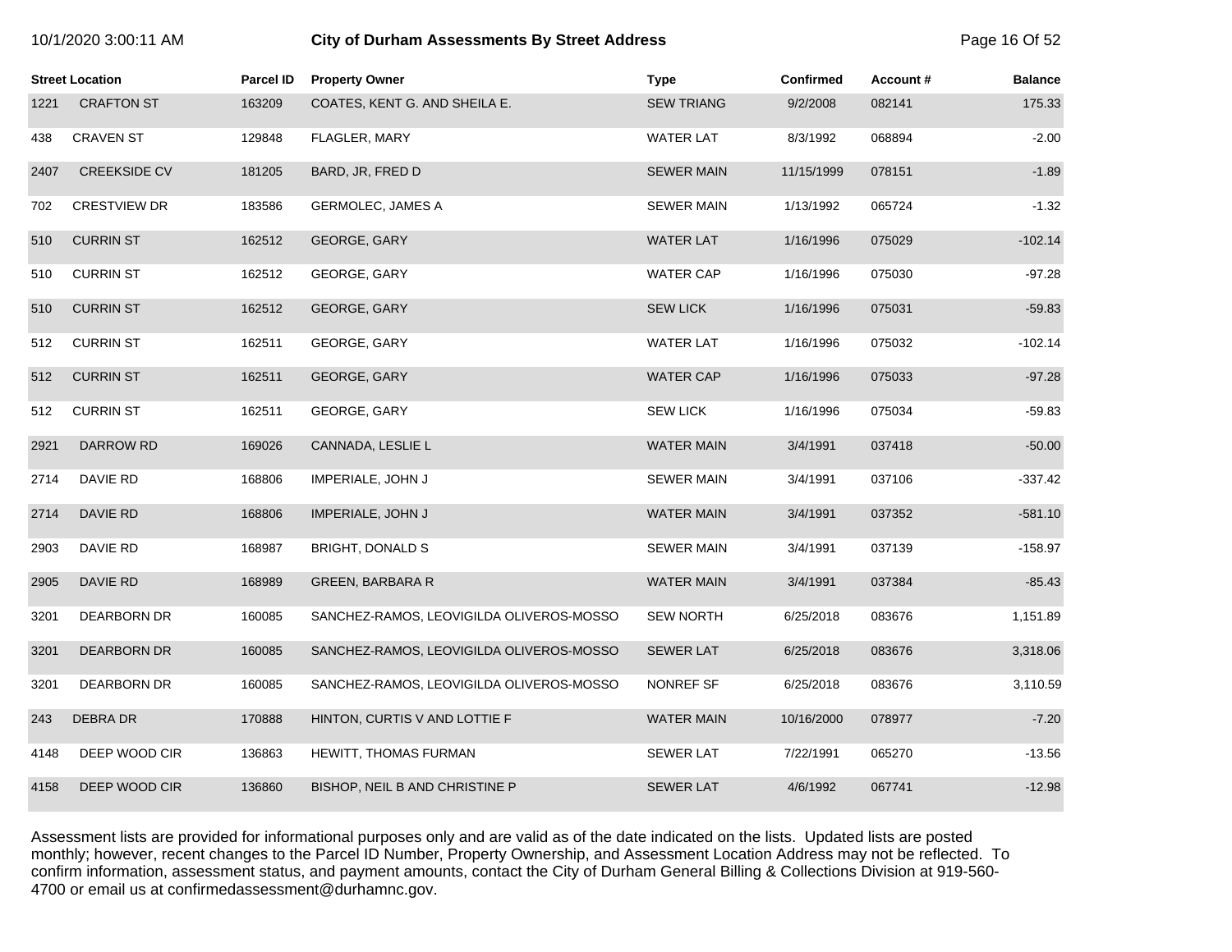| 10/1/2020 3:00:11 AM |  |  |
|----------------------|--|--|
|----------------------|--|--|

# **10/2020 3:00:11 City of Durham Assessments By Street Address** Page 16 Of 52

|      | <b>Street Location</b> | Parcel ID | <b>Property Owner</b>                    | <b>Type</b>       | <b>Confirmed</b> | Account# | <b>Balance</b> |
|------|------------------------|-----------|------------------------------------------|-------------------|------------------|----------|----------------|
| 1221 | <b>CRAFTON ST</b>      | 163209    | COATES, KENT G. AND SHEILA E.            | <b>SEW TRIANG</b> | 9/2/2008         | 082141   | 175.33         |
| 438  | <b>CRAVEN ST</b>       | 129848    | FLAGLER, MARY                            | <b>WATER LAT</b>  | 8/3/1992         | 068894   | $-2.00$        |
| 2407 | <b>CREEKSIDE CV</b>    | 181205    | BARD, JR, FRED D                         | <b>SEWER MAIN</b> | 11/15/1999       | 078151   | $-1.89$        |
| 702  | <b>CRESTVIEW DR</b>    | 183586    | <b>GERMOLEC, JAMES A</b>                 | <b>SEWER MAIN</b> | 1/13/1992        | 065724   | $-1.32$        |
| 510  | <b>CURRIN ST</b>       | 162512    | GEORGE, GARY                             | <b>WATER LAT</b>  | 1/16/1996        | 075029   | $-102.14$      |
| 510  | <b>CURRIN ST</b>       | 162512    | GEORGE, GARY                             | <b>WATER CAP</b>  | 1/16/1996        | 075030   | $-97.28$       |
| 510  | <b>CURRIN ST</b>       | 162512    | GEORGE, GARY                             | <b>SEW LICK</b>   | 1/16/1996        | 075031   | $-59.83$       |
| 512  | <b>CURRIN ST</b>       | 162511    | GEORGE, GARY                             | <b>WATER LAT</b>  | 1/16/1996        | 075032   | $-102.14$      |
| 512  | <b>CURRIN ST</b>       | 162511    | GEORGE, GARY                             | <b>WATER CAP</b>  | 1/16/1996        | 075033   | $-97.28$       |
| 512  | <b>CURRIN ST</b>       | 162511    | GEORGE, GARY                             | <b>SEW LICK</b>   | 1/16/1996        | 075034   | $-59.83$       |
| 2921 | DARROW RD              | 169026    | CANNADA, LESLIE L                        | <b>WATER MAIN</b> | 3/4/1991         | 037418   | $-50.00$       |
| 2714 | DAVIE RD               | 168806    | IMPERIALE, JOHN J                        | <b>SEWER MAIN</b> | 3/4/1991         | 037106   | $-337.42$      |
| 2714 | DAVIE RD               | 168806    | IMPERIALE, JOHN J                        | <b>WATER MAIN</b> | 3/4/1991         | 037352   | $-581.10$      |
| 2903 | DAVIE RD               | 168987    | <b>BRIGHT, DONALD S</b>                  | <b>SEWER MAIN</b> | 3/4/1991         | 037139   | $-158.97$      |
| 2905 | DAVIE RD               | 168989    | <b>GREEN, BARBARA R</b>                  | <b>WATER MAIN</b> | 3/4/1991         | 037384   | $-85.43$       |
| 3201 | DEARBORN DR            | 160085    | SANCHEZ-RAMOS, LEOVIGILDA OLIVEROS-MOSSO | <b>SEW NORTH</b>  | 6/25/2018        | 083676   | 1,151.89       |
| 3201 | <b>DEARBORN DR</b>     | 160085    | SANCHEZ-RAMOS, LEOVIGILDA OLIVEROS-MOSSO | <b>SEWER LAT</b>  | 6/25/2018        | 083676   | 3,318.06       |
| 3201 | DEARBORN DR            | 160085    | SANCHEZ-RAMOS, LEOVIGILDA OLIVEROS-MOSSO | NONREF SF         | 6/25/2018        | 083676   | 3,110.59       |
| 243  | DEBRA DR               | 170888    | HINTON, CURTIS V AND LOTTIE F            | <b>WATER MAIN</b> | 10/16/2000       | 078977   | $-7.20$        |
| 4148 | DEEP WOOD CIR          | 136863    | <b>HEWITT, THOMAS FURMAN</b>             | <b>SEWER LAT</b>  | 7/22/1991        | 065270   | $-13.56$       |
| 4158 | DEEP WOOD CIR          | 136860    | BISHOP, NEIL B AND CHRISTINE P           | <b>SEWER LAT</b>  | 4/6/1992         | 067741   | $-12.98$       |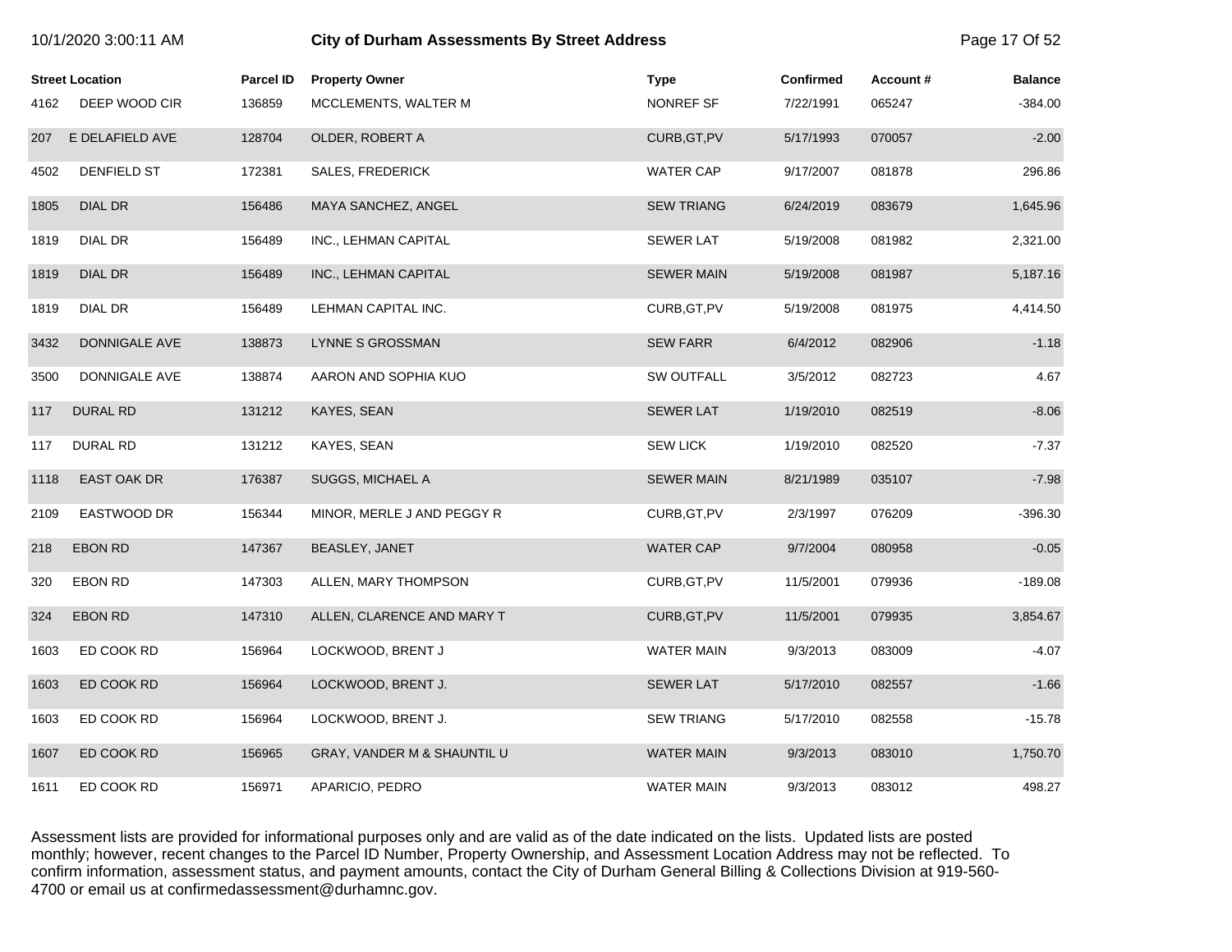|      | <b>Street Location</b> | <b>Parcel ID</b> | <b>Property Owner</b>       | <b>Type</b>       | <b>Confirmed</b> | Account# | <b>Balance</b> |
|------|------------------------|------------------|-----------------------------|-------------------|------------------|----------|----------------|
| 4162 | DEEP WOOD CIR          | 136859           | MCCLEMENTS, WALTER M        | NONREF SF         | 7/22/1991        | 065247   | $-384.00$      |
| 207  | E DELAFIELD AVE        | 128704           | OLDER, ROBERT A             | CURB, GT, PV      | 5/17/1993        | 070057   | $-2.00$        |
| 4502 | DENFIELD ST            | 172381           | <b>SALES, FREDERICK</b>     | <b>WATER CAP</b>  | 9/17/2007        | 081878   | 296.86         |
| 1805 | DIAL DR                | 156486           | MAYA SANCHEZ, ANGEL         | <b>SEW TRIANG</b> | 6/24/2019        | 083679   | 1,645.96       |
| 1819 | DIAL DR                | 156489           | INC., LEHMAN CAPITAL        | <b>SEWER LAT</b>  | 5/19/2008        | 081982   | 2,321.00       |
| 1819 | DIAL DR                | 156489           | INC., LEHMAN CAPITAL        | <b>SEWER MAIN</b> | 5/19/2008        | 081987   | 5,187.16       |
| 1819 | DIAL DR                | 156489           | LEHMAN CAPITAL INC.         | CURB, GT, PV      | 5/19/2008        | 081975   | 4,414.50       |
| 3432 | DONNIGALE AVE          | 138873           | LYNNE S GROSSMAN            | <b>SEW FARR</b>   | 6/4/2012         | 082906   | $-1.18$        |
| 3500 | DONNIGALE AVE          | 138874           | AARON AND SOPHIA KUO        | SW OUTFALL        | 3/5/2012         | 082723   | 4.67           |
| 117  | <b>DURAL RD</b>        | 131212           | KAYES, SEAN                 | <b>SEWER LAT</b>  | 1/19/2010        | 082519   | $-8.06$        |
| 117  | <b>DURAL RD</b>        | 131212           | KAYES, SEAN                 | <b>SEW LICK</b>   | 1/19/2010        | 082520   | $-7.37$        |
| 1118 | <b>EAST OAK DR</b>     | 176387           | SUGGS, MICHAEL A            | <b>SEWER MAIN</b> | 8/21/1989        | 035107   | $-7.98$        |
| 2109 | EASTWOOD DR            | 156344           | MINOR, MERLE J AND PEGGY R  | CURB, GT, PV      | 2/3/1997         | 076209   | $-396.30$      |
| 218  | <b>EBON RD</b>         | 147367           | BEASLEY, JANET              | <b>WATER CAP</b>  | 9/7/2004         | 080958   | $-0.05$        |
| 320  | EBON RD                | 147303           | ALLEN, MARY THOMPSON        | CURB, GT, PV      | 11/5/2001        | 079936   | $-189.08$      |
| 324  | EBON RD                | 147310           | ALLEN, CLARENCE AND MARY T  | CURB, GT, PV      | 11/5/2001        | 079935   | 3,854.67       |
| 1603 | ED COOK RD             | 156964           | LOCKWOOD, BRENT J           | WATER MAIN        | 9/3/2013         | 083009   | $-4.07$        |
| 1603 | ED COOK RD             | 156964           | LOCKWOOD, BRENT J.          | <b>SEWER LAT</b>  | 5/17/2010        | 082557   | $-1.66$        |
| 1603 | ED COOK RD             | 156964           | LOCKWOOD, BRENT J.          | <b>SEW TRIANG</b> | 5/17/2010        | 082558   | $-15.78$       |
| 1607 | ED COOK RD             | 156965           | GRAY, VANDER M & SHAUNTIL U | <b>WATER MAIN</b> | 9/3/2013         | 083010   | 1,750.70       |
| 1611 | ED COOK RD             | 156971           | APARICIO, PEDRO             | <b>WATER MAIN</b> | 9/3/2013         | 083012   | 498.27         |

10/1/2020 3:00:11 AM **City of Durham Assessments By Street Address** Page 17 Of 52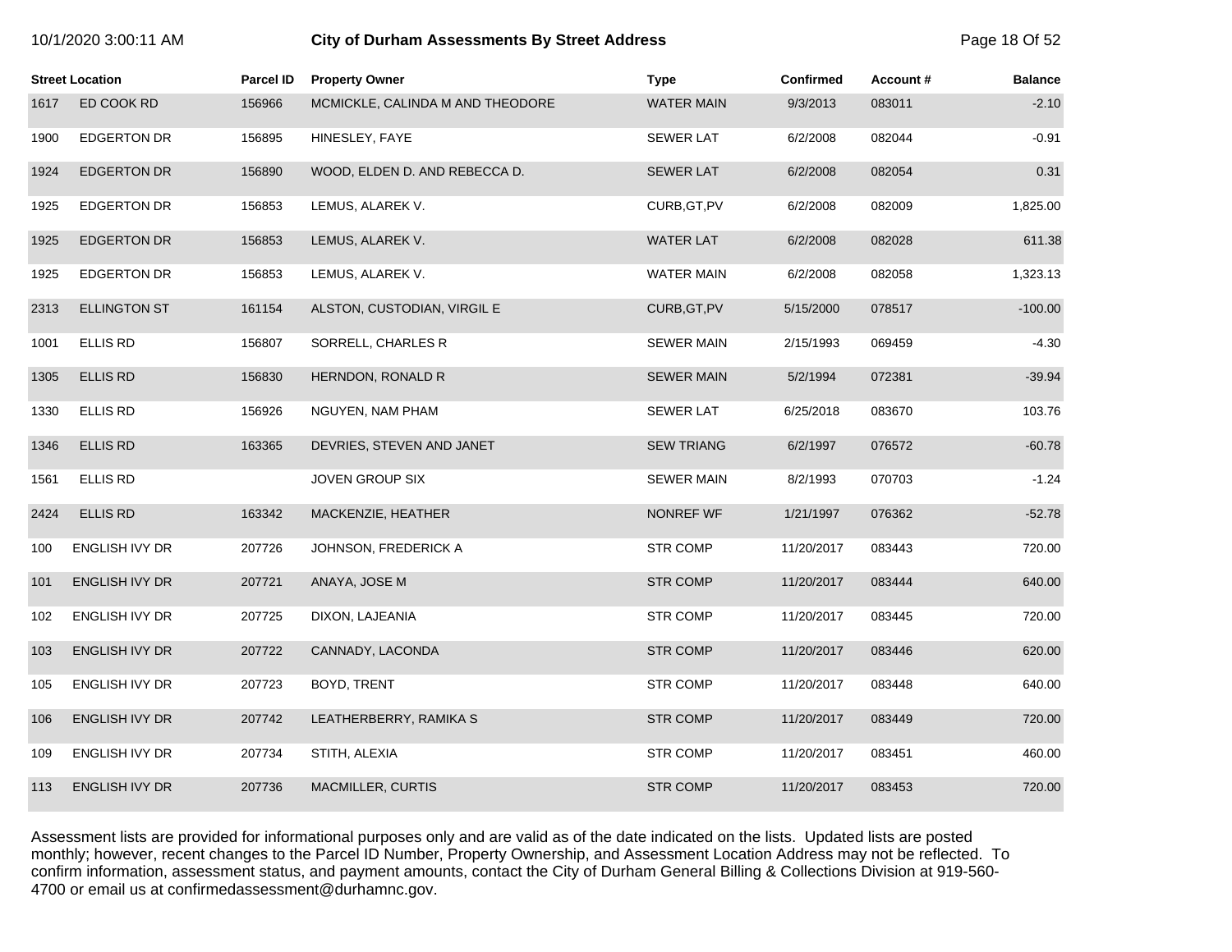| 10/1/2020 3:00:11 AM |  |  |
|----------------------|--|--|
|----------------------|--|--|

# **10/2020 3:00:11 City of Durham Assessments By Street Address** Page 18 Of 52

|      | <b>Street Location</b> | Parcel ID | <b>Property Owner</b>            | <b>Type</b>       | <b>Confirmed</b> | Account# | <b>Balance</b> |
|------|------------------------|-----------|----------------------------------|-------------------|------------------|----------|----------------|
| 1617 | ED COOK RD             | 156966    | MCMICKLE, CALINDA M AND THEODORE | <b>WATER MAIN</b> | 9/3/2013         | 083011   | $-2.10$        |
| 1900 | <b>EDGERTON DR</b>     | 156895    | HINESLEY, FAYE                   | <b>SEWER LAT</b>  | 6/2/2008         | 082044   | $-0.91$        |
| 1924 | <b>EDGERTON DR</b>     | 156890    | WOOD, ELDEN D. AND REBECCA D.    | <b>SEWER LAT</b>  | 6/2/2008         | 082054   | 0.31           |
| 1925 | <b>EDGERTON DR</b>     | 156853    | LEMUS, ALAREK V.                 | CURB, GT, PV      | 6/2/2008         | 082009   | 1,825.00       |
| 1925 | <b>EDGERTON DR</b>     | 156853    | LEMUS, ALAREK V.                 | <b>WATER LAT</b>  | 6/2/2008         | 082028   | 611.38         |
| 1925 | <b>EDGERTON DR</b>     | 156853    | LEMUS, ALAREK V.                 | <b>WATER MAIN</b> | 6/2/2008         | 082058   | 1,323.13       |
| 2313 | <b>ELLINGTON ST</b>    | 161154    | ALSTON, CUSTODIAN, VIRGIL E      | CURB, GT, PV      | 5/15/2000        | 078517   | $-100.00$      |
| 1001 | <b>ELLIS RD</b>        | 156807    | SORRELL, CHARLES R               | <b>SEWER MAIN</b> | 2/15/1993        | 069459   | $-4.30$        |
| 1305 | <b>ELLIS RD</b>        | 156830    | HERNDON, RONALD R                | <b>SEWER MAIN</b> | 5/2/1994         | 072381   | $-39.94$       |
| 1330 | <b>ELLIS RD</b>        | 156926    | NGUYEN, NAM PHAM                 | <b>SEWER LAT</b>  | 6/25/2018        | 083670   | 103.76         |
| 1346 | <b>ELLIS RD</b>        | 163365    | DEVRIES, STEVEN AND JANET        | <b>SEW TRIANG</b> | 6/2/1997         | 076572   | $-60.78$       |
| 1561 | <b>ELLIS RD</b>        |           | JOVEN GROUP SIX                  | <b>SEWER MAIN</b> | 8/2/1993         | 070703   | $-1.24$        |
| 2424 | <b>ELLIS RD</b>        | 163342    | MACKENZIE, HEATHER               | NONREF WF         | 1/21/1997        | 076362   | $-52.78$       |
| 100  | <b>ENGLISH IVY DR</b>  | 207726    | JOHNSON, FREDERICK A             | <b>STR COMP</b>   | 11/20/2017       | 083443   | 720.00         |
| 101  | <b>ENGLISH IVY DR</b>  | 207721    | ANAYA, JOSE M                    | <b>STR COMP</b>   | 11/20/2017       | 083444   | 640.00         |
| 102  | ENGLISH IVY DR         | 207725    | DIXON, LAJEANIA                  | <b>STR COMP</b>   | 11/20/2017       | 083445   | 720.00         |
| 103  | ENGLISH IVY DR         | 207722    | CANNADY, LACONDA                 | <b>STR COMP</b>   | 11/20/2017       | 083446   | 620.00         |
| 105  | ENGLISH IVY DR         | 207723    | BOYD, TRENT                      | <b>STR COMP</b>   | 11/20/2017       | 083448   | 640.00         |
| 106  | <b>ENGLISH IVY DR</b>  | 207742    | LEATHERBERRY, RAMIKA S           | <b>STR COMP</b>   | 11/20/2017       | 083449   | 720.00         |
| 109  | <b>ENGLISH IVY DR</b>  | 207734    | STITH, ALEXIA                    | <b>STR COMP</b>   | 11/20/2017       | 083451   | 460.00         |
| 113  | ENGLISH IVY DR         | 207736    | MACMILLER, CURTIS                | <b>STR COMP</b>   | 11/20/2017       | 083453   | 720.00         |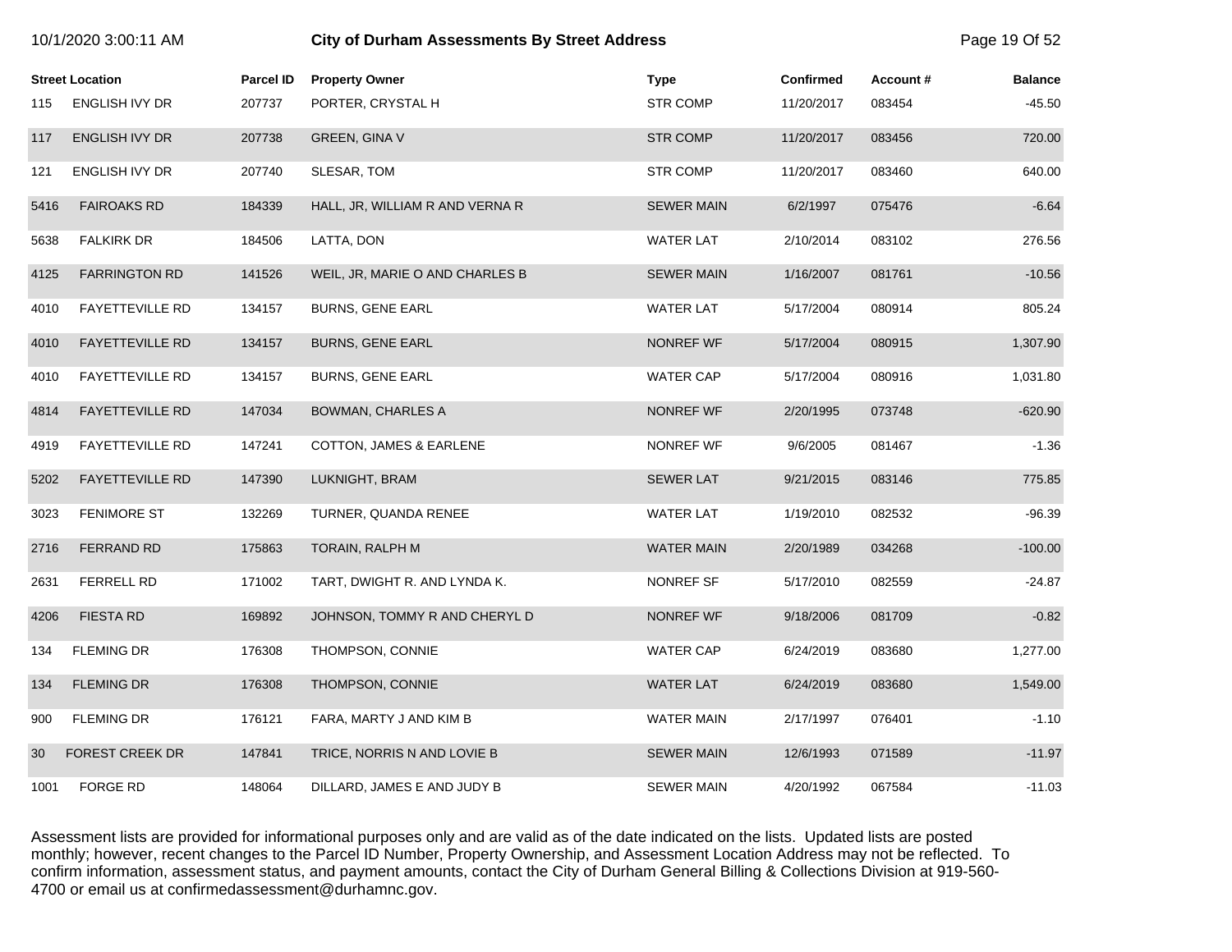|      | 10/1/2020 3:00:11 AM   |                  | <b>City of Durham Assessments By Street Address</b> |                   |                  |          |                |
|------|------------------------|------------------|-----------------------------------------------------|-------------------|------------------|----------|----------------|
|      | <b>Street Location</b> | <b>Parcel ID</b> | <b>Property Owner</b>                               | <b>Type</b>       | <b>Confirmed</b> | Account# | <b>Balance</b> |
| 115  | <b>ENGLISH IVY DR</b>  | 207737           | PORTER, CRYSTAL H                                   | <b>STR COMP</b>   | 11/20/2017       | 083454   | $-45.50$       |
| 117  | <b>ENGLISH IVY DR</b>  | 207738           | <b>GREEN, GINA V</b>                                | <b>STR COMP</b>   | 11/20/2017       | 083456   | 720.00         |
| 121  | <b>ENGLISH IVY DR</b>  | 207740           | SLESAR, TOM                                         | <b>STR COMP</b>   | 11/20/2017       | 083460   | 640.00         |
| 5416 | <b>FAIROAKS RD</b>     | 184339           | HALL, JR, WILLIAM R AND VERNA R                     | <b>SEWER MAIN</b> | 6/2/1997         | 075476   | $-6.64$        |
| 5638 | <b>FALKIRK DR</b>      | 184506           | LATTA, DON                                          | <b>WATER LAT</b>  | 2/10/2014        | 083102   | 276.56         |
| 4125 | <b>FARRINGTON RD</b>   | 141526           | WEIL, JR, MARIE O AND CHARLES B                     | <b>SEWER MAIN</b> | 1/16/2007        | 081761   | $-10.56$       |
| 4010 | <b>FAYETTEVILLE RD</b> | 134157           | <b>BURNS, GENE EARL</b>                             | <b>WATER LAT</b>  | 5/17/2004        | 080914   | 805.24         |
| 4010 | <b>FAYETTEVILLE RD</b> | 134157           | <b>BURNS, GENE EARL</b>                             | NONREF WF         | 5/17/2004        | 080915   | 1,307.90       |
| 4010 | <b>FAYETTEVILLE RD</b> | 134157           | <b>BURNS, GENE EARL</b>                             | <b>WATER CAP</b>  | 5/17/2004        | 080916   | 1,031.80       |
| 4814 | <b>FAYETTEVILLE RD</b> | 147034           | BOWMAN, CHARLES A                                   | NONREF WF         | 2/20/1995        | 073748   | $-620.90$      |
| 4919 | <b>FAYETTEVILLE RD</b> | 147241           | COTTON, JAMES & EARLENE                             | NONREF WF         | 9/6/2005         | 081467   | $-1.36$        |
| 5202 | <b>FAYETTEVILLE RD</b> | 147390           | LUKNIGHT, BRAM                                      | <b>SEWER LAT</b>  | 9/21/2015        | 083146   | 775.85         |
| 3023 | <b>FENIMORE ST</b>     | 132269           | TURNER, QUANDA RENEE                                | <b>WATER LAT</b>  | 1/19/2010        | 082532   | $-96.39$       |
| 2716 | <b>FERRAND RD</b>      | 175863           | TORAIN, RALPH M                                     | <b>WATER MAIN</b> | 2/20/1989        | 034268   | $-100.00$      |
| 2631 | FERRELL RD             | 171002           | TART, DWIGHT R. AND LYNDA K.                        | NONREF SF         | 5/17/2010        | 082559   | $-24.87$       |
| 4206 | <b>FIESTA RD</b>       | 169892           | JOHNSON, TOMMY R AND CHERYL D                       | NONREF WF         | 9/18/2006        | 081709   | $-0.82$        |
| 134  | <b>FLEMING DR</b>      | 176308           | THOMPSON, CONNIE                                    | <b>WATER CAP</b>  | 6/24/2019        | 083680   | 1,277.00       |
| 134  | <b>FLEMING DR</b>      | 176308           | THOMPSON, CONNIE                                    | <b>WATER LAT</b>  | 6/24/2019        | 083680   | 1,549.00       |
| 900  | <b>FLEMING DR</b>      | 176121           | FARA, MARTY J AND KIM B                             | <b>WATER MAIN</b> | 2/17/1997        | 076401   | $-1.10$        |
| 30   | <b>FOREST CREEK DR</b> | 147841           | TRICE, NORRIS N AND LOVIE B                         | <b>SEWER MAIN</b> | 12/6/1993        | 071589   | $-11.97$       |
| 1001 | <b>FORGE RD</b>        | 148064           | DILLARD, JAMES E AND JUDY B                         | <b>SEWER MAIN</b> | 4/20/1992        | 067584   | $-11.03$       |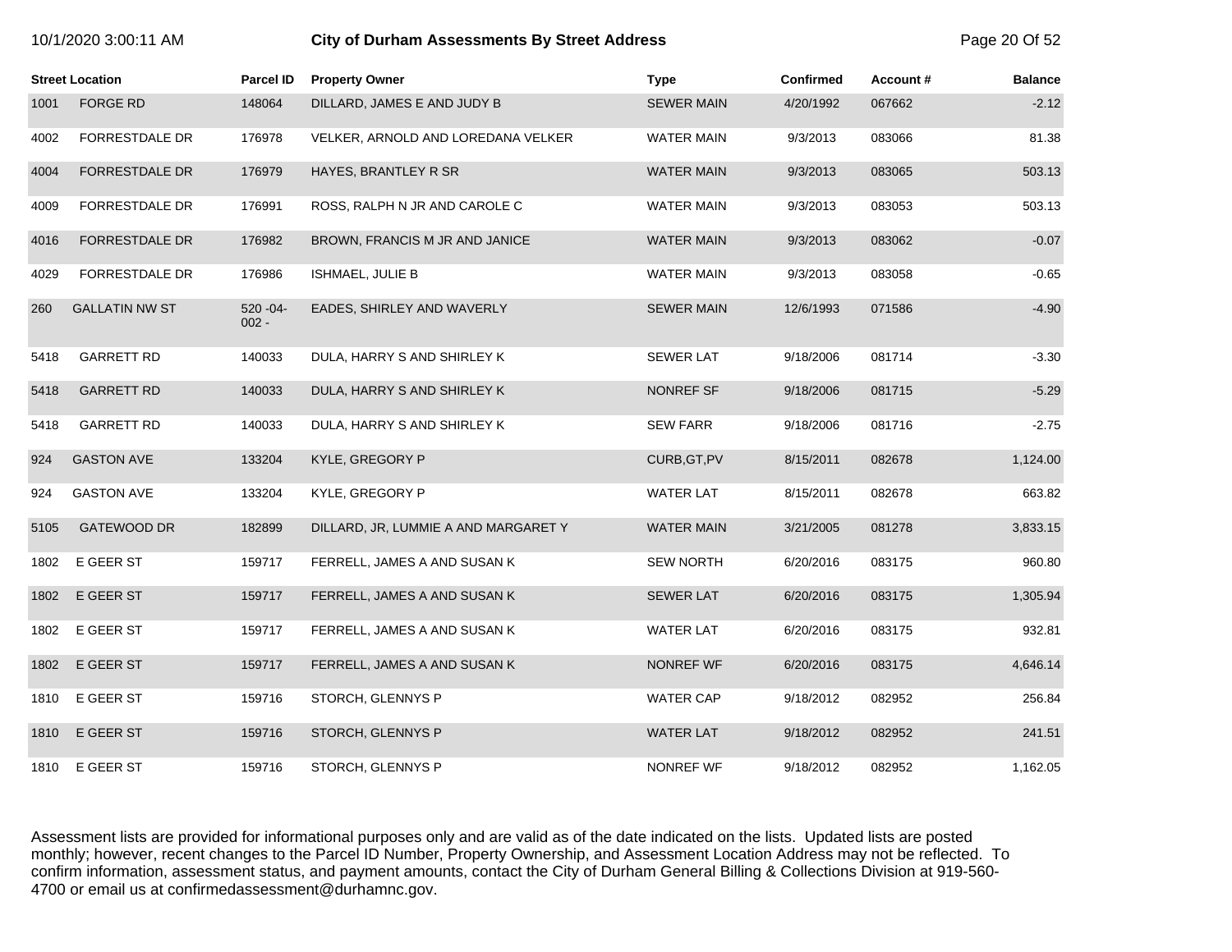| 10/1/2020 3:00:11 AM |  |  |  |
|----------------------|--|--|--|
|----------------------|--|--|--|

# **10.12020 3:00:11 City of Durham Assessments By Street Address** Page 20 Of 52

|      | <b>Street Location</b> | <b>Parcel ID</b>        | <b>Property Owner</b>                | <b>Type</b>       | <b>Confirmed</b> | <b>Account #</b> | <b>Balance</b> |
|------|------------------------|-------------------------|--------------------------------------|-------------------|------------------|------------------|----------------|
| 1001 | <b>FORGE RD</b>        | 148064                  | DILLARD, JAMES E AND JUDY B          | <b>SEWER MAIN</b> | 4/20/1992        | 067662           | $-2.12$        |
| 4002 | <b>FORRESTDALE DR</b>  | 176978                  | VELKER, ARNOLD AND LOREDANA VELKER   | <b>WATER MAIN</b> | 9/3/2013         | 083066           | 81.38          |
| 4004 | <b>FORRESTDALE DR</b>  | 176979                  | HAYES, BRANTLEY R SR                 | <b>WATER MAIN</b> | 9/3/2013         | 083065           | 503.13         |
| 4009 | <b>FORRESTDALE DR</b>  | 176991                  | ROSS, RALPH N JR AND CAROLE C        | <b>WATER MAIN</b> | 9/3/2013         | 083053           | 503.13         |
| 4016 | <b>FORRESTDALE DR</b>  | 176982                  | BROWN, FRANCIS M JR AND JANICE       | <b>WATER MAIN</b> | 9/3/2013         | 083062           | $-0.07$        |
| 4029 | FORRESTDALE DR         | 176986                  | ISHMAEL, JULIE B                     | <b>WATER MAIN</b> | 9/3/2013         | 083058           | $-0.65$        |
| 260  | <b>GALLATIN NW ST</b>  | $520 - 04 -$<br>$002 -$ | EADES, SHIRLEY AND WAVERLY           | <b>SEWER MAIN</b> | 12/6/1993        | 071586           | $-4.90$        |
| 5418 | <b>GARRETT RD</b>      | 140033                  | DULA, HARRY S AND SHIRLEY K          | <b>SEWER LAT</b>  | 9/18/2006        | 081714           | $-3.30$        |
| 5418 | <b>GARRETT RD</b>      | 140033                  | DULA, HARRY S AND SHIRLEY K          | NONREF SF         | 9/18/2006        | 081715           | $-5.29$        |
| 5418 | <b>GARRETT RD</b>      | 140033                  | DULA, HARRY S AND SHIRLEY K          | <b>SEW FARR</b>   | 9/18/2006        | 081716           | $-2.75$        |
| 924  | <b>GASTON AVE</b>      | 133204                  | KYLE, GREGORY P                      | CURB, GT, PV      | 8/15/2011        | 082678           | 1,124.00       |
| 924  | <b>GASTON AVE</b>      | 133204                  | KYLE, GREGORY P                      | <b>WATER LAT</b>  | 8/15/2011        | 082678           | 663.82         |
| 5105 | GATEWOOD DR            | 182899                  | DILLARD, JR, LUMMIE A AND MARGARET Y | <b>WATER MAIN</b> | 3/21/2005        | 081278           | 3,833.15       |
| 1802 | E GEER ST              | 159717                  | FERRELL, JAMES A AND SUSAN K         | <b>SEW NORTH</b>  | 6/20/2016        | 083175           | 960.80         |
| 1802 | E GEER ST              | 159717                  | FERRELL, JAMES A AND SUSAN K         | <b>SEWER LAT</b>  | 6/20/2016        | 083175           | 1,305.94       |
| 1802 | E GEER ST              | 159717                  | FERRELL, JAMES A AND SUSAN K         | <b>WATER LAT</b>  | 6/20/2016        | 083175           | 932.81         |
| 1802 | E GEER ST              | 159717                  | FERRELL, JAMES A AND SUSAN K         | NONREF WF         | 6/20/2016        | 083175           | 4,646.14       |
| 1810 | E GEER ST              | 159716                  | STORCH, GLENNYS P                    | <b>WATER CAP</b>  | 9/18/2012        | 082952           | 256.84         |
| 1810 | E GEER ST              | 159716                  | STORCH, GLENNYS P                    | <b>WATER LAT</b>  | 9/18/2012        | 082952           | 241.51         |
| 1810 | E GEER ST              | 159716                  | STORCH, GLENNYS P                    | NONREF WF         | 9/18/2012        | 082952           | 1,162.05       |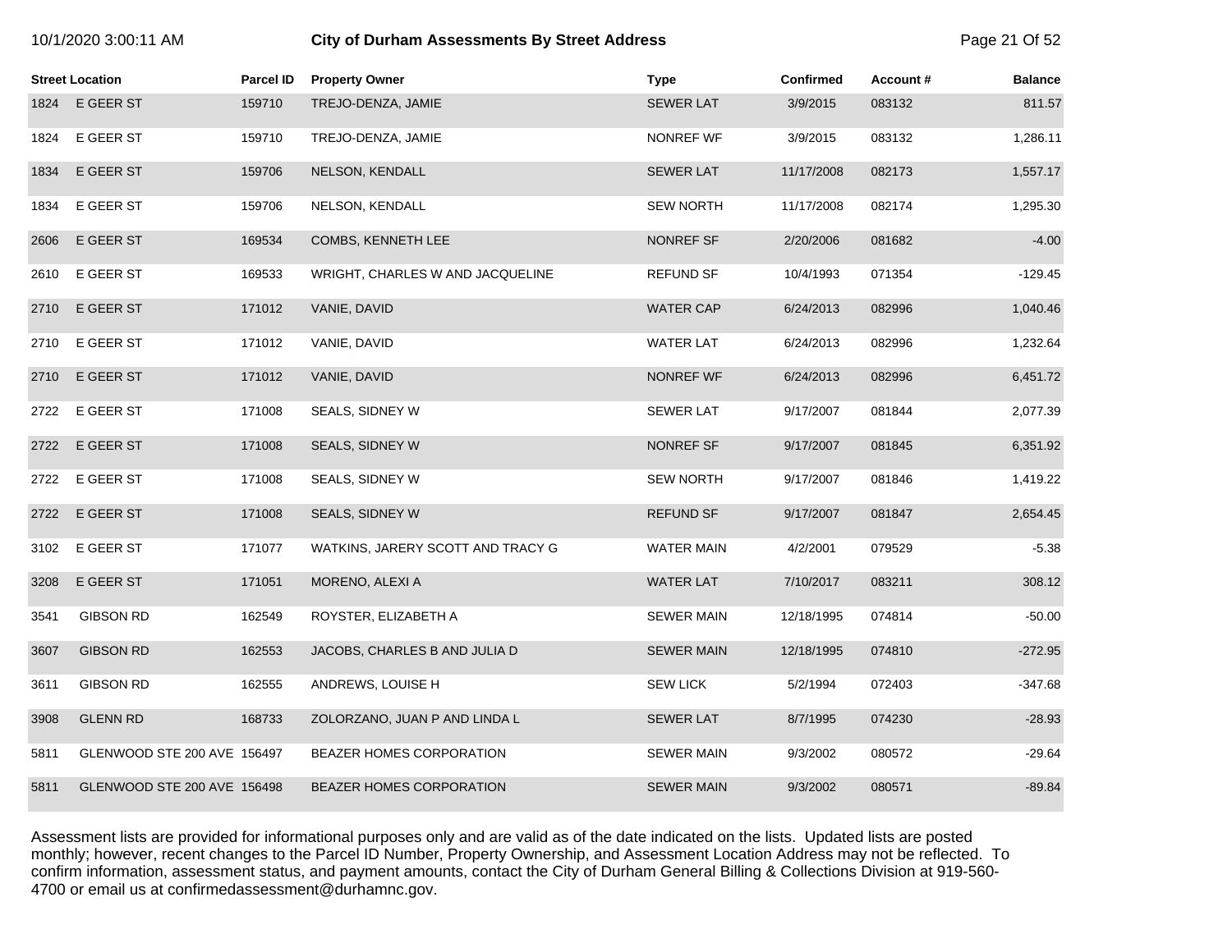## 10/1/2020 3:00:11 AM **City of Durham Assessments By Street Address** Page 21 Of 52

|      | <b>Street Location</b>      | Parcel ID | <b>Property Owner</b>             | <b>Type</b>       | <b>Confirmed</b> | Account# | <b>Balance</b> |
|------|-----------------------------|-----------|-----------------------------------|-------------------|------------------|----------|----------------|
| 1824 | E GEER ST                   | 159710    | TREJO-DENZA, JAMIE                | <b>SEWER LAT</b>  | 3/9/2015         | 083132   | 811.57         |
| 1824 | E GEER ST                   | 159710    | TREJO-DENZA, JAMIE                | NONREF WF         | 3/9/2015         | 083132   | 1,286.11       |
| 1834 | E GEER ST                   | 159706    | NELSON, KENDALL                   | <b>SEWER LAT</b>  | 11/17/2008       | 082173   | 1,557.17       |
| 1834 | E GEER ST                   | 159706    | NELSON, KENDALL                   | <b>SEW NORTH</b>  | 11/17/2008       | 082174   | 1,295.30       |
| 2606 | E GEER ST                   | 169534    | COMBS, KENNETH LEE                | NONREF SF         | 2/20/2006        | 081682   | $-4.00$        |
| 2610 | E GEER ST                   | 169533    | WRIGHT, CHARLES W AND JACQUELINE  | <b>REFUND SF</b>  | 10/4/1993        | 071354   | $-129.45$      |
| 2710 | E GEER ST                   | 171012    | VANIE, DAVID                      | <b>WATER CAP</b>  | 6/24/2013        | 082996   | 1,040.46       |
| 2710 | E GEER ST                   | 171012    | VANIE, DAVID                      | <b>WATER LAT</b>  | 6/24/2013        | 082996   | 1,232.64       |
| 2710 | E GEER ST                   | 171012    | VANIE, DAVID                      | NONREF WF         | 6/24/2013        | 082996   | 6,451.72       |
| 2722 | E GEER ST                   | 171008    | SEALS, SIDNEY W                   | <b>SEWER LAT</b>  | 9/17/2007        | 081844   | 2,077.39       |
| 2722 | E GEER ST                   | 171008    | SEALS, SIDNEY W                   | NONREF SF         | 9/17/2007        | 081845   | 6,351.92       |
| 2722 | E GEER ST                   | 171008    | SEALS, SIDNEY W                   | <b>SEW NORTH</b>  | 9/17/2007        | 081846   | 1,419.22       |
| 2722 | E GEER ST                   | 171008    | SEALS, SIDNEY W                   | <b>REFUND SF</b>  | 9/17/2007        | 081847   | 2,654.45       |
| 3102 | E GEER ST                   | 171077    | WATKINS, JARERY SCOTT AND TRACY G | <b>WATER MAIN</b> | 4/2/2001         | 079529   | $-5.38$        |
| 3208 | E GEER ST                   | 171051    | MORENO, ALEXI A                   | <b>WATER LAT</b>  | 7/10/2017        | 083211   | 308.12         |
| 3541 | <b>GIBSON RD</b>            | 162549    | ROYSTER, ELIZABETH A              | <b>SEWER MAIN</b> | 12/18/1995       | 074814   | $-50.00$       |
| 3607 | <b>GIBSON RD</b>            | 162553    | JACOBS, CHARLES B AND JULIA D     | <b>SEWER MAIN</b> | 12/18/1995       | 074810   | $-272.95$      |
| 3611 | <b>GIBSON RD</b>            | 162555    | ANDREWS, LOUISE H                 | <b>SEW LICK</b>   | 5/2/1994         | 072403   | $-347.68$      |
| 3908 | <b>GLENN RD</b>             | 168733    | ZOLORZANO, JUAN P AND LINDA L     | <b>SEWER LAT</b>  | 8/7/1995         | 074230   | $-28.93$       |
| 5811 | GLENWOOD STE 200 AVE 156497 |           | BEAZER HOMES CORPORATION          | <b>SEWER MAIN</b> | 9/3/2002         | 080572   | $-29.64$       |
| 5811 | GLENWOOD STE 200 AVE 156498 |           | BEAZER HOMES CORPORATION          | <b>SEWER MAIN</b> | 9/3/2002         | 080571   | $-89.84$       |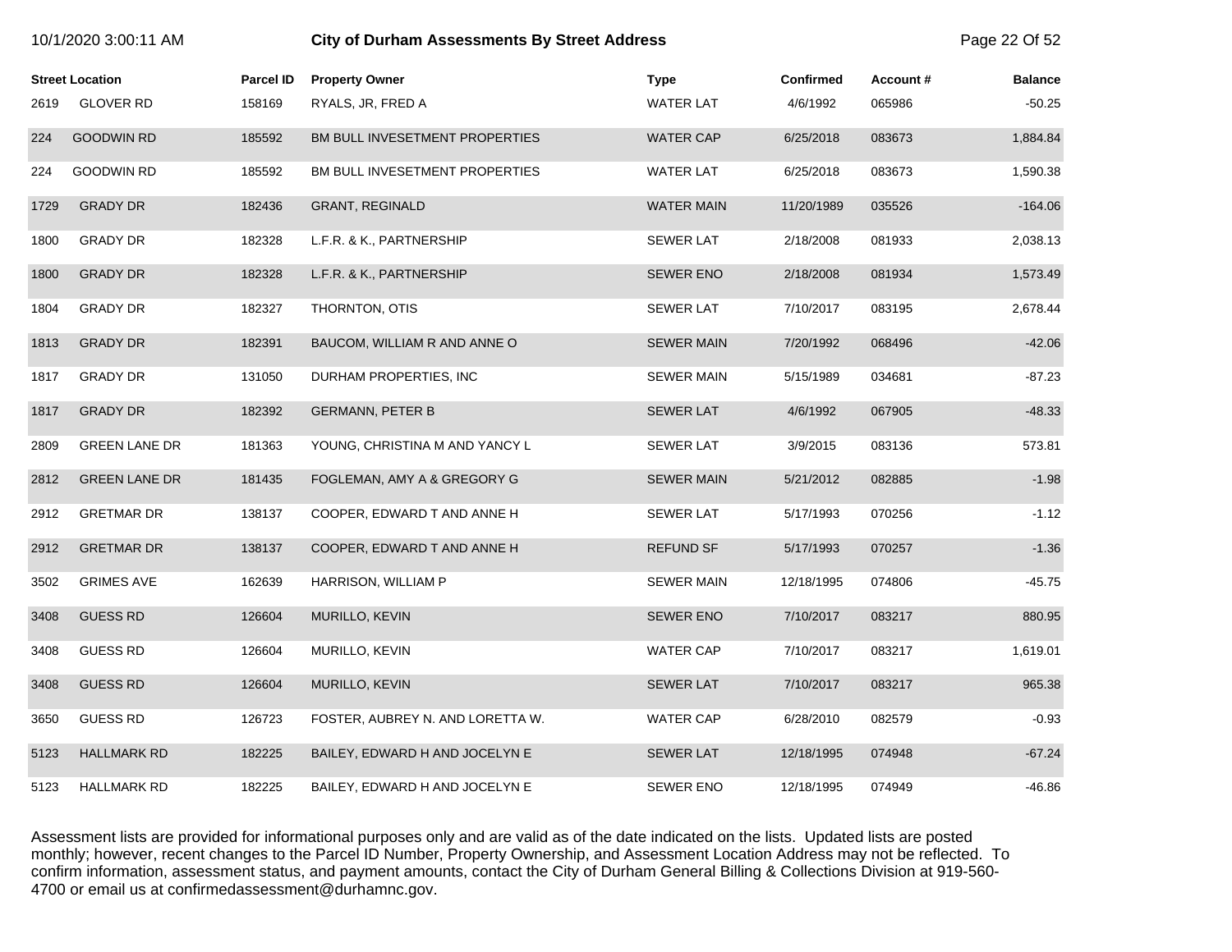|      | 10/1/2020 3:00:11 AM   |           | <b>City of Durham Assessments By Street Address</b> |                   |                  |          |                |
|------|------------------------|-----------|-----------------------------------------------------|-------------------|------------------|----------|----------------|
|      | <b>Street Location</b> | Parcel ID | <b>Property Owner</b>                               | Type              | <b>Confirmed</b> | Account# | <b>Balance</b> |
| 2619 | <b>GLOVER RD</b>       | 158169    | RYALS, JR, FRED A                                   | <b>WATER LAT</b>  | 4/6/1992         | 065986   | $-50.25$       |
| 224  | <b>GOODWIN RD</b>      | 185592    | BM BULL INVESETMENT PROPERTIES                      | <b>WATER CAP</b>  | 6/25/2018        | 083673   | 1,884.84       |
| 224  | <b>GOODWIN RD</b>      | 185592    | BM BULL INVESETMENT PROPERTIES                      | <b>WATER LAT</b>  | 6/25/2018        | 083673   | 1,590.38       |
| 1729 | <b>GRADY DR</b>        | 182436    | <b>GRANT, REGINALD</b>                              | <b>WATER MAIN</b> | 11/20/1989       | 035526   | $-164.06$      |
| 1800 | <b>GRADY DR</b>        | 182328    | L.F.R. & K., PARTNERSHIP                            | <b>SEWER LAT</b>  | 2/18/2008        | 081933   | 2,038.13       |
| 1800 | <b>GRADY DR</b>        | 182328    | L.F.R. & K., PARTNERSHIP                            | <b>SEWER ENO</b>  | 2/18/2008        | 081934   | 1,573.49       |
| 1804 | <b>GRADY DR</b>        | 182327    | THORNTON, OTIS                                      | <b>SEWER LAT</b>  | 7/10/2017        | 083195   | 2,678.44       |
| 1813 | <b>GRADY DR</b>        | 182391    | BAUCOM, WILLIAM R AND ANNE O                        | <b>SEWER MAIN</b> | 7/20/1992        | 068496   | $-42.06$       |
| 1817 | <b>GRADY DR</b>        | 131050    | DURHAM PROPERTIES, INC                              | <b>SEWER MAIN</b> | 5/15/1989        | 034681   | $-87.23$       |
| 1817 | <b>GRADY DR</b>        | 182392    | <b>GERMANN, PETER B</b>                             | <b>SEWER LAT</b>  | 4/6/1992         | 067905   | $-48.33$       |
| 2809 | <b>GREEN LANE DR</b>   | 181363    | YOUNG, CHRISTINA M AND YANCY L                      | <b>SEWER LAT</b>  | 3/9/2015         | 083136   | 573.81         |
| 2812 | <b>GREEN LANE DR</b>   | 181435    | FOGLEMAN, AMY A & GREGORY G                         | <b>SEWER MAIN</b> | 5/21/2012        | 082885   | $-1.98$        |
| 2912 | <b>GRETMAR DR</b>      | 138137    | COOPER, EDWARD T AND ANNE H                         | <b>SEWER LAT</b>  | 5/17/1993        | 070256   | $-1.12$        |
| 2912 | <b>GRETMAR DR</b>      | 138137    | COOPER, EDWARD T AND ANNE H                         | REFUND SF         | 5/17/1993        | 070257   | $-1.36$        |
| 3502 | <b>GRIMES AVE</b>      | 162639    | HARRISON, WILLIAM P                                 | <b>SEWER MAIN</b> | 12/18/1995       | 074806   | $-45.75$       |
| 3408 | <b>GUESS RD</b>        | 126604    | MURILLO, KEVIN                                      | <b>SEWER ENO</b>  | 7/10/2017        | 083217   | 880.95         |
| 3408 | <b>GUESS RD</b>        | 126604    | MURILLO, KEVIN                                      | <b>WATER CAP</b>  | 7/10/2017        | 083217   | 1,619.01       |
| 3408 | <b>GUESS RD</b>        | 126604    | <b>MURILLO, KEVIN</b>                               | <b>SEWER LAT</b>  | 7/10/2017        | 083217   | 965.38         |
| 3650 | <b>GUESS RD</b>        | 126723    | FOSTER, AUBREY N. AND LORETTA W.                    | <b>WATER CAP</b>  | 6/28/2010        | 082579   | $-0.93$        |
| 5123 | <b>HALLMARK RD</b>     | 182225    | BAILEY, EDWARD H AND JOCELYN E                      | <b>SEWER LAT</b>  | 12/18/1995       | 074948   | $-67.24$       |
| 5123 | <b>HALLMARK RD</b>     | 182225    | BAILEY, EDWARD H AND JOCELYN E                      | <b>SEWER ENO</b>  | 12/18/1995       | 074949   | $-46.86$       |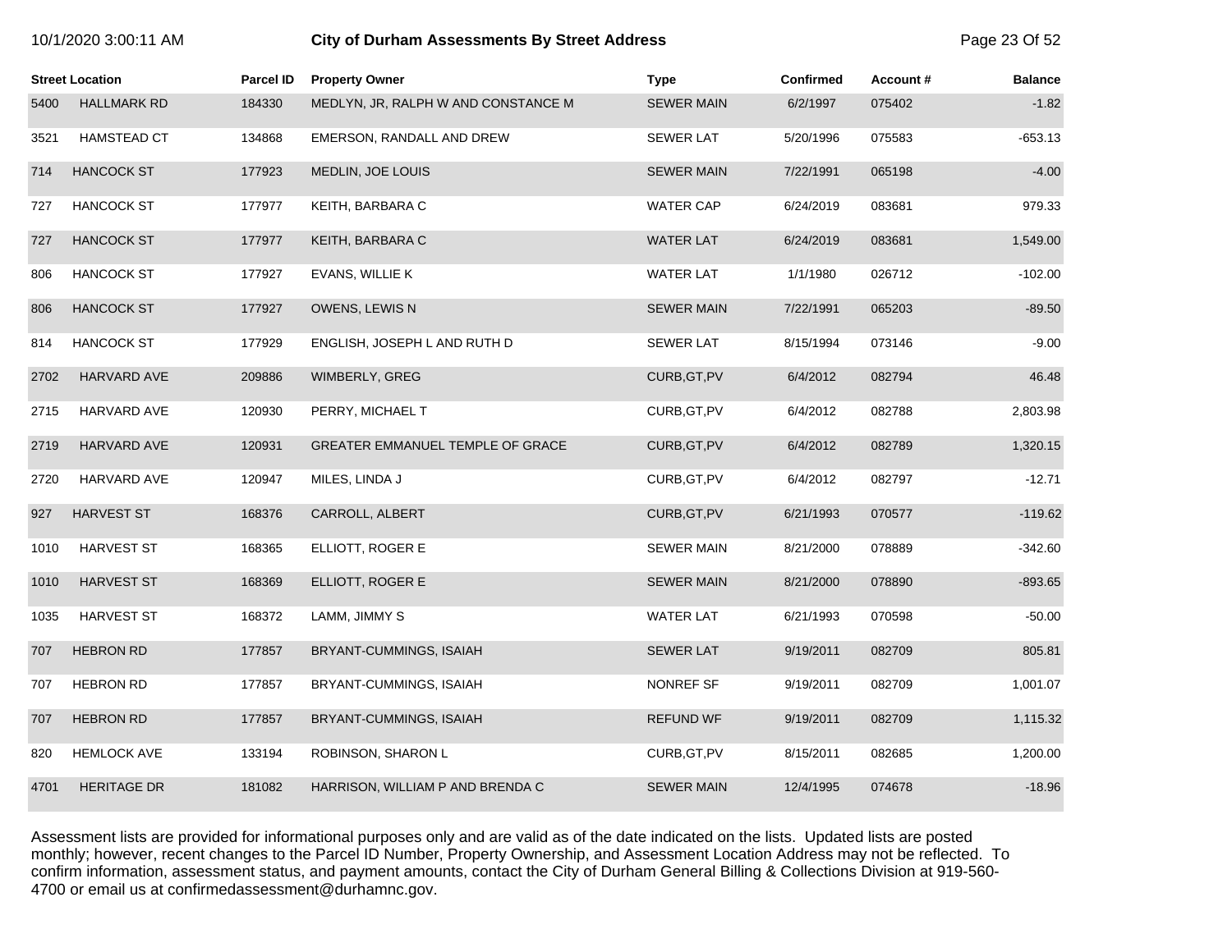| 10/1/2020 3:00:11 AM |  |  |
|----------------------|--|--|
|----------------------|--|--|

## **10.12020 6:00:11 City of Durham Assessments By Street Address** Page 23 Of 52

|      | <b>Street Location</b> | Parcel ID | <b>Property Owner</b>               | <b>Type</b>       | <b>Confirmed</b> | Account# | <b>Balance</b> |
|------|------------------------|-----------|-------------------------------------|-------------------|------------------|----------|----------------|
| 5400 | <b>HALLMARK RD</b>     | 184330    | MEDLYN, JR, RALPH W AND CONSTANCE M | <b>SEWER MAIN</b> | 6/2/1997         | 075402   | $-1.82$        |
| 3521 | HAMSTEAD CT            | 134868    | EMERSON, RANDALL AND DREW           | <b>SEWER LAT</b>  | 5/20/1996        | 075583   | $-653.13$      |
| 714  | <b>HANCOCK ST</b>      | 177923    | <b>MEDLIN, JOE LOUIS</b>            | <b>SEWER MAIN</b> | 7/22/1991        | 065198   | $-4.00$        |
| 727  | HANCOCK ST             | 177977    | KEITH, BARBARA C                    | <b>WATER CAP</b>  | 6/24/2019        | 083681   | 979.33         |
| 727  | <b>HANCOCK ST</b>      | 177977    | KEITH, BARBARA C                    | <b>WATER LAT</b>  | 6/24/2019        | 083681   | 1,549.00       |
| 806  | <b>HANCOCK ST</b>      | 177927    | EVANS, WILLIE K                     | <b>WATER LAT</b>  | 1/1/1980         | 026712   | $-102.00$      |
| 806  | <b>HANCOCK ST</b>      | 177927    | <b>OWENS, LEWIS N</b>               | <b>SEWER MAIN</b> | 7/22/1991        | 065203   | $-89.50$       |
| 814  | <b>HANCOCK ST</b>      | 177929    | ENGLISH, JOSEPH L AND RUTH D        | <b>SEWER LAT</b>  | 8/15/1994        | 073146   | $-9.00$        |
| 2702 | HARVARD AVE            | 209886    | WIMBERLY, GREG                      | CURB, GT, PV      | 6/4/2012         | 082794   | 46.48          |
| 2715 | HARVARD AVE            | 120930    | PERRY, MICHAEL T                    | CURB, GT, PV      | 6/4/2012         | 082788   | 2,803.98       |
| 2719 | <b>HARVARD AVE</b>     | 120931    | GREATER EMMANUEL TEMPLE OF GRACE    | CURB, GT, PV      | 6/4/2012         | 082789   | 1,320.15       |
| 2720 | HARVARD AVE            | 120947    | MILES, LINDA J                      | CURB, GT, PV      | 6/4/2012         | 082797   | $-12.71$       |
| 927  | <b>HARVEST ST</b>      | 168376    | CARROLL, ALBERT                     | CURB, GT, PV      | 6/21/1993        | 070577   | $-119.62$      |
| 1010 | <b>HARVEST ST</b>      | 168365    | ELLIOTT, ROGER E                    | <b>SEWER MAIN</b> | 8/21/2000        | 078889   | $-342.60$      |
| 1010 | <b>HARVEST ST</b>      | 168369    | ELLIOTT, ROGER E                    | <b>SEWER MAIN</b> | 8/21/2000        | 078890   | $-893.65$      |
| 1035 | <b>HARVEST ST</b>      | 168372    | LAMM, JIMMY S                       | <b>WATER LAT</b>  | 6/21/1993        | 070598   | $-50.00$       |
| 707  | <b>HEBRON RD</b>       | 177857    | BRYANT-CUMMINGS, ISAIAH             | <b>SEWER LAT</b>  | 9/19/2011        | 082709   | 805.81         |
| 707  | <b>HEBRON RD</b>       | 177857    | BRYANT-CUMMINGS, ISAIAH             | NONREF SF         | 9/19/2011        | 082709   | 1,001.07       |
| 707  | <b>HEBRON RD</b>       | 177857    | BRYANT-CUMMINGS, ISAIAH             | <b>REFUND WF</b>  | 9/19/2011        | 082709   | 1,115.32       |
| 820  | <b>HEMLOCK AVE</b>     | 133194    | ROBINSON, SHARON L                  | CURB, GT, PV      | 8/15/2011        | 082685   | 1,200.00       |
| 4701 | <b>HERITAGE DR</b>     | 181082    | HARRISON, WILLIAM P AND BRENDA C    | <b>SEWER MAIN</b> | 12/4/1995        | 074678   | $-18.96$       |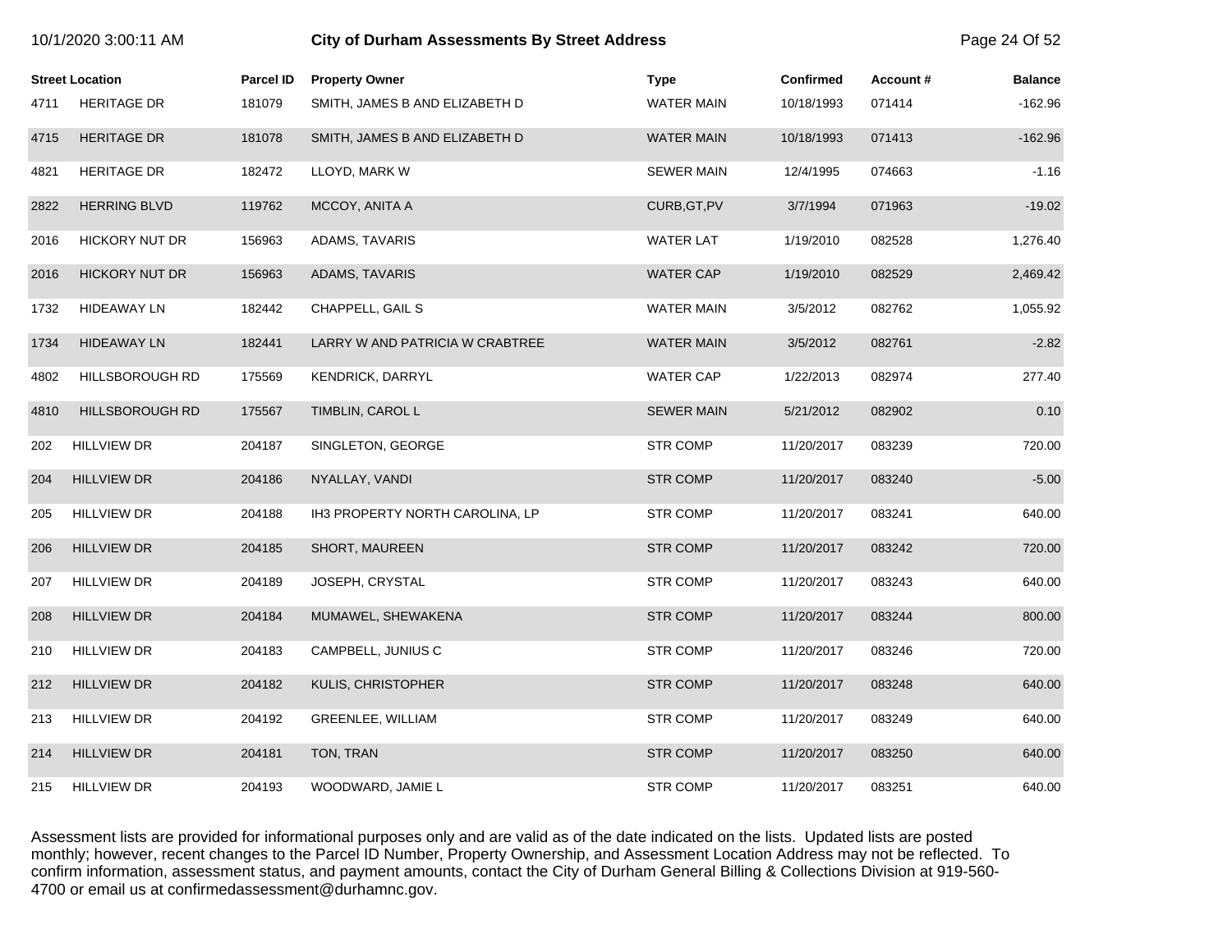|      | 10/1/2020 3:00:11 AM   |                  | <b>City of Durham Assessments By Street Address</b> |                   |            |          |                |
|------|------------------------|------------------|-----------------------------------------------------|-------------------|------------|----------|----------------|
|      | <b>Street Location</b> | <b>Parcel ID</b> | <b>Property Owner</b>                               | <b>Type</b>       | Confirmed  | Account# | <b>Balance</b> |
| 4711 | <b>HERITAGE DR</b>     | 181079           | SMITH, JAMES B AND ELIZABETH D                      | <b>WATER MAIN</b> | 10/18/1993 | 071414   | $-162.96$      |
| 4715 | <b>HERITAGE DR</b>     | 181078           | SMITH, JAMES B AND ELIZABETH D                      | <b>WATER MAIN</b> | 10/18/1993 | 071413   | $-162.96$      |
| 4821 | HERITAGE DR            | 182472           | LLOYD, MARK W                                       | <b>SEWER MAIN</b> | 12/4/1995  | 074663   | $-1.16$        |
| 2822 | <b>HERRING BLVD</b>    | 119762           | MCCOY, ANITA A                                      | CURB, GT, PV      | 3/7/1994   | 071963   | $-19.02$       |
| 2016 | <b>HICKORY NUT DR</b>  | 156963           | ADAMS, TAVARIS                                      | <b>WATER LAT</b>  | 1/19/2010  | 082528   | 1,276.40       |
| 2016 | <b>HICKORY NUT DR</b>  | 156963           | ADAMS, TAVARIS                                      | <b>WATER CAP</b>  | 1/19/2010  | 082529   | 2,469.42       |
| 1732 | <b>HIDEAWAY LN</b>     | 182442           | CHAPPELL, GAIL S                                    | <b>WATER MAIN</b> | 3/5/2012   | 082762   | 1,055.92       |
| 1734 | <b>HIDEAWAY LN</b>     | 182441           | LARRY W AND PATRICIA W CRABTREE                     | <b>WATER MAIN</b> | 3/5/2012   | 082761   | $-2.82$        |
| 4802 | HILLSBOROUGH RD        | 175569           | KENDRICK, DARRYL                                    | <b>WATER CAP</b>  | 1/22/2013  | 082974   | 277.40         |
| 4810 | <b>HILLSBOROUGH RD</b> | 175567           | TIMBLIN, CAROL L                                    | <b>SEWER MAIN</b> | 5/21/2012  | 082902   | 0.10           |
| 202  | HILLVIEW DR            | 204187           | SINGLETON, GEORGE                                   | <b>STR COMP</b>   | 11/20/2017 | 083239   | 720.00         |
| 204  | <b>HILLVIEW DR</b>     | 204186           | NYALLAY, VANDI                                      | <b>STR COMP</b>   | 11/20/2017 | 083240   | $-5.00$        |
| 205  | <b>HILLVIEW DR</b>     | 204188           | IH3 PROPERTY NORTH CAROLINA, LP                     | <b>STR COMP</b>   | 11/20/2017 | 083241   | 640.00         |
| 206  | <b>HILLVIEW DR</b>     | 204185           | <b>SHORT, MAUREEN</b>                               | <b>STR COMP</b>   | 11/20/2017 | 083242   | 720.00         |
| 207  | <b>HILLVIEW DR</b>     | 204189           | JOSEPH, CRYSTAL                                     | <b>STR COMP</b>   | 11/20/2017 | 083243   | 640.00         |
| 208  | <b>HILLVIEW DR</b>     | 204184           | MUMAWEL, SHEWAKENA                                  | <b>STR COMP</b>   | 11/20/2017 | 083244   | 800.00         |
| 210  | <b>HILLVIEW DR</b>     | 204183           | CAMPBELL, JUNIUS C                                  | <b>STR COMP</b>   | 11/20/2017 | 083246   | 720.00         |
| 212  | <b>HILLVIEW DR</b>     | 204182           | KULIS, CHRISTOPHER                                  | <b>STR COMP</b>   | 11/20/2017 | 083248   | 640.00         |
| 213  | <b>HILLVIEW DR</b>     | 204192           | GREENLEE, WILLIAM                                   | STR COMP          | 11/20/2017 | 083249   | 640.00         |
| 214  | <b>HILLVIEW DR</b>     | 204181           | TON, TRAN                                           | <b>STR COMP</b>   | 11/20/2017 | 083250   | 640.00         |
| 215  | <b>HILLVIEW DR</b>     | 204193           | WOODWARD, JAMIE L                                   | <b>STR COMP</b>   | 11/20/2017 | 083251   | 640.00         |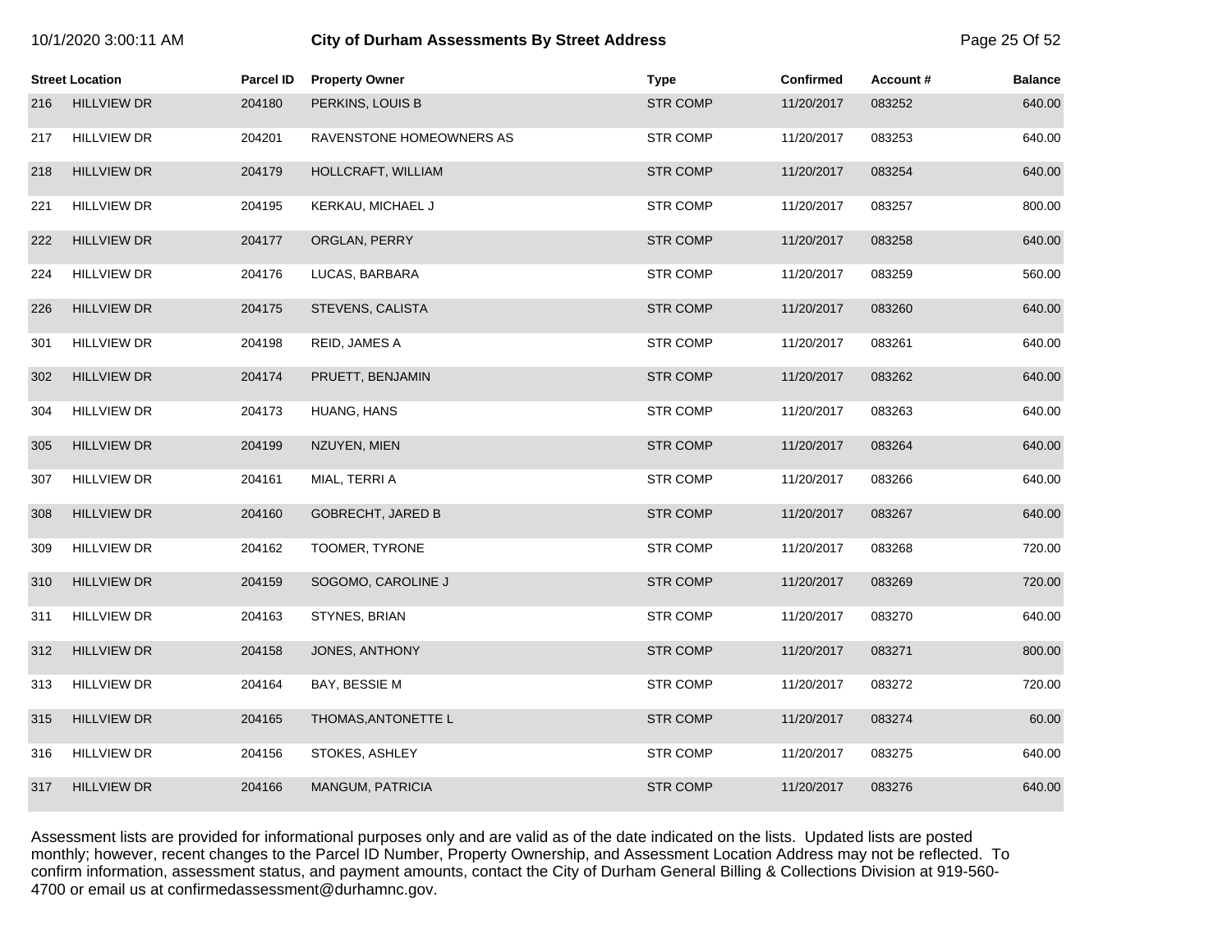|     | <b>Street Location</b> | <b>Parcel ID</b> | <b>Property Owner</b>    | <b>Type</b>     | <b>Confirmed</b> | Account# | <b>Balance</b> |
|-----|------------------------|------------------|--------------------------|-----------------|------------------|----------|----------------|
| 216 | <b>HILLVIEW DR</b>     | 204180           | PERKINS, LOUIS B         | <b>STR COMP</b> | 11/20/2017       | 083252   | 640.00         |
| 217 | <b>HILLVIEW DR</b>     | 204201           | RAVENSTONE HOMEOWNERS AS | <b>STR COMP</b> | 11/20/2017       | 083253   | 640.00         |
| 218 | <b>HILLVIEW DR</b>     | 204179           | HOLLCRAFT, WILLIAM       | <b>STR COMP</b> | 11/20/2017       | 083254   | 640.00         |
| 221 | <b>HILLVIEW DR</b>     | 204195           | KERKAU, MICHAEL J        | <b>STR COMP</b> | 11/20/2017       | 083257   | 800.00         |
| 222 | <b>HILLVIEW DR</b>     | 204177           | ORGLAN, PERRY            | <b>STR COMP</b> | 11/20/2017       | 083258   | 640.00         |
| 224 | <b>HILLVIEW DR</b>     | 204176           | LUCAS, BARBARA           | <b>STR COMP</b> | 11/20/2017       | 083259   | 560.00         |
| 226 | <b>HILLVIEW DR</b>     | 204175           | STEVENS, CALISTA         | <b>STR COMP</b> | 11/20/2017       | 083260   | 640.00         |
| 301 | <b>HILLVIEW DR</b>     | 204198           | REID, JAMES A            | <b>STR COMP</b> | 11/20/2017       | 083261   | 640.00         |
| 302 | <b>HILLVIEW DR</b>     | 204174           | PRUETT, BENJAMIN         | <b>STR COMP</b> | 11/20/2017       | 083262   | 640.00         |
| 304 | <b>HILLVIEW DR</b>     | 204173           | HUANG, HANS              | <b>STR COMP</b> | 11/20/2017       | 083263   | 640.00         |
| 305 | <b>HILLVIEW DR</b>     | 204199           | NZUYEN, MIEN             | <b>STR COMP</b> | 11/20/2017       | 083264   | 640.00         |
| 307 | <b>HILLVIEW DR</b>     | 204161           | MIAL, TERRI A            | <b>STR COMP</b> | 11/20/2017       | 083266   | 640.00         |
| 308 | <b>HILLVIEW DR</b>     | 204160           | <b>GOBRECHT, JARED B</b> | <b>STR COMP</b> | 11/20/2017       | 083267   | 640.00         |
| 309 | HILLVIEW DR            | 204162           | TOOMER, TYRONE           | <b>STR COMP</b> | 11/20/2017       | 083268   | 720.00         |
| 310 | <b>HILLVIEW DR</b>     | 204159           | SOGOMO, CAROLINE J       | <b>STR COMP</b> | 11/20/2017       | 083269   | 720.00         |
| 311 | <b>HILLVIEW DR</b>     | 204163           | STYNES, BRIAN            | <b>STR COMP</b> | 11/20/2017       | 083270   | 640.00         |
| 312 | <b>HILLVIEW DR</b>     | 204158           | JONES, ANTHONY           | <b>STR COMP</b> | 11/20/2017       | 083271   | 800.00         |
| 313 | <b>HILLVIEW DR</b>     | 204164           | BAY, BESSIE M            | <b>STR COMP</b> | 11/20/2017       | 083272   | 720.00         |
| 315 | <b>HILLVIEW DR</b>     | 204165           | THOMAS, ANTONETTE L      | <b>STR COMP</b> | 11/20/2017       | 083274   | 60.00          |
| 316 | <b>HILLVIEW DR</b>     | 204156           | STOKES, ASHLEY           | <b>STR COMP</b> | 11/20/2017       | 083275   | 640.00         |
| 317 | <b>HILLVIEW DR</b>     | 204166           | <b>MANGUM, PATRICIA</b>  | <b>STR COMP</b> | 11/20/2017       | 083276   | 640.00         |

10/1/2020 3:00:11 AM **City of Durham Assessments By Street Address** Page 25 Of 52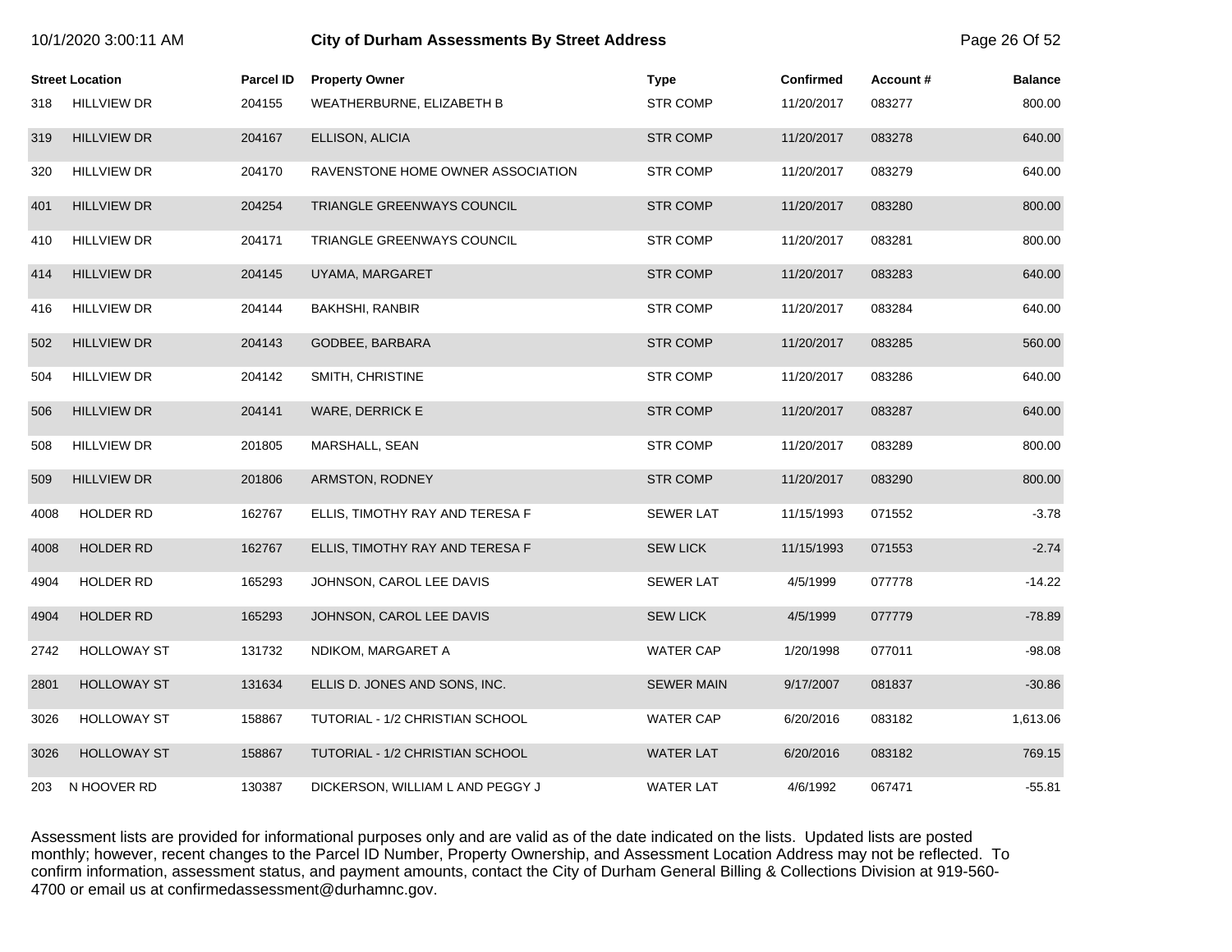|      | <b>Street Location</b> | Parcel ID | <b>Property Owner</b>             | <b>Type</b>       | <b>Confirmed</b> | Account# | <b>Balance</b> |
|------|------------------------|-----------|-----------------------------------|-------------------|------------------|----------|----------------|
| 318  | <b>HILLVIEW DR</b>     | 204155    | WEATHERBURNE, ELIZABETH B         | <b>STR COMP</b>   | 11/20/2017       | 083277   | 800.00         |
| 319  | <b>HILLVIEW DR</b>     | 204167    | ELLISON, ALICIA                   | <b>STR COMP</b>   | 11/20/2017       | 083278   | 640.00         |
| 320  | <b>HILLVIEW DR</b>     | 204170    | RAVENSTONE HOME OWNER ASSOCIATION | <b>STR COMP</b>   | 11/20/2017       | 083279   | 640.00         |
| 401  | <b>HILLVIEW DR</b>     | 204254    | TRIANGLE GREENWAYS COUNCIL        | <b>STR COMP</b>   | 11/20/2017       | 083280   | 800.00         |
| 410  | <b>HILLVIEW DR</b>     | 204171    | TRIANGLE GREENWAYS COUNCIL        | <b>STR COMP</b>   | 11/20/2017       | 083281   | 800.00         |
| 414  | <b>HILLVIEW DR</b>     | 204145    | UYAMA, MARGARET                   | <b>STR COMP</b>   | 11/20/2017       | 083283   | 640.00         |
| 416  | <b>HILLVIEW DR</b>     | 204144    | <b>BAKHSHI, RANBIR</b>            | <b>STR COMP</b>   | 11/20/2017       | 083284   | 640.00         |
| 502  | <b>HILLVIEW DR</b>     | 204143    | GODBEE, BARBARA                   | <b>STR COMP</b>   | 11/20/2017       | 083285   | 560.00         |
| 504  | <b>HILLVIEW DR</b>     | 204142    | SMITH, CHRISTINE                  | <b>STR COMP</b>   | 11/20/2017       | 083286   | 640.00         |
| 506  | <b>HILLVIEW DR</b>     | 204141    | WARE, DERRICK E                   | <b>STR COMP</b>   | 11/20/2017       | 083287   | 640.00         |
| 508  | <b>HILLVIEW DR</b>     | 201805    | MARSHALL, SEAN                    | <b>STR COMP</b>   | 11/20/2017       | 083289   | 800.00         |
| 509  | <b>HILLVIEW DR</b>     | 201806    | ARMSTON, RODNEY                   | <b>STR COMP</b>   | 11/20/2017       | 083290   | 800.00         |
| 4008 | <b>HOLDER RD</b>       | 162767    | ELLIS, TIMOTHY RAY AND TERESA F   | <b>SEWER LAT</b>  | 11/15/1993       | 071552   | $-3.78$        |
| 4008 | <b>HOLDER RD</b>       | 162767    | ELLIS, TIMOTHY RAY AND TERESA F   | <b>SEW LICK</b>   | 11/15/1993       | 071553   | $-2.74$        |
| 4904 | <b>HOLDER RD</b>       | 165293    | JOHNSON, CAROL LEE DAVIS          | <b>SEWER LAT</b>  | 4/5/1999         | 077778   | $-14.22$       |
| 4904 | <b>HOLDER RD</b>       | 165293    | JOHNSON, CAROL LEE DAVIS          | <b>SEW LICK</b>   | 4/5/1999         | 077779   | $-78.89$       |
| 2742 | <b>HOLLOWAY ST</b>     | 131732    | NDIKOM, MARGARET A                | WATER CAP         | 1/20/1998        | 077011   | $-98.08$       |
| 2801 | <b>HOLLOWAY ST</b>     | 131634    | ELLIS D. JONES AND SONS, INC.     | <b>SEWER MAIN</b> | 9/17/2007        | 081837   | $-30.86$       |
| 3026 | <b>HOLLOWAY ST</b>     | 158867    | TUTORIAL - 1/2 CHRISTIAN SCHOOL   | WATER CAP         | 6/20/2016        | 083182   | 1,613.06       |
| 3026 | <b>HOLLOWAY ST</b>     | 158867    | TUTORIAL - 1/2 CHRISTIAN SCHOOL   | <b>WATER LAT</b>  | 6/20/2016        | 083182   | 769.15         |
| 203  | N HOOVER RD            | 130387    | DICKERSON, WILLIAM L AND PEGGY J  | <b>WATER LAT</b>  | 4/6/1992         | 067471   | $-55.81$       |

10/1/2020 3:00:11 AM **City of Durham Assessments By Street Address** Page 26 Of 52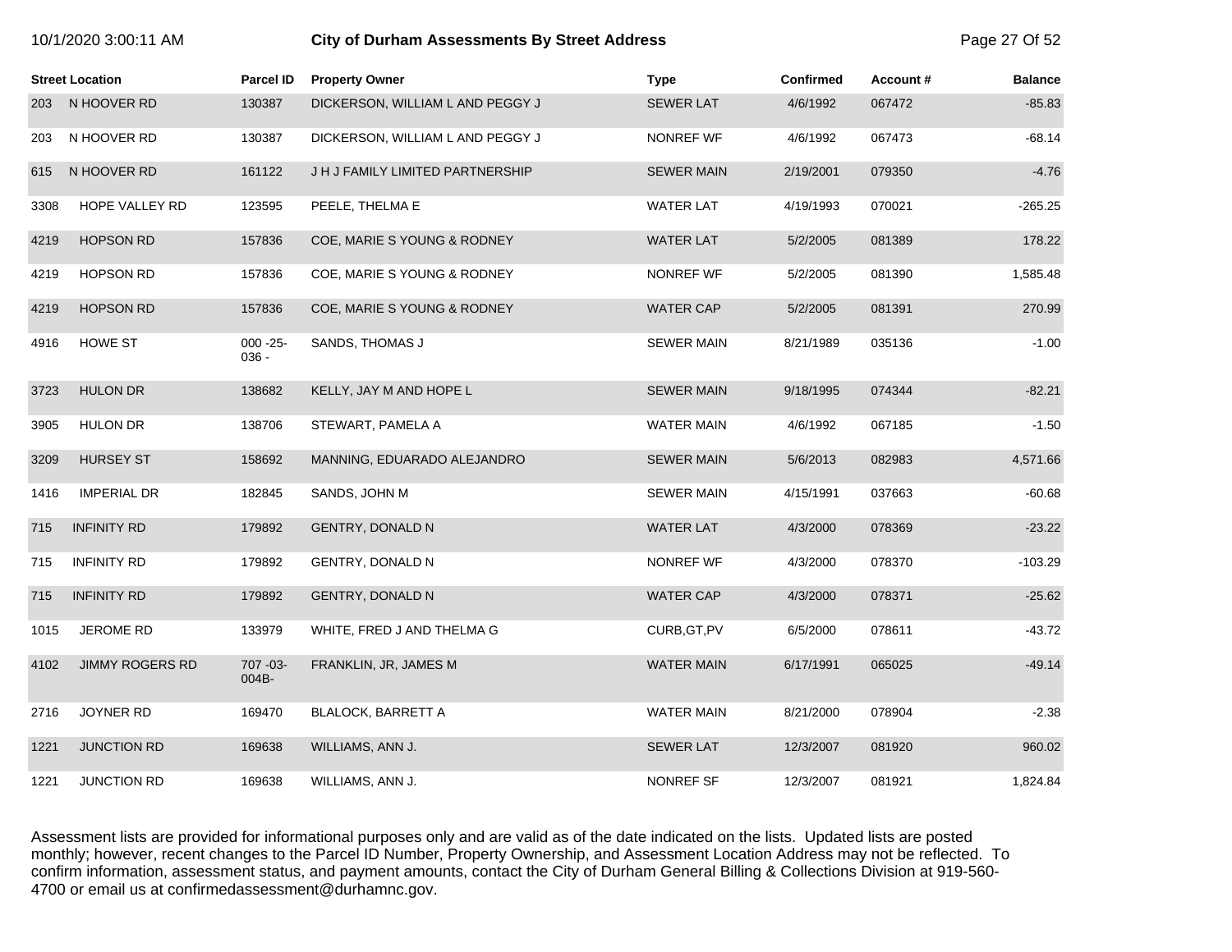| 10/1/2020 3:00:11 AM |                        |                         | <b>City of Durham Assessments By Street Address</b> |                   |           |          |                |
|----------------------|------------------------|-------------------------|-----------------------------------------------------|-------------------|-----------|----------|----------------|
|                      | <b>Street Location</b> | Parcel ID               | <b>Property Owner</b>                               | <b>Type</b>       | Confirmed | Account# | <b>Balance</b> |
| 203                  | N HOOVER RD            | 130387                  | DICKERSON, WILLIAM L AND PEGGY J                    | <b>SEWER LAT</b>  | 4/6/1992  | 067472   | $-85.83$       |
| 203                  | N HOOVER RD            | 130387                  | DICKERSON, WILLIAM L AND PEGGY J                    | NONREF WF         | 4/6/1992  | 067473   | $-68.14$       |
| 615                  | N HOOVER RD            | 161122                  | J H J FAMILY LIMITED PARTNERSHIP                    | <b>SEWER MAIN</b> | 2/19/2001 | 079350   | $-4.76$        |
| 3308                 | HOPE VALLEY RD         | 123595                  | PEELE, THELMA E                                     | <b>WATER LAT</b>  | 4/19/1993 | 070021   | $-265.25$      |
| 4219                 | <b>HOPSON RD</b>       | 157836                  | COE, MARIE S YOUNG & RODNEY                         | <b>WATER LAT</b>  | 5/2/2005  | 081389   | 178.22         |
| 4219                 | <b>HOPSON RD</b>       | 157836                  | COE, MARIE S YOUNG & RODNEY                         | NONREF WF         | 5/2/2005  | 081390   | 1,585.48       |
| 4219                 | <b>HOPSON RD</b>       | 157836                  | COE, MARIE S YOUNG & RODNEY                         | <b>WATER CAP</b>  | 5/2/2005  | 081391   | 270.99         |
| 4916                 | HOWE ST                | $000 - 25 -$<br>$036 -$ | SANDS, THOMAS J                                     | <b>SEWER MAIN</b> | 8/21/1989 | 035136   | $-1.00$        |
| 3723                 | <b>HULON DR</b>        | 138682                  | KELLY, JAY M AND HOPE L                             | <b>SEWER MAIN</b> | 9/18/1995 | 074344   | $-82.21$       |
| 3905                 | <b>HULON DR</b>        | 138706                  | STEWART, PAMELA A                                   | <b>WATER MAIN</b> | 4/6/1992  | 067185   | $-1.50$        |
| 3209                 | <b>HURSEY ST</b>       | 158692                  | MANNING, EDUARADO ALEJANDRO                         | <b>SEWER MAIN</b> | 5/6/2013  | 082983   | 4,571.66       |
| 1416                 | <b>IMPERIAL DR</b>     | 182845                  | SANDS, JOHN M                                       | SEWER MAIN        | 4/15/1991 | 037663   | -60.68         |
| 715                  | <b>INFINITY RD</b>     | 179892                  | <b>GENTRY, DONALD N</b>                             | <b>WATER LAT</b>  | 4/3/2000  | 078369   | $-23.22$       |
| 715                  | <b>INFINITY RD</b>     | 179892                  | <b>GENTRY, DONALD N</b>                             | NONREF WF         | 4/3/2000  | 078370   | $-103.29$      |
| 715                  | <b>INFINITY RD</b>     | 179892                  | <b>GENTRY, DONALD N</b>                             | <b>WATER CAP</b>  | 4/3/2000  | 078371   | $-25.62$       |
| 1015                 | JEROME RD              | 133979                  | WHITE, FRED J AND THELMA G                          | CURB, GT, PV      | 6/5/2000  | 078611   | $-43.72$       |
| 4102                 | <b>JIMMY ROGERS RD</b> | 707 - 03 -<br>004B-     | FRANKLIN, JR, JAMES M                               | <b>WATER MAIN</b> | 6/17/1991 | 065025   | $-49.14$       |
| 2716                 | JOYNER RD              | 169470                  | <b>BLALOCK, BARRETT A</b>                           | <b>WATER MAIN</b> | 8/21/2000 | 078904   | $-2.38$        |
| 1221                 | <b>JUNCTION RD</b>     | 169638                  | WILLIAMS, ANN J.                                    | <b>SEWER LAT</b>  | 12/3/2007 | 081920   | 960.02         |
| 1221                 | <b>JUNCTION RD</b>     | 169638                  | WILLIAMS, ANN J.                                    | NONREF SF         | 12/3/2007 | 081921   | 1.824.84       |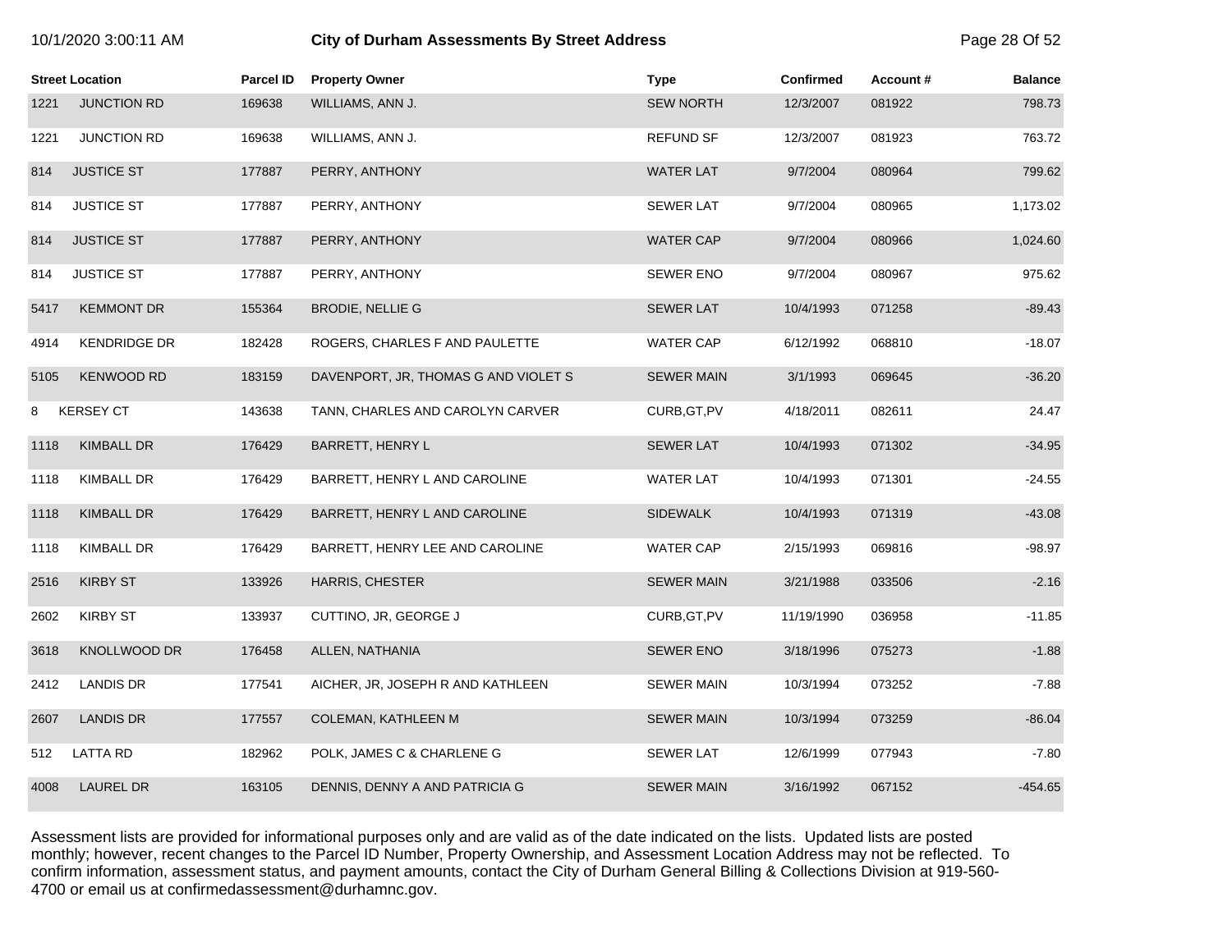| 10/1/2020 3:00:11 AM |  |  |
|----------------------|--|--|
|----------------------|--|--|

# **10/2020 6:00:11 City of Durham Assessments By Street Address** Page 28 Of 52

|      | <b>Street Location</b> | Parcel ID | <b>Property Owner</b>                | <b>Type</b>       | <b>Confirmed</b> | Account# | <b>Balance</b> |
|------|------------------------|-----------|--------------------------------------|-------------------|------------------|----------|----------------|
| 1221 | <b>JUNCTION RD</b>     | 169638    | WILLIAMS, ANN J.                     | <b>SEW NORTH</b>  | 12/3/2007        | 081922   | 798.73         |
| 1221 | <b>JUNCTION RD</b>     | 169638    | WILLIAMS, ANN J.                     | <b>REFUND SF</b>  | 12/3/2007        | 081923   | 763.72         |
| 814  | <b>JUSTICE ST</b>      | 177887    | PERRY, ANTHONY                       | <b>WATER LAT</b>  | 9/7/2004         | 080964   | 799.62         |
| 814  | <b>JUSTICE ST</b>      | 177887    | PERRY, ANTHONY                       | <b>SEWER LAT</b>  | 9/7/2004         | 080965   | 1,173.02       |
| 814  | <b>JUSTICE ST</b>      | 177887    | PERRY, ANTHONY                       | <b>WATER CAP</b>  | 9/7/2004         | 080966   | 1,024.60       |
| 814  | <b>JUSTICE ST</b>      | 177887    | PERRY, ANTHONY                       | <b>SEWER ENO</b>  | 9/7/2004         | 080967   | 975.62         |
| 5417 | <b>KEMMONT DR</b>      | 155364    | <b>BRODIE, NELLIE G</b>              | <b>SEWER LAT</b>  | 10/4/1993        | 071258   | $-89.43$       |
| 4914 | <b>KENDRIDGE DR</b>    | 182428    | ROGERS, CHARLES F AND PAULETTE       | <b>WATER CAP</b>  | 6/12/1992        | 068810   | $-18.07$       |
| 5105 | <b>KENWOOD RD</b>      | 183159    | DAVENPORT, JR, THOMAS G AND VIOLET S | <b>SEWER MAIN</b> | 3/1/1993         | 069645   | $-36.20$       |
| 8    | <b>KERSEY CT</b>       | 143638    | TANN, CHARLES AND CAROLYN CARVER     | CURB, GT, PV      | 4/18/2011        | 082611   | 24.47          |
| 1118 | <b>KIMBALL DR</b>      | 176429    | BARRETT, HENRY L                     | <b>SEWER LAT</b>  | 10/4/1993        | 071302   | $-34.95$       |
| 1118 | KIMBALL DR             | 176429    | BARRETT, HENRY L AND CAROLINE        | <b>WATER LAT</b>  | 10/4/1993        | 071301   | $-24.55$       |
| 1118 | <b>KIMBALL DR</b>      | 176429    | BARRETT, HENRY L AND CAROLINE        | <b>SIDEWALK</b>   | 10/4/1993        | 071319   | $-43.08$       |
| 1118 | <b>KIMBALL DR</b>      | 176429    | BARRETT, HENRY LEE AND CAROLINE      | <b>WATER CAP</b>  | 2/15/1993        | 069816   | $-98.97$       |
| 2516 | <b>KIRBY ST</b>        | 133926    | HARRIS, CHESTER                      | <b>SEWER MAIN</b> | 3/21/1988        | 033506   | $-2.16$        |
| 2602 | <b>KIRBY ST</b>        | 133937    | CUTTINO, JR, GEORGE J                | CURB, GT, PV      | 11/19/1990       | 036958   | $-11.85$       |
| 3618 | <b>KNOLLWOOD DR</b>    | 176458    | ALLEN, NATHANIA                      | <b>SEWER ENO</b>  | 3/18/1996        | 075273   | $-1.88$        |
| 2412 | LANDIS DR              | 177541    | AICHER, JR, JOSEPH R AND KATHLEEN    | <b>SEWER MAIN</b> | 10/3/1994        | 073252   | $-7.88$        |
| 2607 | <b>LANDIS DR</b>       | 177557    | COLEMAN, KATHLEEN M                  | <b>SEWER MAIN</b> | 10/3/1994        | 073259   | $-86.04$       |
| 512  | <b>LATTA RD</b>        | 182962    | POLK, JAMES C & CHARLENE G           | <b>SEWER LAT</b>  | 12/6/1999        | 077943   | $-7.80$        |
| 4008 | <b>LAUREL DR</b>       | 163105    | DENNIS, DENNY A AND PATRICIA G       | <b>SEWER MAIN</b> | 3/16/1992        | 067152   | $-454.65$      |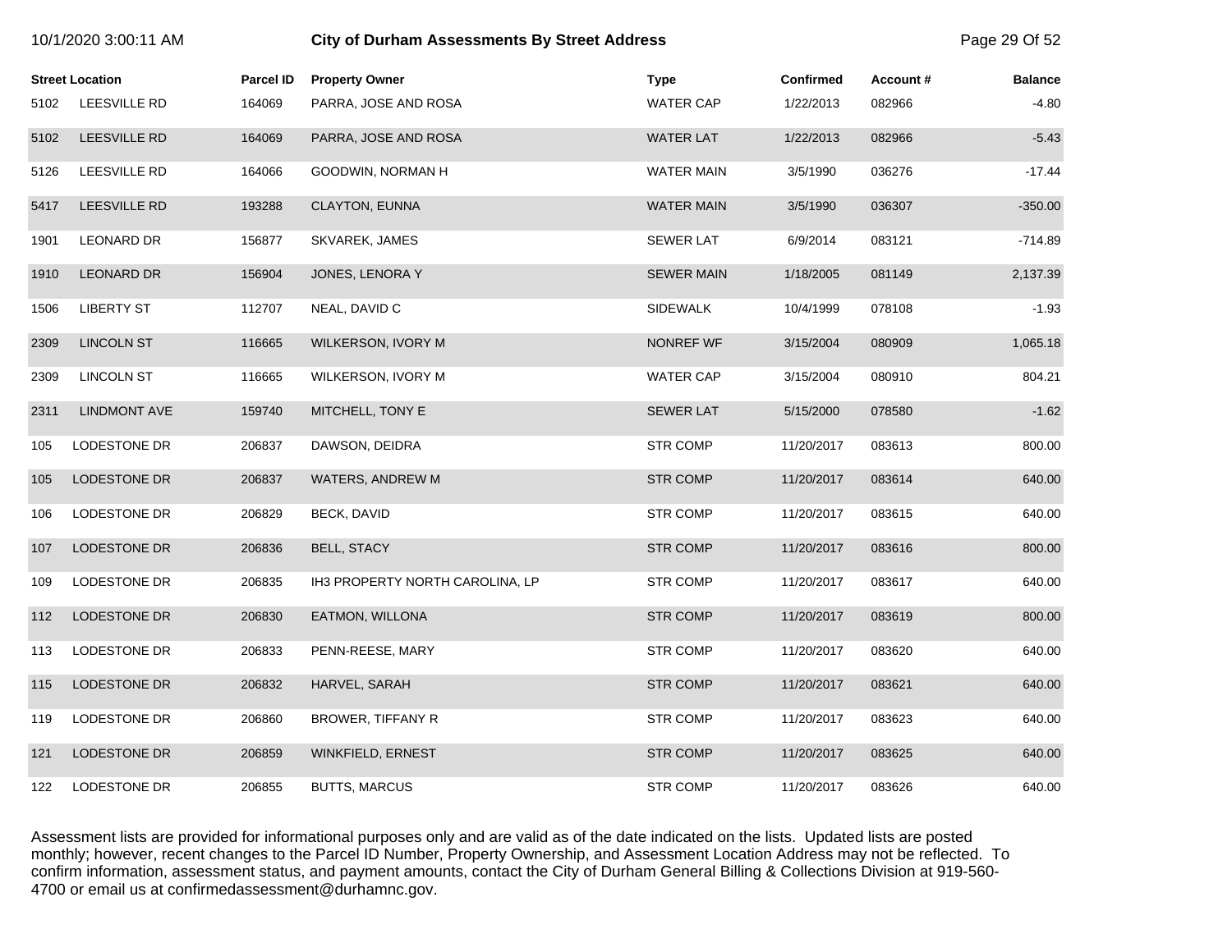| 10/1/2020 3:00:11 AM |                        |                  | <b>City of Durham Assessments By Street Address</b> |                   |                  |          |                |
|----------------------|------------------------|------------------|-----------------------------------------------------|-------------------|------------------|----------|----------------|
|                      | <b>Street Location</b> | <b>Parcel ID</b> | <b>Property Owner</b>                               | <b>Type</b>       | <b>Confirmed</b> | Account# | <b>Balance</b> |
| 5102                 | LEESVILLE RD           | 164069           | PARRA, JOSE AND ROSA                                | <b>WATER CAP</b>  | 1/22/2013        | 082966   | $-4.80$        |
| 5102                 | <b>LEESVILLE RD</b>    | 164069           | PARRA, JOSE AND ROSA                                | <b>WATER LAT</b>  | 1/22/2013        | 082966   | $-5.43$        |
| 5126                 | <b>LEESVILLE RD</b>    | 164066           | GOODWIN, NORMAN H                                   | <b>WATER MAIN</b> | 3/5/1990         | 036276   | $-17.44$       |
| 5417                 | LEESVILLE RD           | 193288           | CLAYTON, EUNNA                                      | <b>WATER MAIN</b> | 3/5/1990         | 036307   | $-350.00$      |
| 1901                 | <b>LEONARD DR</b>      | 156877           | SKVAREK, JAMES                                      | <b>SEWER LAT</b>  | 6/9/2014         | 083121   | $-714.89$      |
| 1910                 | <b>LEONARD DR</b>      | 156904           | JONES, LENORA Y                                     | <b>SEWER MAIN</b> | 1/18/2005        | 081149   | 2,137.39       |
| 1506                 | <b>LIBERTY ST</b>      | 112707           | NEAL, DAVID C                                       | <b>SIDEWALK</b>   | 10/4/1999        | 078108   | $-1.93$        |
| 2309                 | <b>LINCOLN ST</b>      | 116665           | WILKERSON, IVORY M                                  | NONREF WF         | 3/15/2004        | 080909   | 1,065.18       |
| 2309                 | <b>LINCOLN ST</b>      | 116665           | WILKERSON, IVORY M                                  | <b>WATER CAP</b>  | 3/15/2004        | 080910   | 804.21         |
| 2311                 | <b>LINDMONT AVE</b>    | 159740           | MITCHELL, TONY E                                    | <b>SEWER LAT</b>  | 5/15/2000        | 078580   | $-1.62$        |
| 105                  | LODESTONE DR           | 206837           | DAWSON, DEIDRA                                      | <b>STR COMP</b>   | 11/20/2017       | 083613   | 800.00         |
| 105                  | LODESTONE DR           | 206837           | WATERS, ANDREW M                                    | <b>STR COMP</b>   | 11/20/2017       | 083614   | 640.00         |
| 106                  | LODESTONE DR           | 206829           | BECK, DAVID                                         | <b>STR COMP</b>   | 11/20/2017       | 083615   | 640.00         |
| 107                  | <b>LODESTONE DR</b>    | 206836           | <b>BELL, STACY</b>                                  | <b>STR COMP</b>   | 11/20/2017       | 083616   | 800.00         |
| 109                  | <b>LODESTONE DR</b>    | 206835           | IH3 PROPERTY NORTH CAROLINA, LP                     | <b>STR COMP</b>   | 11/20/2017       | 083617   | 640.00         |
| 112                  | LODESTONE DR           | 206830           | EATMON, WILLONA                                     | <b>STR COMP</b>   | 11/20/2017       | 083619   | 800.00         |
| 113                  | LODESTONE DR           | 206833           | PENN-REESE, MARY                                    | <b>STR COMP</b>   | 11/20/2017       | 083620   | 640.00         |
| 115                  | LODESTONE DR           | 206832           | HARVEL, SARAH                                       | <b>STR COMP</b>   | 11/20/2017       | 083621   | 640.00         |
| 119                  | LODESTONE DR           | 206860           | BROWER, TIFFANY R                                   | <b>STR COMP</b>   | 11/20/2017       | 083623   | 640.00         |
| 121                  | LODESTONE DR           | 206859           | WINKFIELD, ERNEST                                   | <b>STR COMP</b>   | 11/20/2017       | 083625   | 640.00         |
| 122                  | LODESTONE DR           | 206855           | <b>BUTTS, MARCUS</b>                                | <b>STR COMP</b>   | 11/20/2017       | 083626   | 640.00         |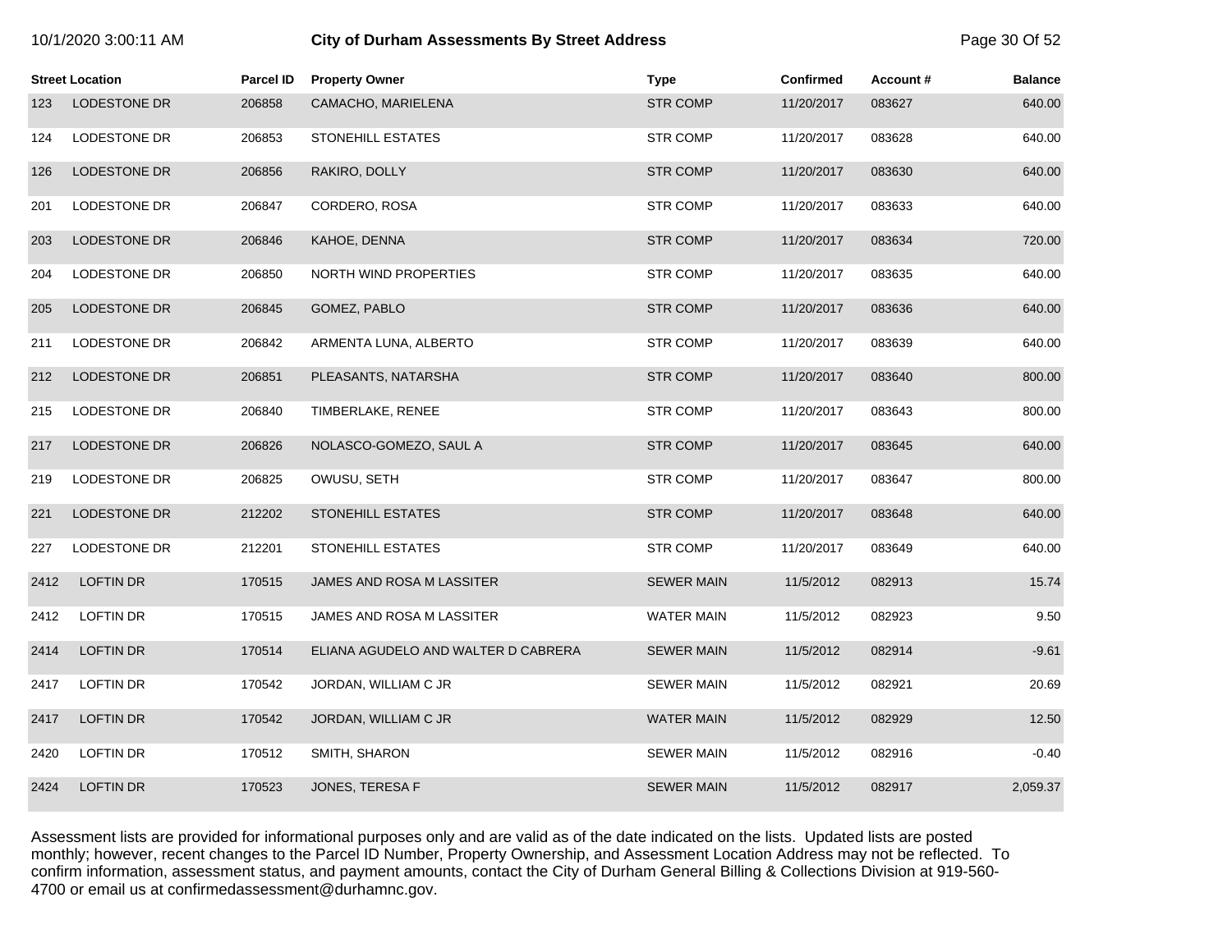| 10/1/2020 3:00:11 AM |  |
|----------------------|--|
|----------------------|--|

# **10.1203.00. City of Durham Assessments By Street Address Page 30 Of 52**

|      | <b>Street Location</b> | Parcel ID | <b>Property Owner</b>               | <b>Type</b>       | <b>Confirmed</b> | Account# | <b>Balance</b> |
|------|------------------------|-----------|-------------------------------------|-------------------|------------------|----------|----------------|
| 123  | LODESTONE DR           | 206858    | CAMACHO, MARIELENA                  | <b>STR COMP</b>   | 11/20/2017       | 083627   | 640.00         |
| 124  | LODESTONE DR           | 206853    | STONEHILL ESTATES                   | <b>STR COMP</b>   | 11/20/2017       | 083628   | 640.00         |
| 126  | LODESTONE DR           | 206856    | RAKIRO, DOLLY                       | <b>STR COMP</b>   | 11/20/2017       | 083630   | 640.00         |
| 201  | LODESTONE DR           | 206847    | CORDERO, ROSA                       | <b>STR COMP</b>   | 11/20/2017       | 083633   | 640.00         |
| 203  | LODESTONE DR           | 206846    | KAHOE, DENNA                        | <b>STR COMP</b>   | 11/20/2017       | 083634   | 720.00         |
| 204  | LODESTONE DR           | 206850    | NORTH WIND PROPERTIES               | <b>STR COMP</b>   | 11/20/2017       | 083635   | 640.00         |
| 205  | <b>LODESTONE DR</b>    | 206845    | GOMEZ, PABLO                        | <b>STR COMP</b>   | 11/20/2017       | 083636   | 640.00         |
| 211  | LODESTONE DR           | 206842    | ARMENTA LUNA, ALBERTO               | <b>STR COMP</b>   | 11/20/2017       | 083639   | 640.00         |
| 212  | LODESTONE DR           | 206851    | PLEASANTS, NATARSHA                 | <b>STR COMP</b>   | 11/20/2017       | 083640   | 800.00         |
| 215  | LODESTONE DR           | 206840    | TIMBERLAKE, RENEE                   | <b>STR COMP</b>   | 11/20/2017       | 083643   | 800.00         |
| 217  | <b>LODESTONE DR</b>    | 206826    | NOLASCO-GOMEZO, SAUL A              | <b>STR COMP</b>   | 11/20/2017       | 083645   | 640.00         |
| 219  | LODESTONE DR           | 206825    | OWUSU, SETH                         | <b>STR COMP</b>   | 11/20/2017       | 083647   | 800.00         |
| 221  | LODESTONE DR           | 212202    | STONEHILL ESTATES                   | <b>STR COMP</b>   | 11/20/2017       | 083648   | 640.00         |
| 227  | LODESTONE DR           | 212201    | <b>STONEHILL ESTATES</b>            | <b>STR COMP</b>   | 11/20/2017       | 083649   | 640.00         |
| 2412 | <b>LOFTIN DR</b>       | 170515    | JAMES AND ROSA M LASSITER           | <b>SEWER MAIN</b> | 11/5/2012        | 082913   | 15.74          |
| 2412 | <b>LOFTIN DR</b>       | 170515    | JAMES AND ROSA M LASSITER           | <b>WATER MAIN</b> | 11/5/2012        | 082923   | 9.50           |
| 2414 | <b>LOFTIN DR</b>       | 170514    | ELIANA AGUDELO AND WALTER D CABRERA | <b>SEWER MAIN</b> | 11/5/2012        | 082914   | $-9.61$        |
| 2417 | <b>LOFTIN DR</b>       | 170542    | JORDAN, WILLIAM C JR                | <b>SEWER MAIN</b> | 11/5/2012        | 082921   | 20.69          |
| 2417 | <b>LOFTIN DR</b>       | 170542    | JORDAN, WILLIAM C JR                | <b>WATER MAIN</b> | 11/5/2012        | 082929   | 12.50          |
| 2420 | LOFTIN DR              | 170512    | SMITH, SHARON                       | <b>SEWER MAIN</b> | 11/5/2012        | 082916   | $-0.40$        |
| 2424 | <b>LOFTIN DR</b>       | 170523    | JONES, TERESA F                     | <b>SEWER MAIN</b> | 11/5/2012        | 082917   | 2,059.37       |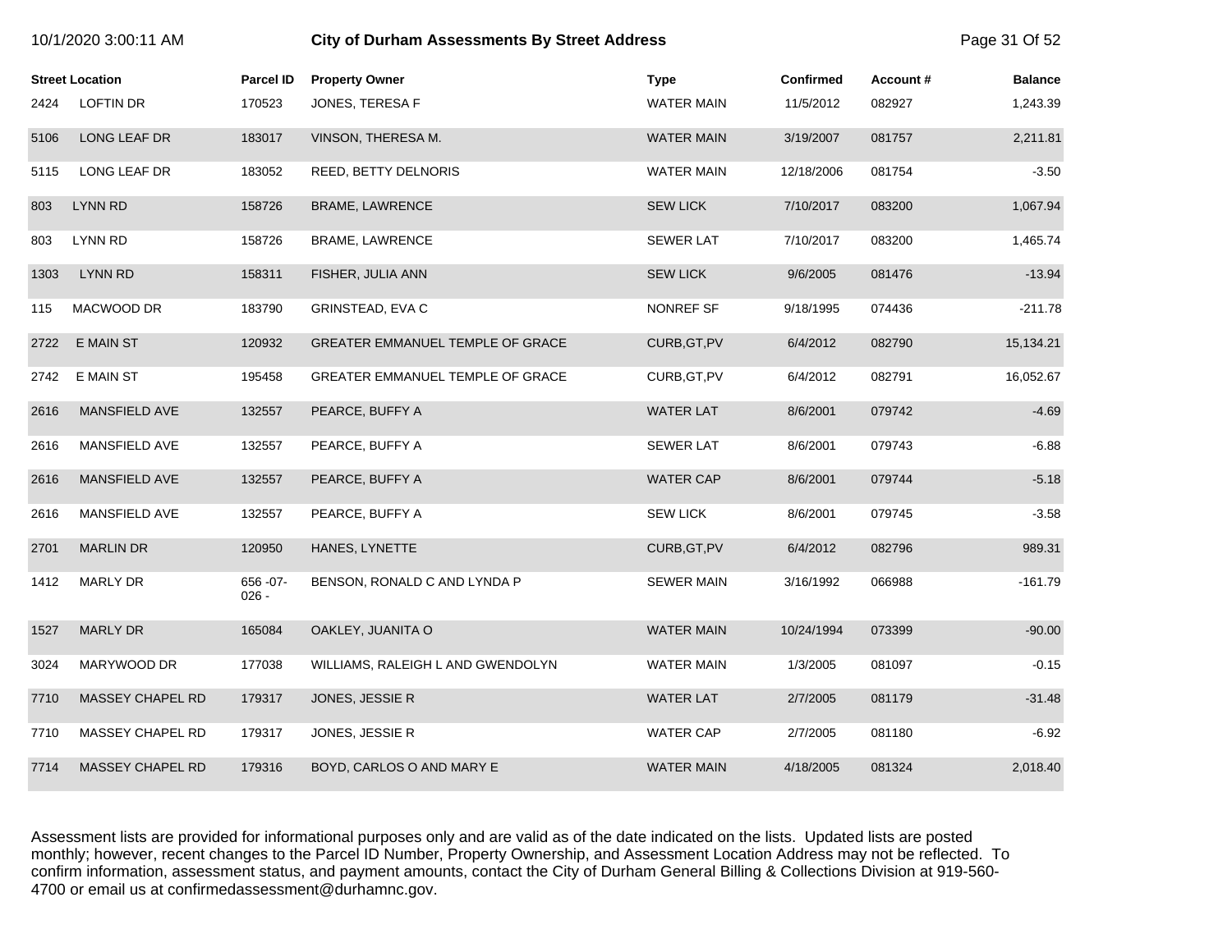|      | <b>Street Location</b>  | <b>Parcel ID</b>      | <b>Property Owner</b>             | <b>Type</b>       | <b>Confirmed</b> | Account# | <b>Balance</b> |
|------|-------------------------|-----------------------|-----------------------------------|-------------------|------------------|----------|----------------|
| 2424 | <b>LOFTIN DR</b>        | 170523                | JONES, TERESA F                   | <b>WATER MAIN</b> | 11/5/2012        | 082927   | 1,243.39       |
| 5106 | LONG LEAF DR            | 183017                | VINSON, THERESA M.                | <b>WATER MAIN</b> | 3/19/2007        | 081757   | 2,211.81       |
| 5115 | LONG LEAF DR            | 183052                | REED, BETTY DELNORIS              | <b>WATER MAIN</b> | 12/18/2006       | 081754   | $-3.50$        |
| 803  | LYNN RD                 | 158726                | BRAME, LAWRENCE                   | <b>SEW LICK</b>   | 7/10/2017        | 083200   | 1,067.94       |
| 803  | LYNN RD                 | 158726                | BRAME, LAWRENCE                   | <b>SEWER LAT</b>  | 7/10/2017        | 083200   | 1,465.74       |
| 1303 | LYNN RD                 | 158311                | FISHER, JULIA ANN                 | <b>SEW LICK</b>   | 9/6/2005         | 081476   | $-13.94$       |
| 115  | MACWOOD DR              | 183790                | GRINSTEAD, EVA C                  | NONREF SF         | 9/18/1995        | 074436   | $-211.78$      |
| 2722 | E MAIN ST               | 120932                | GREATER EMMANUEL TEMPLE OF GRACE  | CURB, GT, PV      | 6/4/2012         | 082790   | 15,134.21      |
| 2742 | E MAIN ST               | 195458                | GREATER EMMANUEL TEMPLE OF GRACE  | CURB, GT, PV      | 6/4/2012         | 082791   | 16,052.67      |
| 2616 | MANSFIELD AVE           | 132557                | PEARCE, BUFFY A                   | <b>WATER LAT</b>  | 8/6/2001         | 079742   | $-4.69$        |
| 2616 | MANSFIELD AVE           | 132557                | PEARCE, BUFFY A                   | <b>SEWER LAT</b>  | 8/6/2001         | 079743   | $-6.88$        |
| 2616 | <b>MANSFIELD AVE</b>    | 132557                | PEARCE, BUFFY A                   | <b>WATER CAP</b>  | 8/6/2001         | 079744   | $-5.18$        |
| 2616 | MANSFIELD AVE           | 132557                | PEARCE, BUFFY A                   | <b>SEW LICK</b>   | 8/6/2001         | 079745   | $-3.58$        |
| 2701 | <b>MARLIN DR</b>        | 120950                | HANES, LYNETTE                    | CURB, GT, PV      | 6/4/2012         | 082796   | 989.31         |
| 1412 | MARLY DR                | 656 - 07 -<br>$026 -$ | BENSON, RONALD C AND LYNDA P      | <b>SEWER MAIN</b> | 3/16/1992        | 066988   | $-161.79$      |
| 1527 | <b>MARLY DR</b>         | 165084                | OAKLEY, JUANITA O                 | <b>WATER MAIN</b> | 10/24/1994       | 073399   | $-90.00$       |
| 3024 | MARYWOOD DR             | 177038                | WILLIAMS, RALEIGH L AND GWENDOLYN | <b>WATER MAIN</b> | 1/3/2005         | 081097   | $-0.15$        |
| 7710 | <b>MASSEY CHAPEL RD</b> | 179317                | JONES, JESSIE R                   | <b>WATER LAT</b>  | 2/7/2005         | 081179   | $-31.48$       |
| 7710 | <b>MASSEY CHAPEL RD</b> | 179317                | JONES, JESSIE R                   | <b>WATER CAP</b>  | 2/7/2005         | 081180   | $-6.92$        |
| 7714 | MASSEY CHAPEL RD        | 179316                | BOYD, CARLOS O AND MARY E         | <b>WATER MAIN</b> | 4/18/2005        | 081324   | 2,018.40       |

10/1/2020 3:00:11 AM **City of Durham Assessments By Street Address** Page 31 Of 52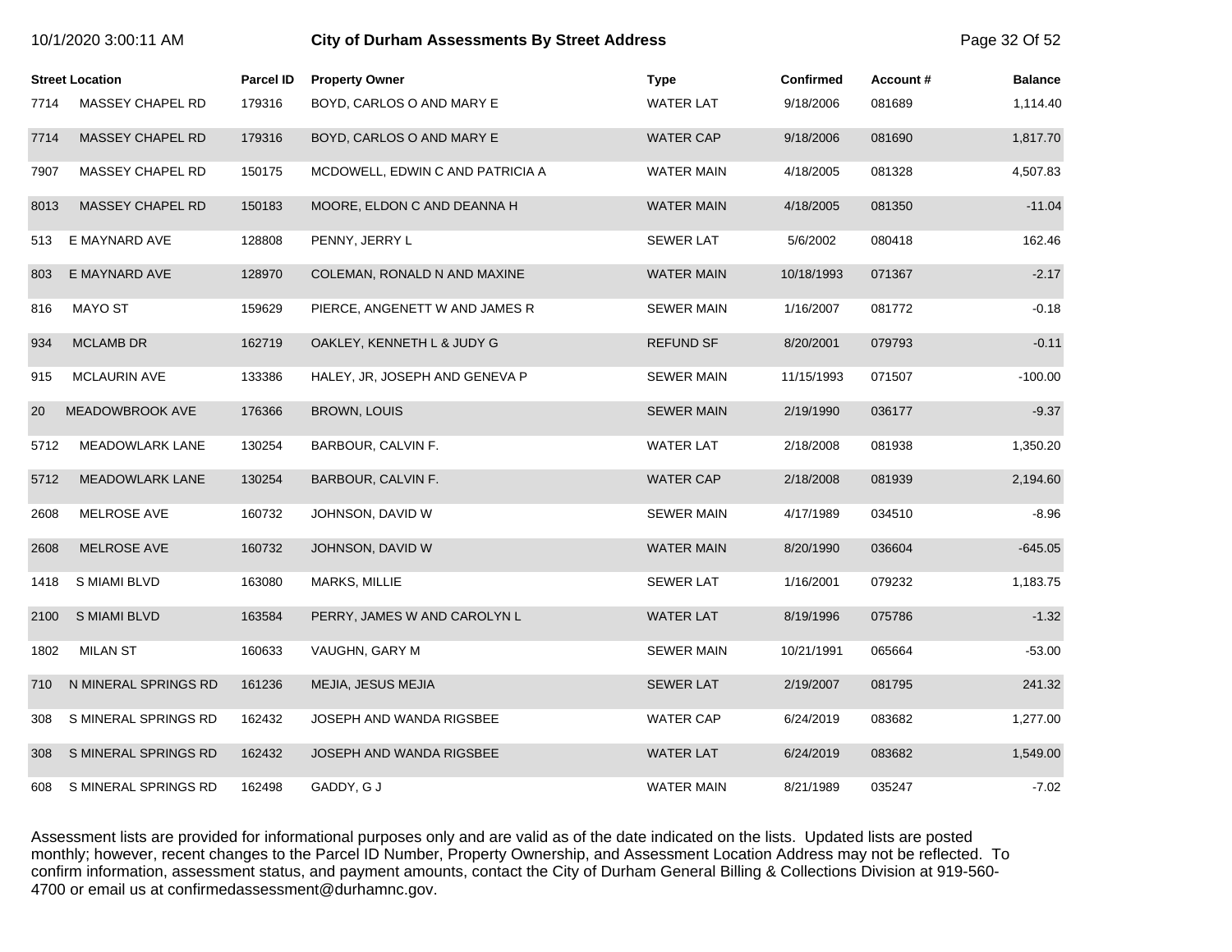| 10/1/2020 3:00:11 AM |                         |                  | <b>City of Durham Assessments By Street Address</b> |                   |                  |          |                |
|----------------------|-------------------------|------------------|-----------------------------------------------------|-------------------|------------------|----------|----------------|
|                      | <b>Street Location</b>  | <b>Parcel ID</b> | <b>Property Owner</b>                               | <b>Type</b>       | <b>Confirmed</b> | Account# | <b>Balance</b> |
| 7714                 | <b>MASSEY CHAPEL RD</b> | 179316           | BOYD, CARLOS O AND MARY E                           | <b>WATER LAT</b>  | 9/18/2006        | 081689   | 1,114.40       |
| 7714                 | MASSEY CHAPEL RD        | 179316           | BOYD, CARLOS O AND MARY E                           | <b>WATER CAP</b>  | 9/18/2006        | 081690   | 1,817.70       |
| 7907                 | MASSEY CHAPEL RD        | 150175           | MCDOWELL, EDWIN C AND PATRICIA A                    | WATER MAIN        | 4/18/2005        | 081328   | 4,507.83       |
| 8013                 | MASSEY CHAPEL RD        | 150183           | MOORE, ELDON C AND DEANNA H                         | <b>WATER MAIN</b> | 4/18/2005        | 081350   | $-11.04$       |
| 513                  | E MAYNARD AVE           | 128808           | PENNY, JERRY L                                      | <b>SEWER LAT</b>  | 5/6/2002         | 080418   | 162.46         |
| 803                  | E MAYNARD AVE           | 128970           | COLEMAN, RONALD N AND MAXINE                        | <b>WATER MAIN</b> | 10/18/1993       | 071367   | $-2.17$        |
| 816                  | MAYO ST                 | 159629           | PIERCE, ANGENETT W AND JAMES R                      | <b>SEWER MAIN</b> | 1/16/2007        | 081772   | $-0.18$        |
| 934                  | <b>MCLAMB DR</b>        | 162719           | OAKLEY, KENNETH L & JUDY G                          | <b>REFUND SF</b>  | 8/20/2001        | 079793   | $-0.11$        |
| 915                  | <b>MCLAURIN AVE</b>     | 133386           | HALEY, JR, JOSEPH AND GENEVA P                      | <b>SEWER MAIN</b> | 11/15/1993       | 071507   | $-100.00$      |
| 20                   | <b>MEADOWBROOK AVE</b>  | 176366           | <b>BROWN, LOUIS</b>                                 | <b>SEWER MAIN</b> | 2/19/1990        | 036177   | $-9.37$        |
| 5712                 | <b>MEADOWLARK LANE</b>  | 130254           | BARBOUR, CALVIN F.                                  | <b>WATER LAT</b>  | 2/18/2008        | 081938   | 1,350.20       |
| 5712                 | <b>MEADOWLARK LANE</b>  | 130254           | BARBOUR, CALVIN F.                                  | <b>WATER CAP</b>  | 2/18/2008        | 081939   | 2,194.60       |
| 2608                 | MELROSE AVE             | 160732           | JOHNSON, DAVID W                                    | <b>SEWER MAIN</b> | 4/17/1989        | 034510   | $-8.96$        |
| 2608                 | <b>MELROSE AVE</b>      | 160732           | JOHNSON, DAVID W                                    | <b>WATER MAIN</b> | 8/20/1990        | 036604   | $-645.05$      |
| 1418                 | S MIAMI BLVD            | 163080           | MARKS, MILLIE                                       | <b>SEWER LAT</b>  | 1/16/2001        | 079232   | 1,183.75       |
| 2100                 | S MIAMI BLVD            | 163584           | PERRY, JAMES W AND CAROLYN L                        | <b>WATER LAT</b>  | 8/19/1996        | 075786   | $-1.32$        |
| 1802                 | <b>MILAN ST</b>         | 160633           | VAUGHN, GARY M                                      | <b>SEWER MAIN</b> | 10/21/1991       | 065664   | $-53.00$       |
| 710                  | N MINERAL SPRINGS RD    | 161236           | MEJIA, JESUS MEJIA                                  | <b>SEWER LAT</b>  | 2/19/2007        | 081795   | 241.32         |
| 308                  | S MINERAL SPRINGS RD    | 162432           | JOSEPH AND WANDA RIGSBEE                            | <b>WATER CAP</b>  | 6/24/2019        | 083682   | 1,277.00       |
| 308                  | S MINERAL SPRINGS RD    | 162432           | JOSEPH AND WANDA RIGSBEE                            | <b>WATER LAT</b>  | 6/24/2019        | 083682   | 1,549.00       |
| 608                  | S MINERAL SPRINGS RD    | 162498           | GADDY, G J                                          | <b>WATER MAIN</b> | 8/21/1989        | 035247   | $-7.02$        |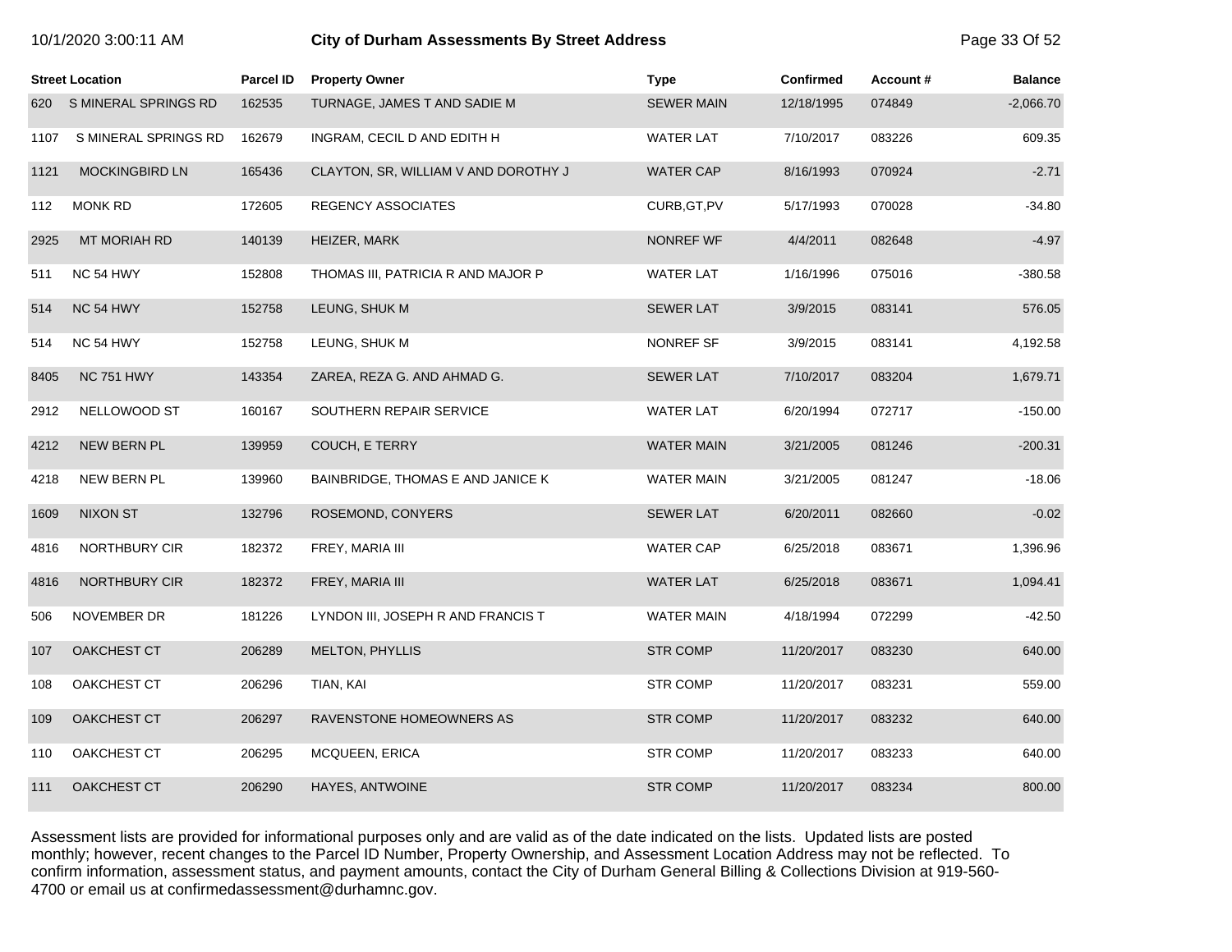| 10/1/2020 3:00:11 AM |  |  |
|----------------------|--|--|
|----------------------|--|--|

#### 1<sup>0</sup>1 **City of Durham Assessments By Street Address Page 33 Of 52**

|      | <b>Street Location</b> | <b>Parcel ID</b> | <b>Property Owner</b>                | <b>Type</b>       | <b>Confirmed</b> | Account# | <b>Balance</b> |
|------|------------------------|------------------|--------------------------------------|-------------------|------------------|----------|----------------|
| 620  | S MINERAL SPRINGS RD   | 162535           | TURNAGE, JAMES T AND SADIE M         | <b>SEWER MAIN</b> | 12/18/1995       | 074849   | $-2,066.70$    |
| 1107 | S MINERAL SPRINGS RD   | 162679           | INGRAM, CECIL D AND EDITH H          | <b>WATER LAT</b>  | 7/10/2017        | 083226   | 609.35         |
| 1121 | <b>MOCKINGBIRD LN</b>  | 165436           | CLAYTON, SR, WILLIAM V AND DOROTHY J | <b>WATER CAP</b>  | 8/16/1993        | 070924   | $-2.71$        |
| 112  | <b>MONK RD</b>         | 172605           | <b>REGENCY ASSOCIATES</b>            | CURB, GT, PV      | 5/17/1993        | 070028   | $-34.80$       |
| 2925 | MT MORIAH RD           | 140139           | HEIZER, MARK                         | NONREF WF         | 4/4/2011         | 082648   | $-4.97$        |
| 511  | NC 54 HWY              | 152808           | THOMAS III, PATRICIA R AND MAJOR P   | <b>WATER LAT</b>  | 1/16/1996        | 075016   | $-380.58$      |
| 514  | NC 54 HWY              | 152758           | LEUNG, SHUK M                        | <b>SEWER LAT</b>  | 3/9/2015         | 083141   | 576.05         |
| 514  | NC 54 HWY              | 152758           | LEUNG, SHUK M                        | NONREF SF         | 3/9/2015         | 083141   | 4,192.58       |
| 8405 | <b>NC 751 HWY</b>      | 143354           | ZAREA, REZA G. AND AHMAD G.          | <b>SEWER LAT</b>  | 7/10/2017        | 083204   | 1,679.71       |
| 2912 | NELLOWOOD ST           | 160167           | SOUTHERN REPAIR SERVICE              | <b>WATER LAT</b>  | 6/20/1994        | 072717   | $-150.00$      |
| 4212 | <b>NEW BERN PL</b>     | 139959           | <b>COUCH, E TERRY</b>                | <b>WATER MAIN</b> | 3/21/2005        | 081246   | $-200.31$      |
| 4218 | NEW BERN PL            | 139960           | BAINBRIDGE, THOMAS E AND JANICE K    | <b>WATER MAIN</b> | 3/21/2005        | 081247   | $-18.06$       |
| 1609 | <b>NIXON ST</b>        | 132796           | ROSEMOND, CONYERS                    | <b>SEWER LAT</b>  | 6/20/2011        | 082660   | $-0.02$        |
| 4816 | NORTHBURY CIR          | 182372           | FREY, MARIA III                      | <b>WATER CAP</b>  | 6/25/2018        | 083671   | 1,396.96       |
| 4816 | <b>NORTHBURY CIR</b>   | 182372           | FREY, MARIA III                      | <b>WATER LAT</b>  | 6/25/2018        | 083671   | 1,094.41       |
| 506  | NOVEMBER DR            | 181226           | LYNDON III, JOSEPH R AND FRANCIS T   | <b>WATER MAIN</b> | 4/18/1994        | 072299   | $-42.50$       |
| 107  | OAKCHEST CT            | 206289           | <b>MELTON, PHYLLIS</b>               | <b>STR COMP</b>   | 11/20/2017       | 083230   | 640.00         |
| 108  | OAKCHEST CT            | 206296           | TIAN, KAI                            | <b>STR COMP</b>   | 11/20/2017       | 083231   | 559.00         |
| 109  | <b>OAKCHEST CT</b>     | 206297           | RAVENSTONE HOMEOWNERS AS             | <b>STR COMP</b>   | 11/20/2017       | 083232   | 640.00         |
| 110  | OAKCHEST CT            | 206295           | <b>MCQUEEN, ERICA</b>                | <b>STR COMP</b>   | 11/20/2017       | 083233   | 640.00         |
| 111  | <b>OAKCHEST CT</b>     | 206290           | HAYES, ANTWOINE                      | <b>STR COMP</b>   | 11/20/2017       | 083234   | 800.00         |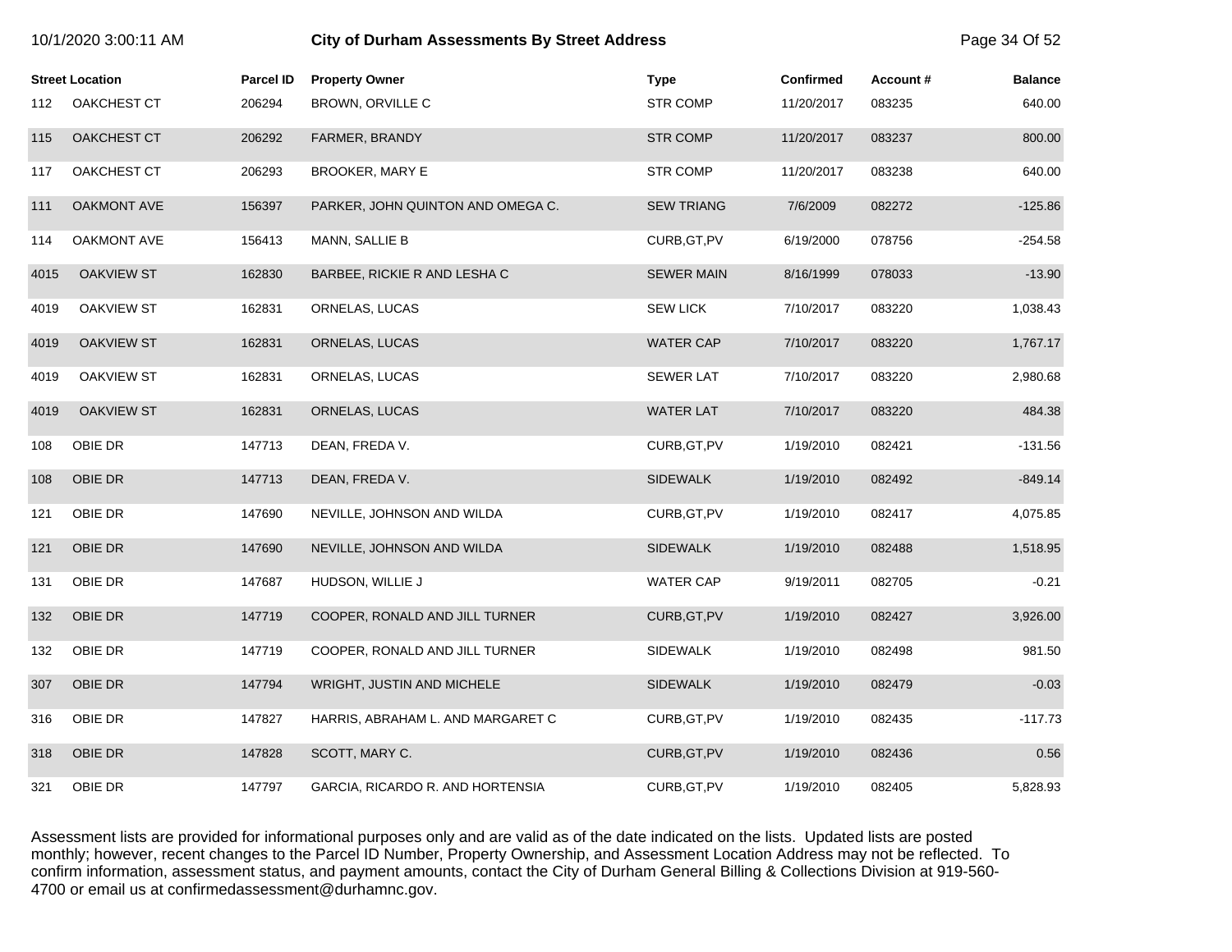| 10/1/2020 3:00:11 AM |                        |                  | <b>City of Durham Assessments By Street Address</b> |                   |                  |          |                |
|----------------------|------------------------|------------------|-----------------------------------------------------|-------------------|------------------|----------|----------------|
|                      | <b>Street Location</b> | <b>Parcel ID</b> | <b>Property Owner</b>                               | <b>Type</b>       | <b>Confirmed</b> | Account# | <b>Balance</b> |
| 112                  | <b>OAKCHEST CT</b>     | 206294           | BROWN, ORVILLE C                                    | <b>STR COMP</b>   | 11/20/2017       | 083235   | 640.00         |
| 115                  | <b>OAKCHEST CT</b>     | 206292           | FARMER, BRANDY                                      | <b>STR COMP</b>   | 11/20/2017       | 083237   | 800.00         |
| 117                  | OAKCHEST CT            | 206293           | <b>BROOKER, MARY E</b>                              | <b>STR COMP</b>   | 11/20/2017       | 083238   | 640.00         |
| 111                  | OAKMONT AVE            | 156397           | PARKER, JOHN QUINTON AND OMEGA C.                   | <b>SEW TRIANG</b> | 7/6/2009         | 082272   | $-125.86$      |
| 114                  | <b>OAKMONT AVE</b>     | 156413           | MANN, SALLIE B                                      | CURB, GT, PV      | 6/19/2000        | 078756   | $-254.58$      |
| 4015                 | <b>OAKVIEW ST</b>      | 162830           | BARBEE, RICKIE R AND LESHA C                        | <b>SEWER MAIN</b> | 8/16/1999        | 078033   | $-13.90$       |
| 4019                 | <b>OAKVIEW ST</b>      | 162831           | ORNELAS, LUCAS                                      | <b>SEW LICK</b>   | 7/10/2017        | 083220   | 1,038.43       |
| 4019                 | <b>OAKVIEW ST</b>      | 162831           | ORNELAS, LUCAS                                      | <b>WATER CAP</b>  | 7/10/2017        | 083220   | 1,767.17       |
| 4019                 | <b>OAKVIEW ST</b>      | 162831           | ORNELAS, LUCAS                                      | <b>SEWER LAT</b>  | 7/10/2017        | 083220   | 2,980.68       |
| 4019                 | <b>OAKVIEW ST</b>      | 162831           | ORNELAS, LUCAS                                      | <b>WATER LAT</b>  | 7/10/2017        | 083220   | 484.38         |
| 108                  | OBIE DR                | 147713           | DEAN, FREDA V.                                      | CURB, GT, PV      | 1/19/2010        | 082421   | $-131.56$      |
| 108                  | OBIE DR                | 147713           | DEAN, FREDA V.                                      | <b>SIDEWALK</b>   | 1/19/2010        | 082492   | $-849.14$      |
| 121                  | OBIE DR                | 147690           | NEVILLE, JOHNSON AND WILDA                          | CURB, GT, PV      | 1/19/2010        | 082417   | 4,075.85       |
| 121                  | OBIE DR                | 147690           | NEVILLE, JOHNSON AND WILDA                          | <b>SIDEWALK</b>   | 1/19/2010        | 082488   | 1,518.95       |
| 131                  | OBIE DR                | 147687           | HUDSON, WILLIE J                                    | <b>WATER CAP</b>  | 9/19/2011        | 082705   | $-0.21$        |
| 132                  | OBIE DR                | 147719           | COOPER, RONALD AND JILL TURNER                      | CURB, GT, PV      | 1/19/2010        | 082427   | 3,926.00       |
| 132                  | OBIE DR                | 147719           | COOPER, RONALD AND JILL TURNER                      | <b>SIDEWALK</b>   | 1/19/2010        | 082498   | 981.50         |
| 307                  | OBIE DR                | 147794           | WRIGHT, JUSTIN AND MICHELE                          | <b>SIDEWALK</b>   | 1/19/2010        | 082479   | $-0.03$        |
| 316                  | OBIE DR                | 147827           | HARRIS, ABRAHAM L. AND MARGARET C                   | CURB, GT, PV      | 1/19/2010        | 082435   | $-117.73$      |
| 318                  | OBIE DR                | 147828           | SCOTT, MARY C.                                      | CURB, GT, PV      | 1/19/2010        | 082436   | 0.56           |
| 321                  | OBIE DR                | 147797           | GARCIA, RICARDO R. AND HORTENSIA                    | CURB, GT, PV      | 1/19/2010        | 082405   | 5,828.93       |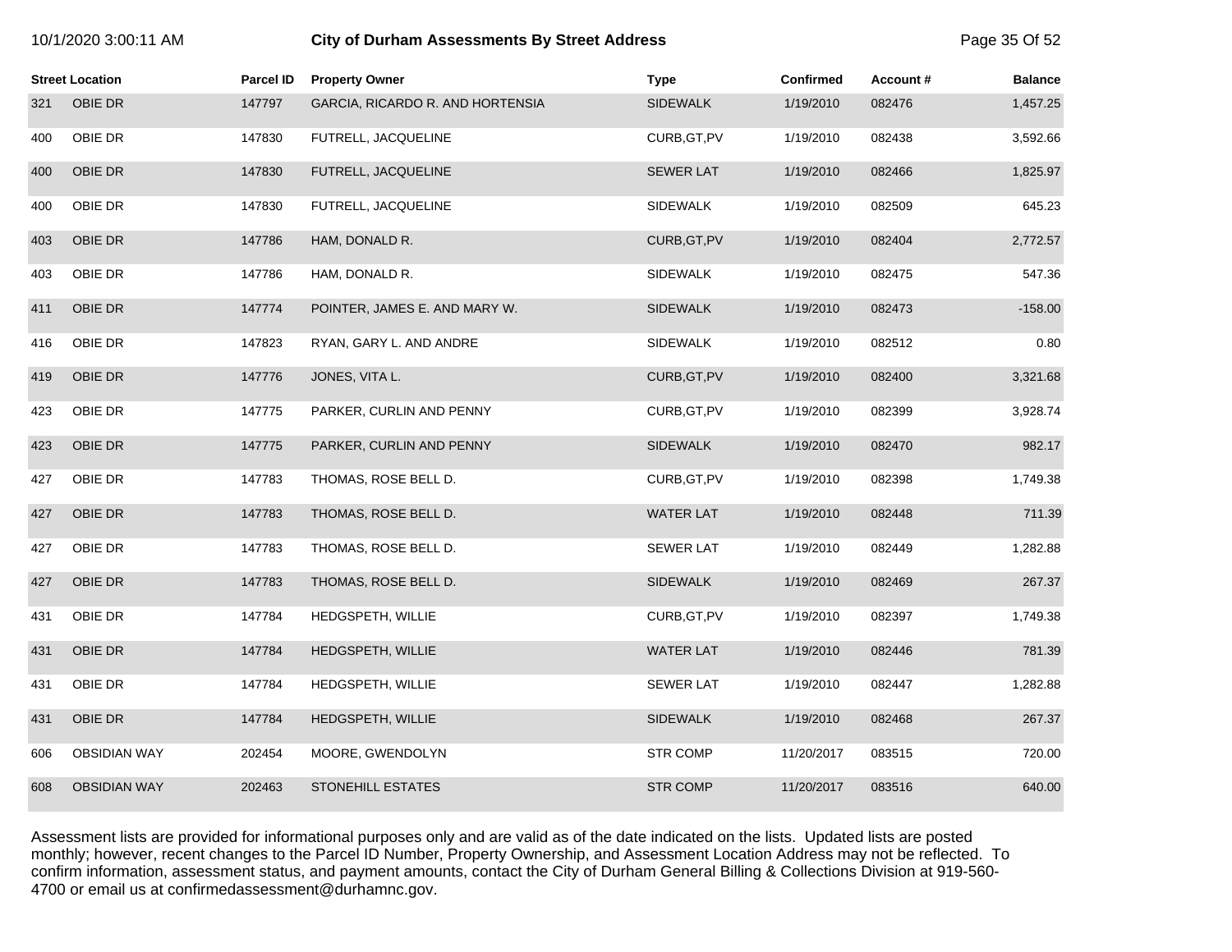| 10/1/2020 3:00:11 AM |  |  |  |
|----------------------|--|--|--|
|----------------------|--|--|--|

# **10/2020 6:00:11 City of Durham Assessments By Street Address** Page 35 Of 52

|     | <b>Street Location</b> | <b>Parcel ID</b> | <b>Property Owner</b>            | <b>Type</b>      | <b>Confirmed</b> | Account # | <b>Balance</b> |
|-----|------------------------|------------------|----------------------------------|------------------|------------------|-----------|----------------|
| 321 | OBIE DR                | 147797           | GARCIA, RICARDO R. AND HORTENSIA | <b>SIDEWALK</b>  | 1/19/2010        | 082476    | 1,457.25       |
| 400 | OBIE DR                | 147830           | FUTRELL, JACQUELINE              | CURB, GT, PV     | 1/19/2010        | 082438    | 3,592.66       |
| 400 | OBIE DR                | 147830           | FUTRELL, JACQUELINE              | <b>SEWER LAT</b> | 1/19/2010        | 082466    | 1,825.97       |
| 400 | OBIE DR                | 147830           | FUTRELL, JACQUELINE              | <b>SIDEWALK</b>  | 1/19/2010        | 082509    | 645.23         |
| 403 | OBIE DR                | 147786           | HAM, DONALD R.                   | CURB, GT, PV     | 1/19/2010        | 082404    | 2,772.57       |
| 403 | OBIE DR                | 147786           | HAM, DONALD R.                   | SIDEWALK         | 1/19/2010        | 082475    | 547.36         |
| 411 | OBIE DR                | 147774           | POINTER, JAMES E. AND MARY W.    | <b>SIDEWALK</b>  | 1/19/2010        | 082473    | $-158.00$      |
| 416 | OBIE DR                | 147823           | RYAN, GARY L. AND ANDRE          | <b>SIDEWALK</b>  | 1/19/2010        | 082512    | 0.80           |
| 419 | OBIE DR                | 147776           | JONES, VITA L.                   | CURB, GT, PV     | 1/19/2010        | 082400    | 3,321.68       |
| 423 | OBIE DR                | 147775           | PARKER, CURLIN AND PENNY         | CURB, GT, PV     | 1/19/2010        | 082399    | 3,928.74       |
| 423 | OBIE DR                | 147775           | PARKER, CURLIN AND PENNY         | <b>SIDEWALK</b>  | 1/19/2010        | 082470    | 982.17         |
| 427 | OBIE DR                | 147783           | THOMAS, ROSE BELL D.             | CURB, GT, PV     | 1/19/2010        | 082398    | 1,749.38       |
| 427 | OBIE DR                | 147783           | THOMAS, ROSE BELL D.             | <b>WATER LAT</b> | 1/19/2010        | 082448    | 711.39         |
| 427 | OBIE DR                | 147783           | THOMAS, ROSE BELL D.             | <b>SEWER LAT</b> | 1/19/2010        | 082449    | 1,282.88       |
| 427 | OBIE DR                | 147783           | THOMAS, ROSE BELL D.             | <b>SIDEWALK</b>  | 1/19/2010        | 082469    | 267.37         |
| 431 | OBIE DR                | 147784           | HEDGSPETH, WILLIE                | CURB, GT, PV     | 1/19/2010        | 082397    | 1,749.38       |
| 431 | OBIE DR                | 147784           | HEDGSPETH, WILLIE                | <b>WATER LAT</b> | 1/19/2010        | 082446    | 781.39         |
| 431 | OBIE DR                | 147784           | <b>HEDGSPETH, WILLIE</b>         | <b>SEWER LAT</b> | 1/19/2010        | 082447    | 1,282.88       |
| 431 | OBIE DR                | 147784           | HEDGSPETH, WILLIE                | <b>SIDEWALK</b>  | 1/19/2010        | 082468    | 267.37         |
| 606 | <b>OBSIDIAN WAY</b>    | 202454           | MOORE, GWENDOLYN                 | <b>STR COMP</b>  | 11/20/2017       | 083515    | 720.00         |
| 608 | <b>OBSIDIAN WAY</b>    | 202463           | <b>STONEHILL ESTATES</b>         | <b>STR COMP</b>  | 11/20/2017       | 083516    | 640.00         |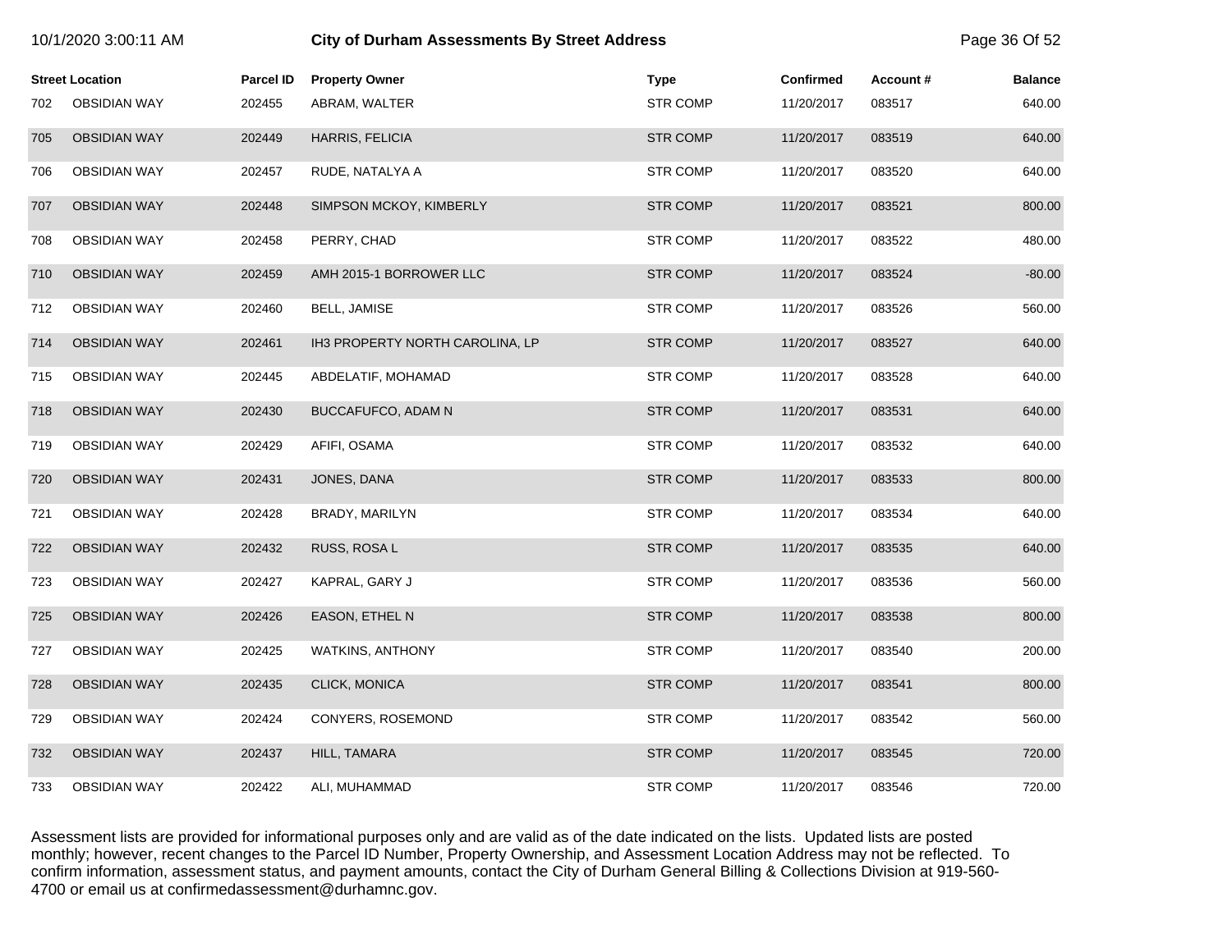| 10/1/2020 3:00:11 AM |                        |                  | <b>City of Durham Assessments By Street Address</b> |                 |                  |          |                |
|----------------------|------------------------|------------------|-----------------------------------------------------|-----------------|------------------|----------|----------------|
|                      | <b>Street Location</b> | <b>Parcel ID</b> | <b>Property Owner</b>                               | <b>Type</b>     | <b>Confirmed</b> | Account# | <b>Balance</b> |
| 702                  | <b>OBSIDIAN WAY</b>    | 202455           | ABRAM, WALTER                                       | <b>STR COMP</b> | 11/20/2017       | 083517   | 640.00         |
| 705                  | <b>OBSIDIAN WAY</b>    | 202449           | HARRIS, FELICIA                                     | <b>STR COMP</b> | 11/20/2017       | 083519   | 640.00         |
| 706                  | <b>OBSIDIAN WAY</b>    | 202457           | RUDE, NATALYA A                                     | <b>STR COMP</b> | 11/20/2017       | 083520   | 640.00         |
| 707                  | <b>OBSIDIAN WAY</b>    | 202448           | SIMPSON MCKOY, KIMBERLY                             | <b>STR COMP</b> | 11/20/2017       | 083521   | 800.00         |
| 708                  | <b>OBSIDIAN WAY</b>    | 202458           | PERRY, CHAD                                         | <b>STR COMP</b> | 11/20/2017       | 083522   | 480.00         |
| 710                  | <b>OBSIDIAN WAY</b>    | 202459           | AMH 2015-1 BORROWER LLC                             | <b>STR COMP</b> | 11/20/2017       | 083524   | $-80.00$       |
| 712                  | <b>OBSIDIAN WAY</b>    | 202460           | <b>BELL, JAMISE</b>                                 | <b>STR COMP</b> | 11/20/2017       | 083526   | 560.00         |
| 714                  | <b>OBSIDIAN WAY</b>    | 202461           | IH3 PROPERTY NORTH CAROLINA, LP                     | <b>STR COMP</b> | 11/20/2017       | 083527   | 640.00         |
| 715                  | <b>OBSIDIAN WAY</b>    | 202445           | ABDELATIF, MOHAMAD                                  | STR COMP        | 11/20/2017       | 083528   | 640.00         |
| 718                  | <b>OBSIDIAN WAY</b>    | 202430           | BUCCAFUFCO, ADAM N                                  | <b>STR COMP</b> | 11/20/2017       | 083531   | 640.00         |
| 719                  | <b>OBSIDIAN WAY</b>    | 202429           | AFIFI, OSAMA                                        | <b>STR COMP</b> | 11/20/2017       | 083532   | 640.00         |
| 720                  | <b>OBSIDIAN WAY</b>    | 202431           | JONES, DANA                                         | <b>STR COMP</b> | 11/20/2017       | 083533   | 800.00         |
| 721                  | <b>OBSIDIAN WAY</b>    | 202428           | BRADY, MARILYN                                      | <b>STR COMP</b> | 11/20/2017       | 083534   | 640.00         |
| 722                  | <b>OBSIDIAN WAY</b>    | 202432           | RUSS, ROSA L                                        | <b>STR COMP</b> | 11/20/2017       | 083535   | 640.00         |
| 723                  | <b>OBSIDIAN WAY</b>    | 202427           | KAPRAL, GARY J                                      | <b>STR COMP</b> | 11/20/2017       | 083536   | 560.00         |
| 725                  | <b>OBSIDIAN WAY</b>    | 202426           | EASON, ETHEL N                                      | <b>STR COMP</b> | 11/20/2017       | 083538   | 800.00         |
| 727                  | <b>OBSIDIAN WAY</b>    | 202425           | <b>WATKINS, ANTHONY</b>                             | <b>STR COMP</b> | 11/20/2017       | 083540   | 200.00         |
| 728                  | <b>OBSIDIAN WAY</b>    | 202435           | CLICK, MONICA                                       | <b>STR COMP</b> | 11/20/2017       | 083541   | 800.00         |
| 729                  | <b>OBSIDIAN WAY</b>    | 202424           | CONYERS, ROSEMOND                                   | <b>STR COMP</b> | 11/20/2017       | 083542   | 560.00         |
| 732                  | <b>OBSIDIAN WAY</b>    | 202437           | HILL, TAMARA                                        | <b>STR COMP</b> | 11/20/2017       | 083545   | 720.00         |
| 733                  | <b>OBSIDIAN WAY</b>    | 202422           | ALI, MUHAMMAD                                       | <b>STR COMP</b> | 11/20/2017       | 083546   | 720.00         |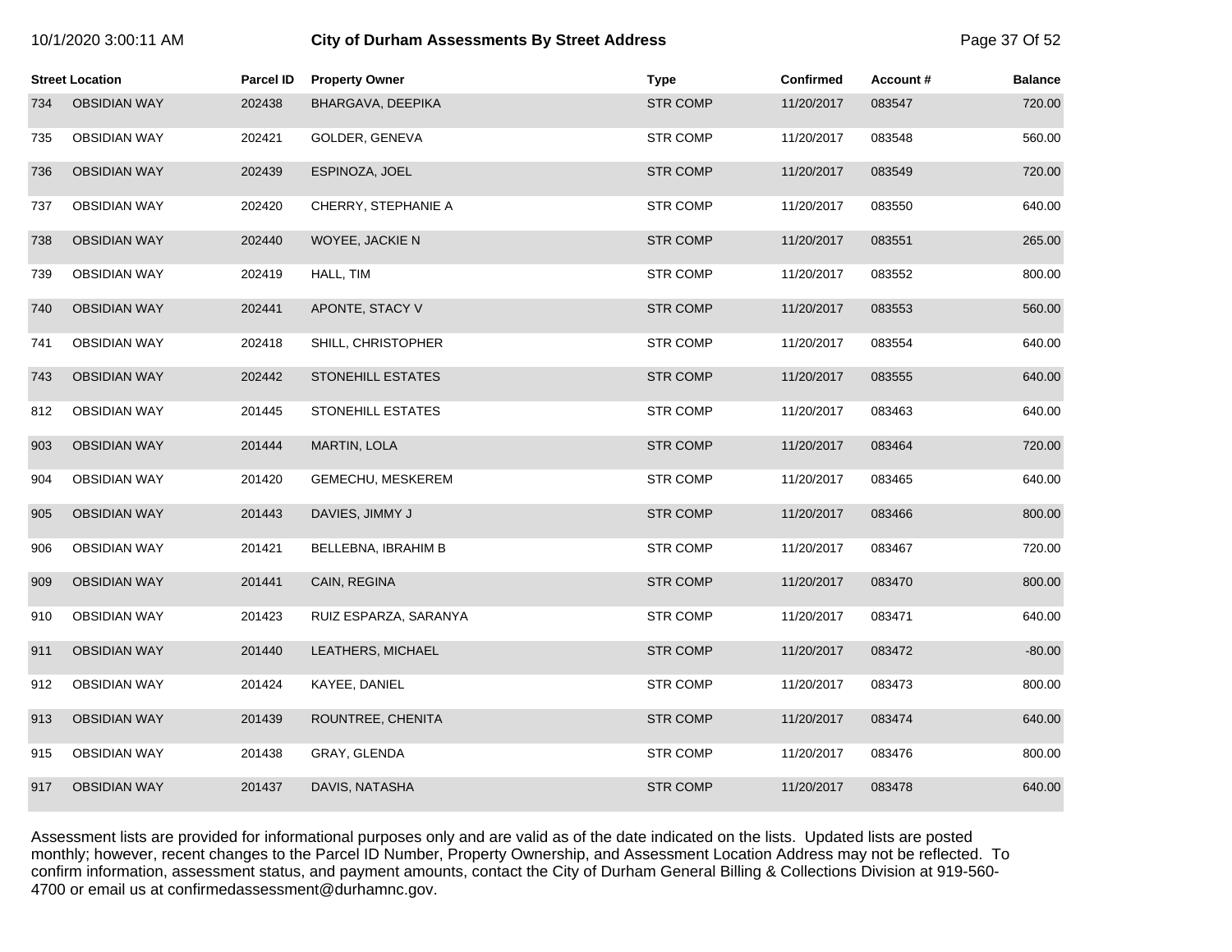| 10/1/2020 3:00:11 AM |  |  |  |
|----------------------|--|--|--|
|----------------------|--|--|--|

# **10.12020 6.000:11 City of Durham Assessments By Street Address** Page 37 Of 52

|     | <b>Street Location</b> | Parcel ID | <b>Property Owner</b>    | <b>Type</b>     | <b>Confirmed</b> | Account# | <b>Balance</b> |
|-----|------------------------|-----------|--------------------------|-----------------|------------------|----------|----------------|
| 734 | <b>OBSIDIAN WAY</b>    | 202438    | BHARGAVA, DEEPIKA        | <b>STR COMP</b> | 11/20/2017       | 083547   | 720.00         |
| 735 | <b>OBSIDIAN WAY</b>    | 202421    | GOLDER, GENEVA           | STR COMP        | 11/20/2017       | 083548   | 560.00         |
| 736 | <b>OBSIDIAN WAY</b>    | 202439    | ESPINOZA, JOEL           | <b>STR COMP</b> | 11/20/2017       | 083549   | 720.00         |
| 737 | <b>OBSIDIAN WAY</b>    | 202420    | CHERRY, STEPHANIE A      | STR COMP        | 11/20/2017       | 083550   | 640.00         |
| 738 | <b>OBSIDIAN WAY</b>    | 202440    | WOYEE, JACKIE N          | <b>STR COMP</b> | 11/20/2017       | 083551   | 265.00         |
| 739 | <b>OBSIDIAN WAY</b>    | 202419    | HALL, TIM                | <b>STR COMP</b> | 11/20/2017       | 083552   | 800.00         |
| 740 | <b>OBSIDIAN WAY</b>    | 202441    | APONTE, STACY V          | <b>STR COMP</b> | 11/20/2017       | 083553   | 560.00         |
| 741 | <b>OBSIDIAN WAY</b>    | 202418    | SHILL, CHRISTOPHER       | <b>STR COMP</b> | 11/20/2017       | 083554   | 640.00         |
| 743 | <b>OBSIDIAN WAY</b>    | 202442    | STONEHILL ESTATES        | <b>STR COMP</b> | 11/20/2017       | 083555   | 640.00         |
| 812 | <b>OBSIDIAN WAY</b>    | 201445    | <b>STONEHILL ESTATES</b> | <b>STR COMP</b> | 11/20/2017       | 083463   | 640.00         |
| 903 | <b>OBSIDIAN WAY</b>    | 201444    | <b>MARTIN, LOLA</b>      | <b>STR COMP</b> | 11/20/2017       | 083464   | 720.00         |
| 904 | <b>OBSIDIAN WAY</b>    | 201420    | GEMECHU, MESKEREM        | <b>STR COMP</b> | 11/20/2017       | 083465   | 640.00         |
| 905 | <b>OBSIDIAN WAY</b>    | 201443    | DAVIES, JIMMY J          | <b>STR COMP</b> | 11/20/2017       | 083466   | 800.00         |
| 906 | <b>OBSIDIAN WAY</b>    | 201421    | BELLEBNA, IBRAHIM B      | <b>STR COMP</b> | 11/20/2017       | 083467   | 720.00         |
| 909 | <b>OBSIDIAN WAY</b>    | 201441    | CAIN, REGINA             | <b>STR COMP</b> | 11/20/2017       | 083470   | 800.00         |
| 910 | <b>OBSIDIAN WAY</b>    | 201423    | RUIZ ESPARZA, SARANYA    | <b>STR COMP</b> | 11/20/2017       | 083471   | 640.00         |
| 911 | <b>OBSIDIAN WAY</b>    | 201440    | LEATHERS, MICHAEL        | <b>STR COMP</b> | 11/20/2017       | 083472   | $-80.00$       |
| 912 | <b>OBSIDIAN WAY</b>    | 201424    | KAYEE, DANIEL            | STR COMP        | 11/20/2017       | 083473   | 800.00         |
| 913 | <b>OBSIDIAN WAY</b>    | 201439    | ROUNTREE, CHENITA        | <b>STR COMP</b> | 11/20/2017       | 083474   | 640.00         |
| 915 | <b>OBSIDIAN WAY</b>    | 201438    | GRAY, GLENDA             | <b>STR COMP</b> | 11/20/2017       | 083476   | 800.00         |
| 917 | <b>OBSIDIAN WAY</b>    | 201437    | DAVIS, NATASHA           | <b>STR COMP</b> | 11/20/2017       | 083478   | 640.00         |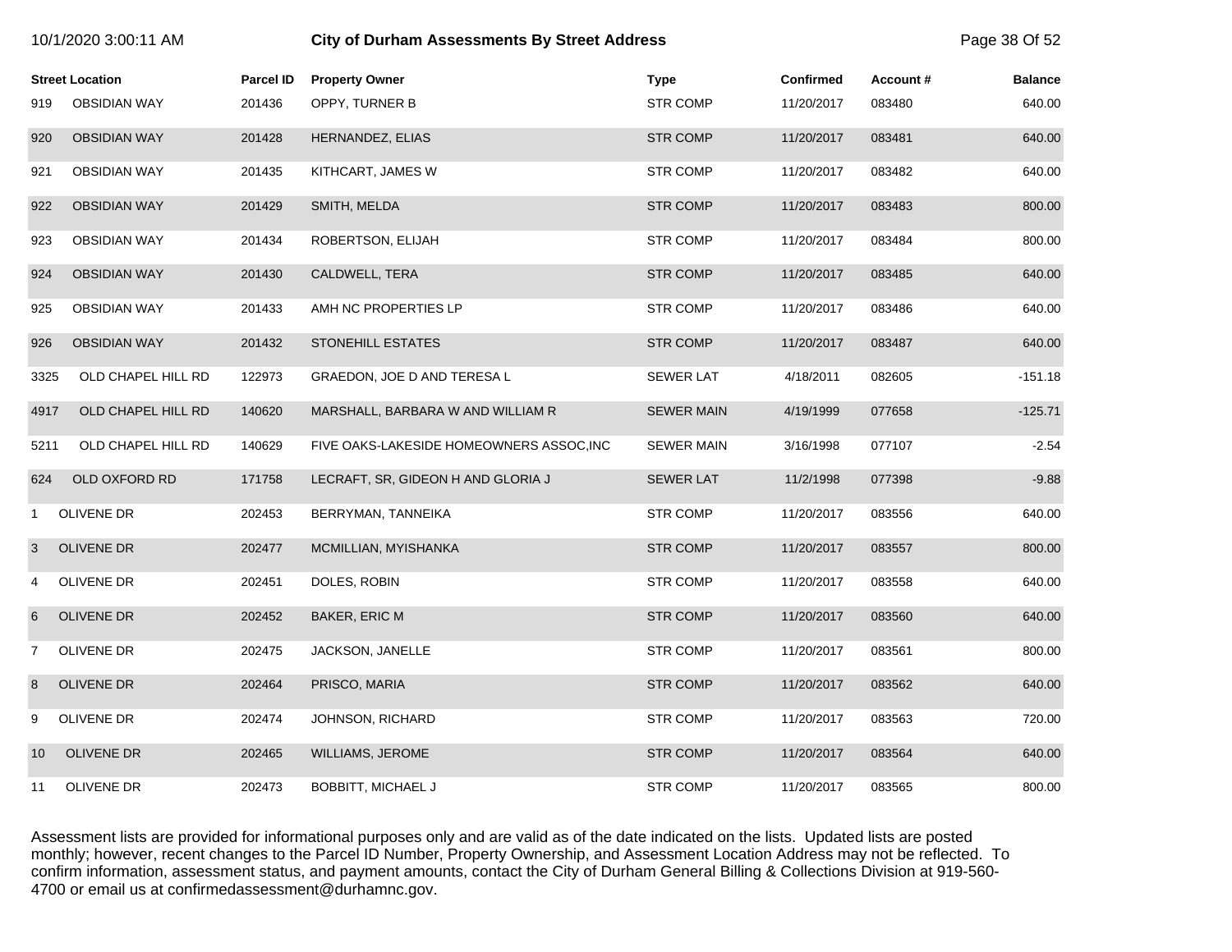| 10/1/2020 3:00:11 AM |                        |                  | <b>City of Durham Assessments By Street Address</b> |                   |                  |          |                |
|----------------------|------------------------|------------------|-----------------------------------------------------|-------------------|------------------|----------|----------------|
|                      | <b>Street Location</b> | <b>Parcel ID</b> | <b>Property Owner</b>                               | <b>Type</b>       | <b>Confirmed</b> | Account# | <b>Balance</b> |
| 919                  | <b>OBSIDIAN WAY</b>    | 201436           | OPPY, TURNER B                                      | <b>STR COMP</b>   | 11/20/2017       | 083480   | 640.00         |
| 920                  | <b>OBSIDIAN WAY</b>    | 201428           | HERNANDEZ, ELIAS                                    | <b>STR COMP</b>   | 11/20/2017       | 083481   | 640.00         |
| 921                  | <b>OBSIDIAN WAY</b>    | 201435           | KITHCART, JAMES W                                   | <b>STR COMP</b>   | 11/20/2017       | 083482   | 640.00         |
| 922                  | <b>OBSIDIAN WAY</b>    | 201429           | SMITH, MELDA                                        | <b>STR COMP</b>   | 11/20/2017       | 083483   | 800.00         |
| 923                  | <b>OBSIDIAN WAY</b>    | 201434           | ROBERTSON, ELIJAH                                   | <b>STR COMP</b>   | 11/20/2017       | 083484   | 800.00         |
| 924                  | <b>OBSIDIAN WAY</b>    | 201430           | CALDWELL, TERA                                      | <b>STR COMP</b>   | 11/20/2017       | 083485   | 640.00         |
| 925                  | <b>OBSIDIAN WAY</b>    | 201433           | AMH NC PROPERTIES LP                                | <b>STR COMP</b>   | 11/20/2017       | 083486   | 640.00         |
| 926                  | <b>OBSIDIAN WAY</b>    | 201432           | <b>STONEHILL ESTATES</b>                            | <b>STR COMP</b>   | 11/20/2017       | 083487   | 640.00         |
| 3325                 | OLD CHAPEL HILL RD     | 122973           | GRAEDON, JOE D AND TERESA L                         | <b>SEWER LAT</b>  | 4/18/2011        | 082605   | $-151.18$      |
| 4917                 | OLD CHAPEL HILL RD     | 140620           | MARSHALL, BARBARA W AND WILLIAM R                   | <b>SEWER MAIN</b> | 4/19/1999        | 077658   | $-125.71$      |
| 5211                 | OLD CHAPEL HILL RD     | 140629           | FIVE OAKS-LAKESIDE HOMEOWNERS ASSOC, INC            | <b>SEWER MAIN</b> | 3/16/1998        | 077107   | $-2.54$        |
| 624                  | OLD OXFORD RD          | 171758           | LECRAFT, SR, GIDEON H AND GLORIA J                  | <b>SEWER LAT</b>  | 11/2/1998        | 077398   | $-9.88$        |
| $\mathbf{1}$         | OLIVENE DR             | 202453           | BERRYMAN, TANNEIKA                                  | <b>STR COMP</b>   | 11/20/2017       | 083556   | 640.00         |
| 3                    | OLIVENE DR             | 202477           | MCMILLIAN, MYISHANKA                                | <b>STR COMP</b>   | 11/20/2017       | 083557   | 800.00         |
| 4                    | OLIVENE DR             | 202451           | DOLES, ROBIN                                        | <b>STR COMP</b>   | 11/20/2017       | 083558   | 640.00         |
| 6                    | <b>OLIVENE DR</b>      | 202452           | BAKER, ERIC M                                       | <b>STR COMP</b>   | 11/20/2017       | 083560   | 640.00         |
| $\overline{7}$       | OLIVENE DR             | 202475           | JACKSON, JANELLE                                    | <b>STR COMP</b>   | 11/20/2017       | 083561   | 800.00         |
| 8                    | OLIVENE DR             | 202464           | PRISCO, MARIA                                       | <b>STR COMP</b>   | 11/20/2017       | 083562   | 640.00         |
| 9                    | OLIVENE DR             | 202474           | JOHNSON, RICHARD                                    | <b>STR COMP</b>   | 11/20/2017       | 083563   | 720.00         |
| 10                   | <b>OLIVENE DR</b>      | 202465           | WILLIAMS, JEROME                                    | <b>STR COMP</b>   | 11/20/2017       | 083564   | 640.00         |
| 11                   | OLIVENE DR             | 202473           | <b>BOBBITT, MICHAEL J</b>                           | <b>STR COMP</b>   | 11/20/2017       | 083565   | 800.00         |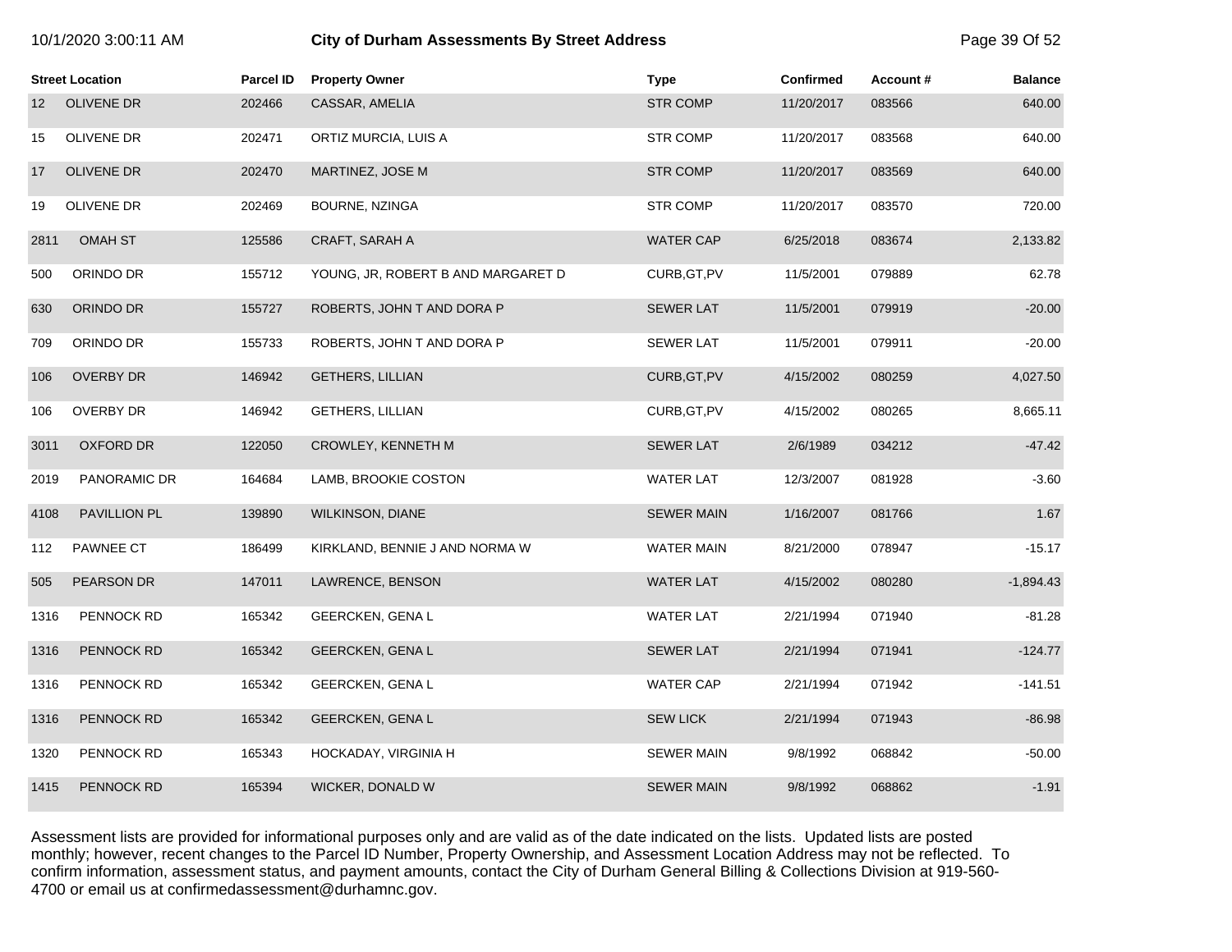| 10/1/2020 3:00:11 AM |  |  |  |
|----------------------|--|--|--|
|----------------------|--|--|--|

# **10.1203.00. City of Durham Assessments By Street Address Page 39 Of 52**

|                 | <b>Street Location</b> | <b>Parcel ID</b> | <b>Property Owner</b>              | <b>Type</b>       | <b>Confirmed</b> | Account# | <b>Balance</b> |
|-----------------|------------------------|------------------|------------------------------------|-------------------|------------------|----------|----------------|
| 12 <sup>2</sup> | OLIVENE DR             | 202466           | CASSAR, AMELIA                     | <b>STR COMP</b>   | 11/20/2017       | 083566   | 640.00         |
| 15              | OLIVENE DR             | 202471           | ORTIZ MURCIA, LUIS A               | <b>STR COMP</b>   | 11/20/2017       | 083568   | 640.00         |
| 17              | OLIVENE DR             | 202470           | MARTINEZ, JOSE M                   | <b>STR COMP</b>   | 11/20/2017       | 083569   | 640.00         |
| 19              | OLIVENE DR             | 202469           | BOURNE, NZINGA                     | STR COMP          | 11/20/2017       | 083570   | 720.00         |
| 2811            | <b>OMAH ST</b>         | 125586           | CRAFT, SARAH A                     | <b>WATER CAP</b>  | 6/25/2018        | 083674   | 2,133.82       |
| 500             | ORINDO DR              | 155712           | YOUNG, JR, ROBERT B AND MARGARET D | CURB, GT, PV      | 11/5/2001        | 079889   | 62.78          |
| 630             | ORINDO DR              | 155727           | ROBERTS, JOHN T AND DORA P         | <b>SEWER LAT</b>  | 11/5/2001        | 079919   | $-20.00$       |
| 709             | ORINDO DR              | 155733           | ROBERTS, JOHN T AND DORA P         | <b>SEWER LAT</b>  | 11/5/2001        | 079911   | $-20.00$       |
| 106             | <b>OVERBY DR</b>       | 146942           | <b>GETHERS, LILLIAN</b>            | CURB, GT, PV      | 4/15/2002        | 080259   | 4,027.50       |
| 106             | OVERBY DR              | 146942           | GETHERS, LILLIAN                   | CURB, GT, PV      | 4/15/2002        | 080265   | 8,665.11       |
| 3011            | <b>OXFORD DR</b>       | 122050           | <b>CROWLEY, KENNETH M</b>          | <b>SEWER LAT</b>  | 2/6/1989         | 034212   | $-47.42$       |
| 2019            | PANORAMIC DR           | 164684           | LAMB, BROOKIE COSTON               | <b>WATER LAT</b>  | 12/3/2007        | 081928   | $-3.60$        |
| 4108            | PAVILLION PL           | 139890           | <b>WILKINSON, DIANE</b>            | <b>SEWER MAIN</b> | 1/16/2007        | 081766   | 1.67           |
| 112             | PAWNEE CT              | 186499           | KIRKLAND, BENNIE J AND NORMA W     | <b>WATER MAIN</b> | 8/21/2000        | 078947   | $-15.17$       |
| 505             | PEARSON DR             | 147011           | LAWRENCE, BENSON                   | <b>WATER LAT</b>  | 4/15/2002        | 080280   | $-1,894.43$    |
| 1316            | PENNOCK RD             | 165342           | <b>GEERCKEN, GENAL</b>             | <b>WATER LAT</b>  | 2/21/1994        | 071940   | $-81.28$       |
| 1316            | <b>PENNOCK RD</b>      | 165342           | <b>GEERCKEN, GENAL</b>             | <b>SEWER LAT</b>  | 2/21/1994        | 071941   | $-124.77$      |
| 1316            | PENNOCK RD             | 165342           | GEERCKEN, GENAL                    | <b>WATER CAP</b>  | 2/21/1994        | 071942   | $-141.51$      |
| 1316            | PENNOCK RD             | 165342           | GEERCKEN, GENAL                    | <b>SEW LICK</b>   | 2/21/1994        | 071943   | $-86.98$       |
| 1320            | PENNOCK RD             | 165343           | HOCKADAY, VIRGINIA H               | <b>SEWER MAIN</b> | 9/8/1992         | 068842   | $-50.00$       |
| 1415            | PENNOCK RD             | 165394           | WICKER, DONALD W                   | <b>SEWER MAIN</b> | 9/8/1992         | 068862   | $-1.91$        |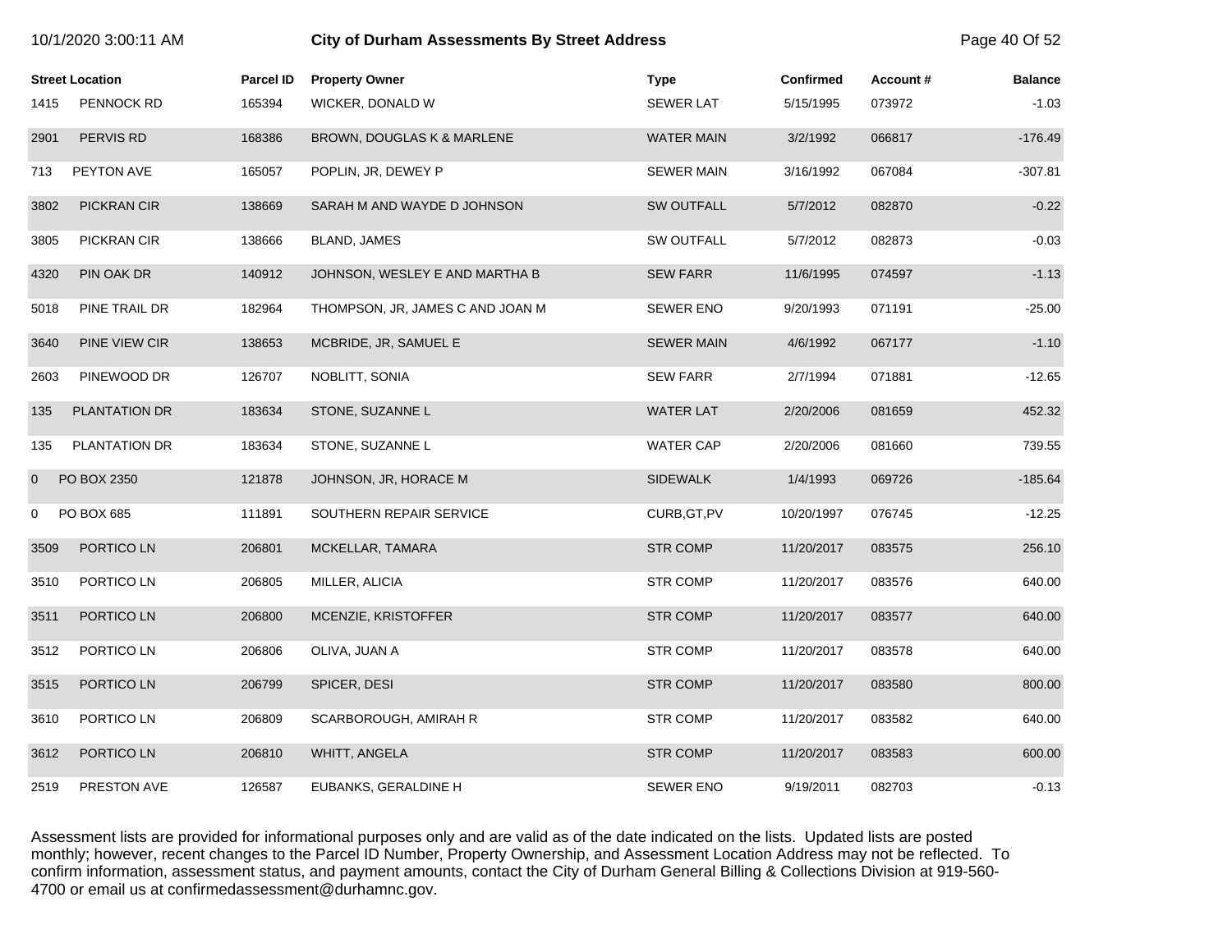|      | <b>Street Location</b> | <b>Parcel ID</b> | <b>Property Owner</b>            | <b>Type</b>       | <b>Confirmed</b> | Account# | <b>Balance</b> |
|------|------------------------|------------------|----------------------------------|-------------------|------------------|----------|----------------|
| 1415 | <b>PENNOCK RD</b>      | 165394           | WICKER, DONALD W                 | <b>SEWER LAT</b>  | 5/15/1995        | 073972   | $-1.03$        |
| 2901 | PERVIS RD              | 168386           | BROWN, DOUGLAS K & MARLENE       | <b>WATER MAIN</b> | 3/2/1992         | 066817   | $-176.49$      |
| 713  | PEYTON AVE             | 165057           | POPLIN, JR, DEWEY P              | <b>SEWER MAIN</b> | 3/16/1992        | 067084   | $-307.81$      |
| 3802 | PICKRAN CIR            | 138669           | SARAH M AND WAYDE D JOHNSON      | SW OUTFALL        | 5/7/2012         | 082870   | $-0.22$        |
| 3805 | PICKRAN CIR            | 138666           | BLAND, JAMES                     | SW OUTFALL        | 5/7/2012         | 082873   | $-0.03$        |
| 4320 | PIN OAK DR             | 140912           | JOHNSON, WESLEY E AND MARTHA B   | <b>SEW FARR</b>   | 11/6/1995        | 074597   | $-1.13$        |
| 5018 | PINE TRAIL DR          | 182964           | THOMPSON, JR, JAMES C AND JOAN M | <b>SEWER ENO</b>  | 9/20/1993        | 071191   | $-25.00$       |
| 3640 | PINE VIEW CIR          | 138653           | MCBRIDE, JR, SAMUEL E            | <b>SEWER MAIN</b> | 4/6/1992         | 067177   | $-1.10$        |
| 2603 | PINEWOOD DR            | 126707           | NOBLITT, SONIA                   | <b>SEW FARR</b>   | 2/7/1994         | 071881   | $-12.65$       |
| 135  | PLANTATION DR          | 183634           | STONE, SUZANNE L                 | <b>WATER LAT</b>  | 2/20/2006        | 081659   | 452.32         |
| 135  | PLANTATION DR          | 183634           | STONE, SUZANNE L                 | <b>WATER CAP</b>  | 2/20/2006        | 081660   | 739.55         |
| 0    | PO BOX 2350            | 121878           | JOHNSON, JR, HORACE M            | <b>SIDEWALK</b>   | 1/4/1993         | 069726   | $-185.64$      |
| 0    | PO BOX 685             | 111891           | SOUTHERN REPAIR SERVICE          | CURB, GT, PV      | 10/20/1997       | 076745   | $-12.25$       |
| 3509 | PORTICO LN             | 206801           | MCKELLAR, TAMARA                 | <b>STR COMP</b>   | 11/20/2017       | 083575   | 256.10         |
| 3510 | PORTICO LN             | 206805           | MILLER, ALICIA                   | STR COMP          | 11/20/2017       | 083576   | 640.00         |
| 3511 | PORTICO LN             | 206800           | MCENZIE, KRISTOFFER              | <b>STR COMP</b>   | 11/20/2017       | 083577   | 640.00         |
| 3512 | PORTICO LN             | 206806           | OLIVA, JUAN A                    | <b>STR COMP</b>   | 11/20/2017       | 083578   | 640.00         |
| 3515 | PORTICO LN             | 206799           | SPICER, DESI                     | <b>STR COMP</b>   | 11/20/2017       | 083580   | 800.00         |
| 3610 | PORTICO LN             | 206809           | SCARBOROUGH, AMIRAH R            | <b>STR COMP</b>   | 11/20/2017       | 083582   | 640.00         |
| 3612 | PORTICO LN             | 206810           | WHITT, ANGELA                    | <b>STR COMP</b>   | 11/20/2017       | 083583   | 600.00         |
| 2519 | PRESTON AVE            | 126587           | EUBANKS, GERALDINE H             | <b>SEWER ENO</b>  | 9/19/2011        | 082703   | $-0.13$        |

10/1/2020 3:00:11 AM **City of Durham Assessments By Street Address** Page 40 Of 52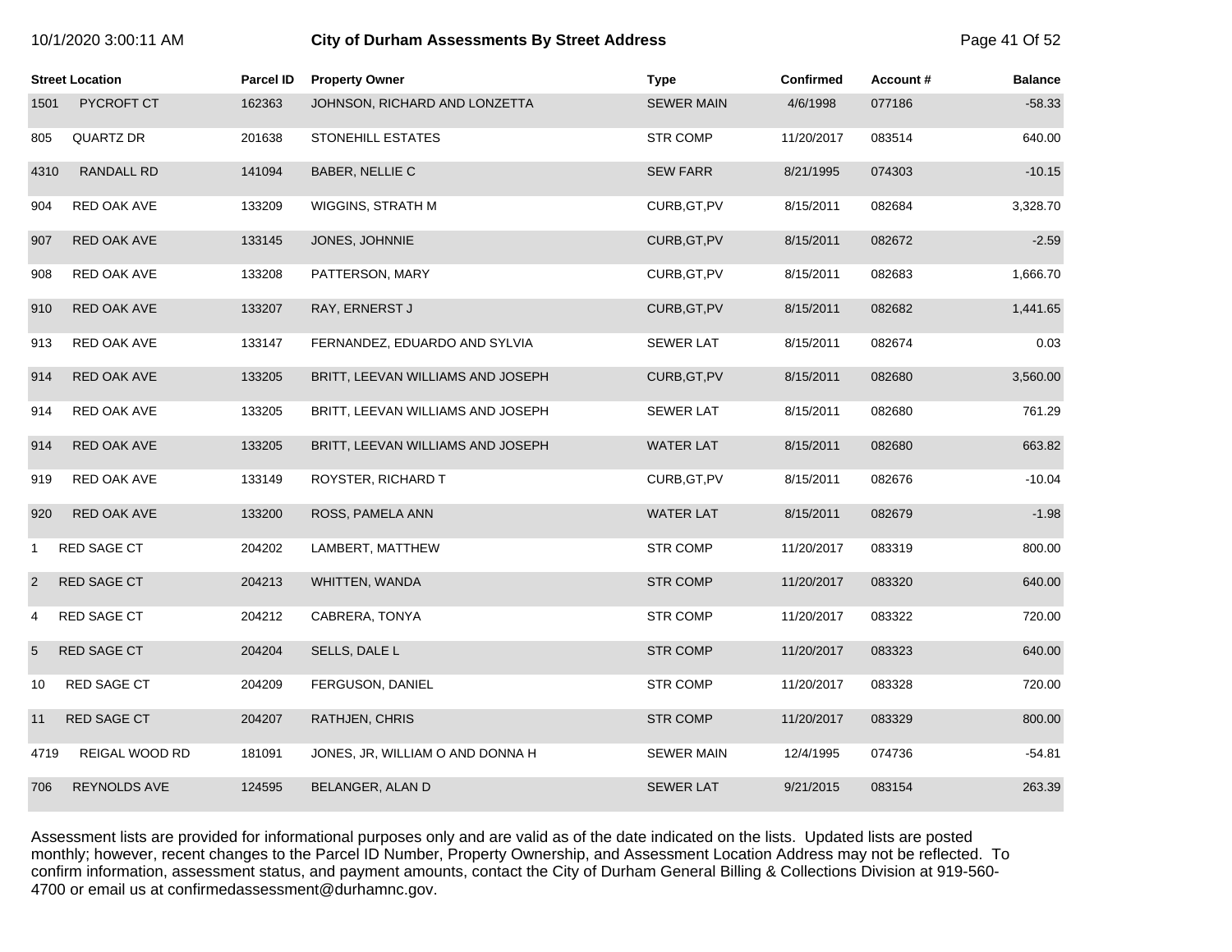| 10/1/2020 3:00:11 AM |  |  |
|----------------------|--|--|
|----------------------|--|--|

# **City of Durham Assessments By Street Address <b>Page 41 Of 52** Page 41 Of 52

| <b>Street Location</b> |                    | <b>Parcel ID</b> | <b>Property Owner</b>             | <b>Type</b>       | <b>Confirmed</b> | Account# | <b>Balance</b> |
|------------------------|--------------------|------------------|-----------------------------------|-------------------|------------------|----------|----------------|
| 1501                   | <b>PYCROFT CT</b>  | 162363           | JOHNSON, RICHARD AND LONZETTA     | <b>SEWER MAIN</b> | 4/6/1998         | 077186   | $-58.33$       |
| 805                    | QUARTZ DR          | 201638           | STONEHILL ESTATES                 | <b>STR COMP</b>   | 11/20/2017       | 083514   | 640.00         |
| 4310                   | RANDALL RD         | 141094           | BABER, NELLIE C                   | <b>SEW FARR</b>   | 8/21/1995        | 074303   | $-10.15$       |
| 904                    | RED OAK AVE        | 133209           | WIGGINS, STRATH M                 | CURB, GT, PV      | 8/15/2011        | 082684   | 3,328.70       |
| 907                    | RED OAK AVE        | 133145           | JONES, JOHNNIE                    | CURB, GT, PV      | 8/15/2011        | 082672   | $-2.59$        |
| 908                    | RED OAK AVE        | 133208           | PATTERSON, MARY                   | CURB, GT, PV      | 8/15/2011        | 082683   | 1,666.70       |
| 910                    | RED OAK AVE        | 133207           | RAY, ERNERST J                    | CURB, GT, PV      | 8/15/2011        | 082682   | 1,441.65       |
| 913                    | RED OAK AVE        | 133147           | FERNANDEZ, EDUARDO AND SYLVIA     | <b>SEWER LAT</b>  | 8/15/2011        | 082674   | 0.03           |
| 914                    | RED OAK AVE        | 133205           | BRITT, LEEVAN WILLIAMS AND JOSEPH | CURB, GT, PV      | 8/15/2011        | 082680   | 3,560.00       |
| 914                    | RED OAK AVE        | 133205           | BRITT, LEEVAN WILLIAMS AND JOSEPH | <b>SEWER LAT</b>  | 8/15/2011        | 082680   | 761.29         |
| 914                    | RED OAK AVE        | 133205           | BRITT, LEEVAN WILLIAMS AND JOSEPH | <b>WATER LAT</b>  | 8/15/2011        | 082680   | 663.82         |
| 919                    | RED OAK AVE        | 133149           | ROYSTER, RICHARD T                | CURB, GT, PV      | 8/15/2011        | 082676   | $-10.04$       |
| 920                    | RED OAK AVE        | 133200           | ROSS, PAMELA ANN                  | <b>WATER LAT</b>  | 8/15/2011        | 082679   | $-1.98$        |
| 1                      | RED SAGE CT        | 204202           | LAMBERT, MATTHEW                  | <b>STR COMP</b>   | 11/20/2017       | 083319   | 800.00         |
| 2                      | RED SAGE CT        | 204213           | WHITTEN, WANDA                    | <b>STR COMP</b>   | 11/20/2017       | 083320   | 640.00         |
| 4                      | RED SAGE CT        | 204212           | CABRERA, TONYA                    | <b>STR COMP</b>   | 11/20/2017       | 083322   | 720.00         |
| $5\phantom{.0}$        | RED SAGE CT        | 204204           | SELLS, DALE L                     | <b>STR COMP</b>   | 11/20/2017       | 083323   | 640.00         |
| 10                     | RED SAGE CT        | 204209           | FERGUSON, DANIEL                  | <b>STR COMP</b>   | 11/20/2017       | 083328   | 720.00         |
| 11                     | <b>RED SAGE CT</b> | 204207           | <b>RATHJEN, CHRIS</b>             | <b>STR COMP</b>   | 11/20/2017       | 083329   | 800.00         |
| 4719                   | REIGAL WOOD RD     | 181091           | JONES, JR, WILLIAM O AND DONNA H  | <b>SEWER MAIN</b> | 12/4/1995        | 074736   | $-54.81$       |
| 706                    | REYNOLDS AVE       | 124595           | BELANGER, ALAN D                  | <b>SEWER LAT</b>  | 9/21/2015        | 083154   | 263.39         |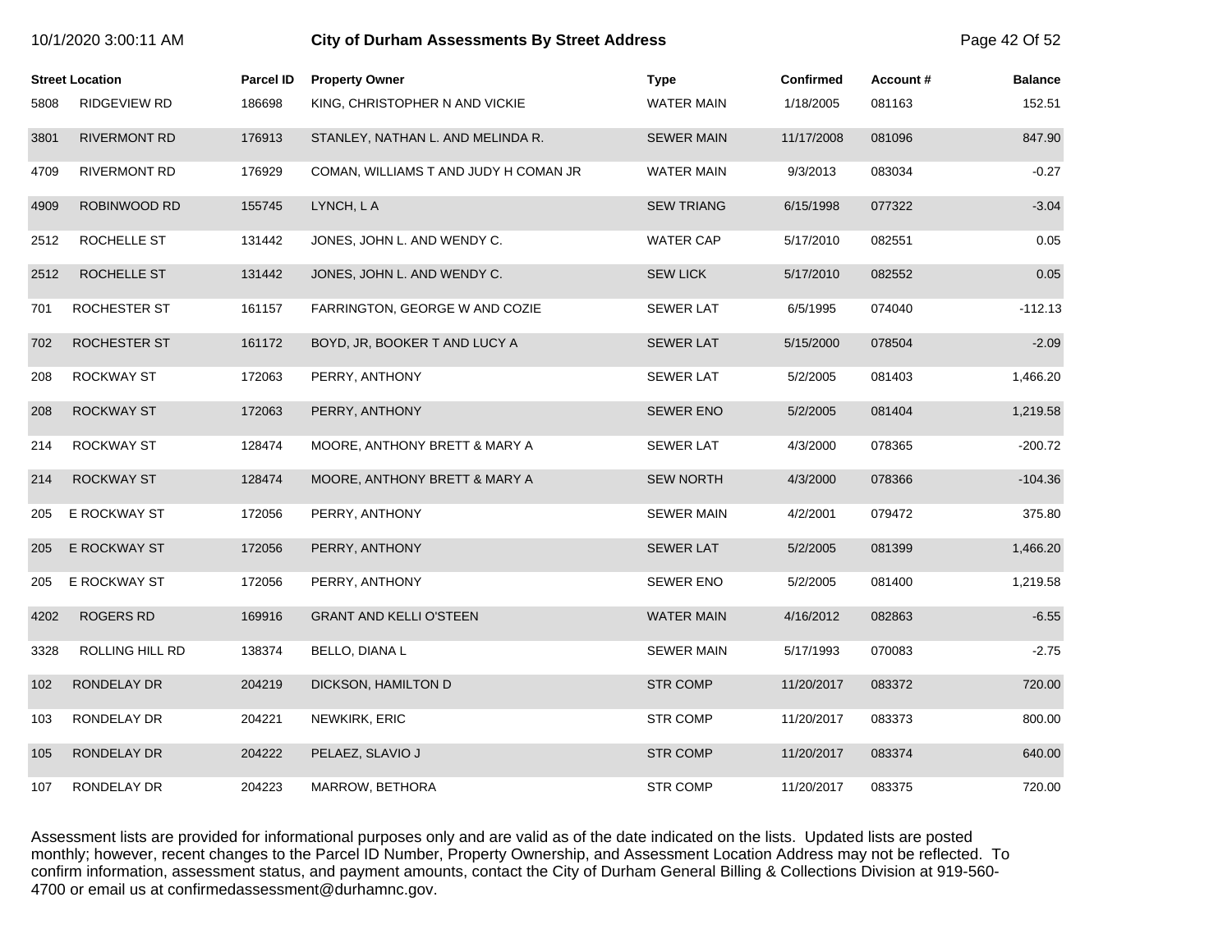|      | <b>Street Location</b> | <b>Parcel ID</b> | <b>Property Owner</b>                 | <b>Type</b>       | <b>Confirmed</b> | Account# | <b>Balance</b> |
|------|------------------------|------------------|---------------------------------------|-------------------|------------------|----------|----------------|
| 5808 | <b>RIDGEVIEW RD</b>    | 186698           | KING, CHRISTOPHER N AND VICKIE        | <b>WATER MAIN</b> | 1/18/2005        | 081163   | 152.51         |
| 3801 | <b>RIVERMONT RD</b>    | 176913           | STANLEY, NATHAN L. AND MELINDA R.     | <b>SEWER MAIN</b> | 11/17/2008       | 081096   | 847.90         |
| 4709 | <b>RIVERMONT RD</b>    | 176929           | COMAN, WILLIAMS T AND JUDY H COMAN JR | <b>WATER MAIN</b> | 9/3/2013         | 083034   | $-0.27$        |
| 4909 | ROBINWOOD RD           | 155745           | LYNCH, LA                             | <b>SEW TRIANG</b> | 6/15/1998        | 077322   | $-3.04$        |
| 2512 | ROCHELLE ST            | 131442           | JONES, JOHN L. AND WENDY C.           | WATER CAP         | 5/17/2010        | 082551   | 0.05           |
| 2512 | ROCHELLE ST            | 131442           | JONES, JOHN L. AND WENDY C.           | <b>SEW LICK</b>   | 5/17/2010        | 082552   | 0.05           |
| 701  | ROCHESTER ST           | 161157           | FARRINGTON, GEORGE W AND COZIE        | <b>SEWER LAT</b>  | 6/5/1995         | 074040   | $-112.13$      |
| 702  | ROCHESTER ST           | 161172           | BOYD, JR, BOOKER T AND LUCY A         | <b>SEWER LAT</b>  | 5/15/2000        | 078504   | $-2.09$        |
| 208  | ROCKWAY ST             | 172063           | PERRY, ANTHONY                        | <b>SEWER LAT</b>  | 5/2/2005         | 081403   | 1,466.20       |
| 208  | <b>ROCKWAY ST</b>      | 172063           | PERRY, ANTHONY                        | <b>SEWER ENO</b>  | 5/2/2005         | 081404   | 1,219.58       |
| 214  | <b>ROCKWAY ST</b>      | 128474           | MOORE, ANTHONY BRETT & MARY A         | <b>SEWER LAT</b>  | 4/3/2000         | 078365   | $-200.72$      |
| 214  | <b>ROCKWAY ST</b>      | 128474           | MOORE, ANTHONY BRETT & MARY A         | <b>SEW NORTH</b>  | 4/3/2000         | 078366   | $-104.36$      |
| 205  | E ROCKWAY ST           | 172056           | PERRY, ANTHONY                        | <b>SEWER MAIN</b> | 4/2/2001         | 079472   | 375.80         |
| 205  | E ROCKWAY ST           | 172056           | PERRY, ANTHONY                        | <b>SEWER LAT</b>  | 5/2/2005         | 081399   | 1,466.20       |
| 205  | E ROCKWAY ST           | 172056           | PERRY, ANTHONY                        | SEWER ENO         | 5/2/2005         | 081400   | 1,219.58       |
| 4202 | <b>ROGERS RD</b>       | 169916           | <b>GRANT AND KELLI O'STEEN</b>        | <b>WATER MAIN</b> | 4/16/2012        | 082863   | $-6.55$        |
| 3328 | ROLLING HILL RD        | 138374           | BELLO, DIANA L                        | <b>SEWER MAIN</b> | 5/17/1993        | 070083   | $-2.75$        |
| 102  | RONDELAY DR            | 204219           | DICKSON, HAMILTON D                   | <b>STR COMP</b>   | 11/20/2017       | 083372   | 720.00         |
| 103  | RONDELAY DR            | 204221           | NEWKIRK, ERIC                         | STR COMP          | 11/20/2017       | 083373   | 800.00         |
| 105  | RONDELAY DR            | 204222           | PELAEZ, SLAVIO J                      | <b>STR COMP</b>   | 11/20/2017       | 083374   | 640.00         |
| 107  | RONDELAY DR            | 204223           | <b>MARROW, BETHORA</b>                | <b>STR COMP</b>   | 11/20/2017       | 083375   | 720.00         |

10/1/2020 3:00:11 AM **City of Durham Assessments By Street Address** Page 42 Of 52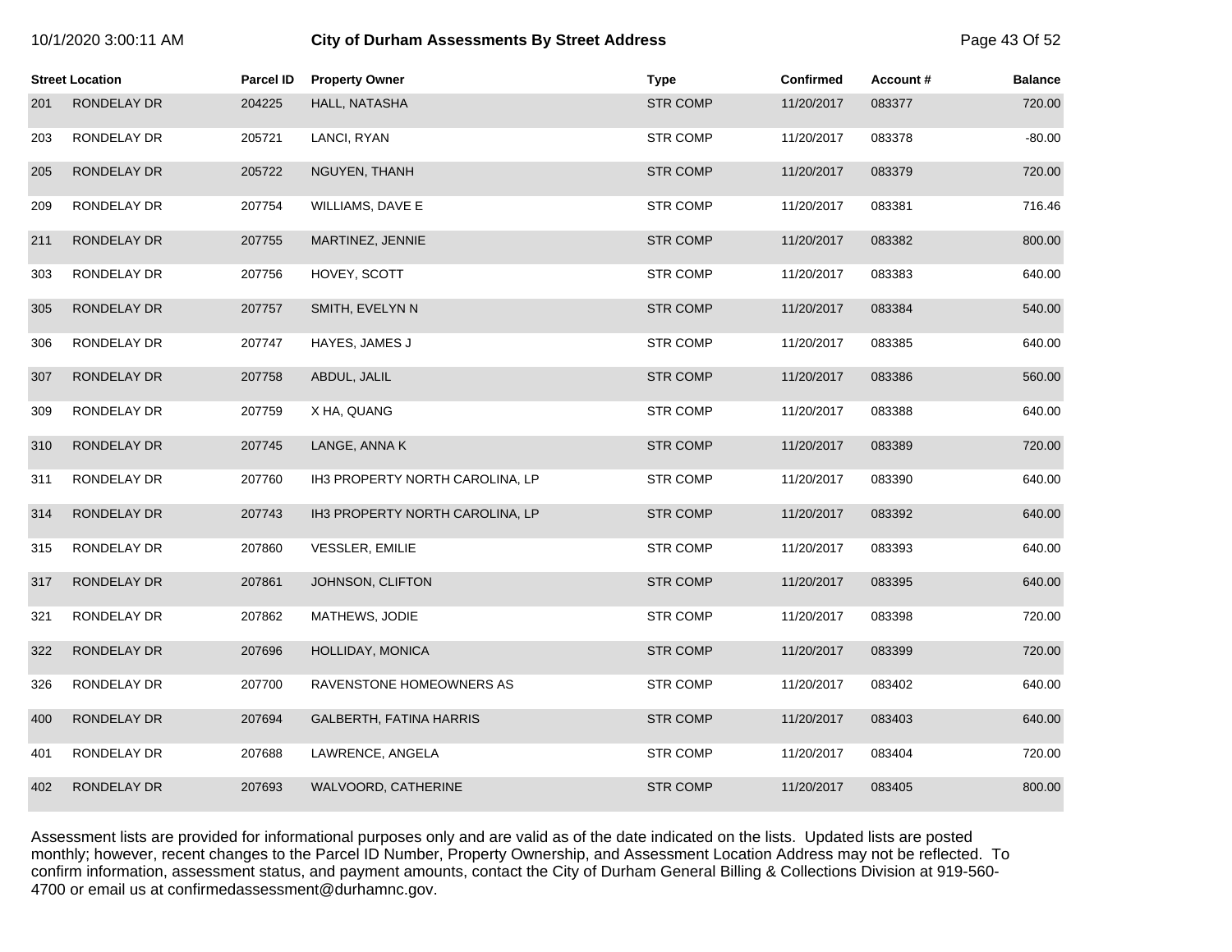| 10/1/2020 3:00:11 AM |  |  |  |
|----------------------|--|--|--|
|----------------------|--|--|--|

|     | <b>Street Location</b> | <b>Parcel ID</b> | <b>Property Owner</b>           | <b>Type</b>     | <b>Confirmed</b> | Account# | <b>Balance</b> |
|-----|------------------------|------------------|---------------------------------|-----------------|------------------|----------|----------------|
| 201 | RONDELAY DR            | 204225           | HALL, NATASHA                   | <b>STR COMP</b> | 11/20/2017       | 083377   | 720.00         |
| 203 | RONDELAY DR            | 205721           | LANCI, RYAN                     | <b>STR COMP</b> | 11/20/2017       | 083378   | $-80.00$       |
| 205 | RONDELAY DR            | 205722           | NGUYEN, THANH                   | <b>STR COMP</b> | 11/20/2017       | 083379   | 720.00         |
| 209 | RONDELAY DR            | 207754           | WILLIAMS, DAVE E                | <b>STR COMP</b> | 11/20/2017       | 083381   | 716.46         |
| 211 | RONDELAY DR            | 207755           | MARTINEZ, JENNIE                | <b>STR COMP</b> | 11/20/2017       | 083382   | 800.00         |
| 303 | RONDELAY DR            | 207756           | HOVEY, SCOTT                    | <b>STR COMP</b> | 11/20/2017       | 083383   | 640.00         |
| 305 | RONDELAY DR            | 207757           | SMITH, EVELYN N                 | <b>STR COMP</b> | 11/20/2017       | 083384   | 540.00         |
| 306 | RONDELAY DR            | 207747           | HAYES, JAMES J                  | <b>STR COMP</b> | 11/20/2017       | 083385   | 640.00         |
| 307 | RONDELAY DR            | 207758           | ABDUL, JALIL                    | <b>STR COMP</b> | 11/20/2017       | 083386   | 560.00         |
| 309 | RONDELAY DR            | 207759           | X HA, QUANG                     | <b>STR COMP</b> | 11/20/2017       | 083388   | 640.00         |
| 310 | RONDELAY DR            | 207745           | LANGE, ANNA K                   | <b>STR COMP</b> | 11/20/2017       | 083389   | 720.00         |
| 311 | RONDELAY DR            | 207760           | IH3 PROPERTY NORTH CAROLINA, LP | <b>STR COMP</b> | 11/20/2017       | 083390   | 640.00         |
| 314 | RONDELAY DR            | 207743           | IH3 PROPERTY NORTH CAROLINA, LP | <b>STR COMP</b> | 11/20/2017       | 083392   | 640.00         |
| 315 | RONDELAY DR            | 207860           | <b>VESSLER, EMILIE</b>          | <b>STR COMP</b> | 11/20/2017       | 083393   | 640.00         |
| 317 | RONDELAY DR            | 207861           | JOHNSON, CLIFTON                | <b>STR COMP</b> | 11/20/2017       | 083395   | 640.00         |
| 321 | RONDELAY DR            | 207862           | MATHEWS, JODIE                  | <b>STR COMP</b> | 11/20/2017       | 083398   | 720.00         |
| 322 | RONDELAY DR            | 207696           | HOLLIDAY, MONICA                | <b>STR COMP</b> | 11/20/2017       | 083399   | 720.00         |
| 326 | RONDELAY DR            | 207700           | RAVENSTONE HOMEOWNERS AS        | <b>STR COMP</b> | 11/20/2017       | 083402   | 640.00         |
| 400 | <b>RONDELAY DR</b>     | 207694           | <b>GALBERTH, FATINA HARRIS</b>  | <b>STR COMP</b> | 11/20/2017       | 083403   | 640.00         |
| 401 | RONDELAY DR            | 207688           | LAWRENCE, ANGELA                | <b>STR COMP</b> | 11/20/2017       | 083404   | 720.00         |
| 402 | <b>RONDELAY DR</b>     | 207693           | WALVOORD, CATHERINE             | <b>STR COMP</b> | 11/20/2017       | 083405   | 800.00         |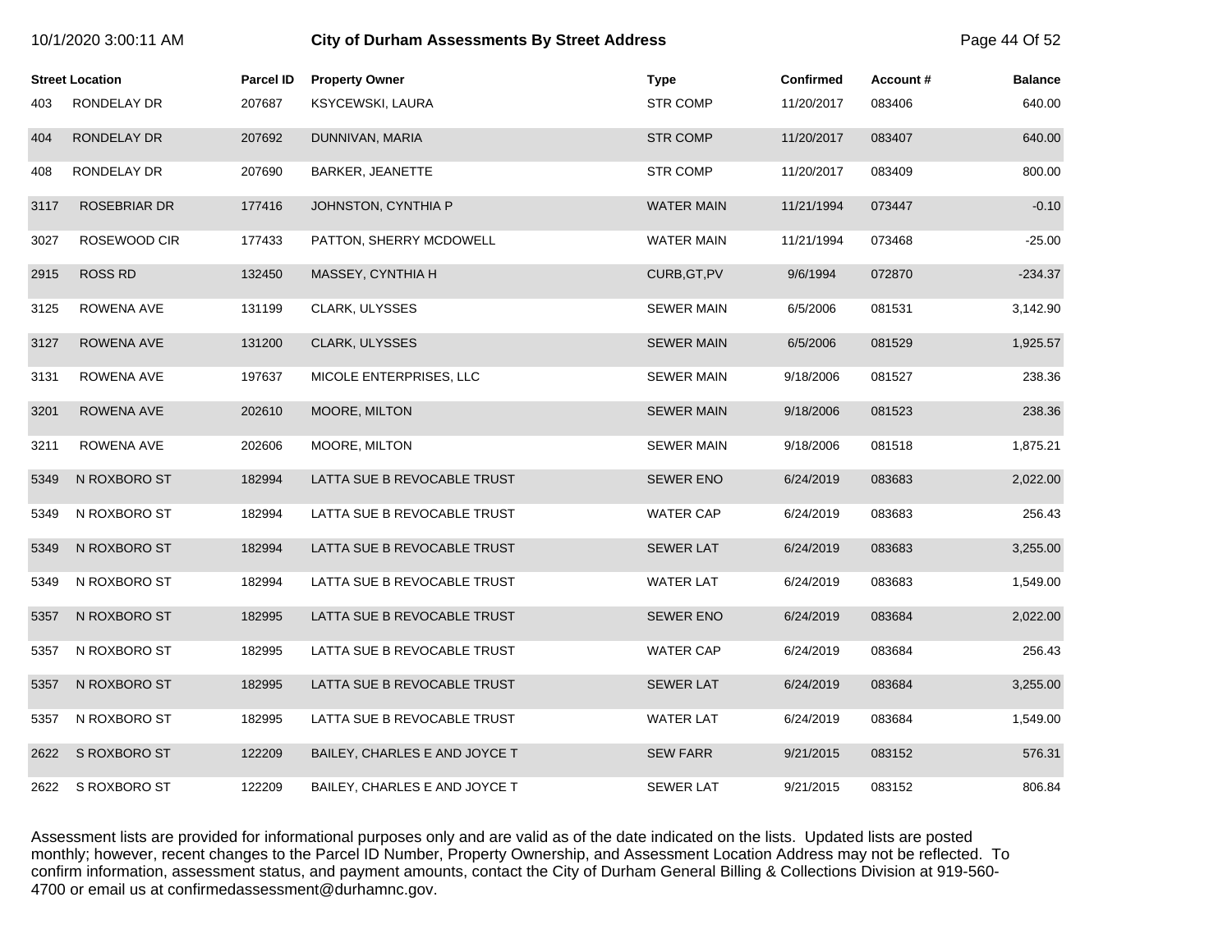|      | <b>Street Location</b> | <b>Parcel ID</b> | <b>Property Owner</b>         | <b>Type</b>       | <b>Confirmed</b> | Account# | <b>Balance</b> |
|------|------------------------|------------------|-------------------------------|-------------------|------------------|----------|----------------|
| 403  | RONDELAY DR            | 207687           | KSYCEWSKI, LAURA              | <b>STR COMP</b>   | 11/20/2017       | 083406   | 640.00         |
| 404  | RONDELAY DR            | 207692           | DUNNIVAN, MARIA               | <b>STR COMP</b>   | 11/20/2017       | 083407   | 640.00         |
| 408  | RONDELAY DR            | 207690           | BARKER, JEANETTE              | <b>STR COMP</b>   | 11/20/2017       | 083409   | 800.00         |
| 3117 | <b>ROSEBRIAR DR</b>    | 177416           | JOHNSTON, CYNTHIA P           | <b>WATER MAIN</b> | 11/21/1994       | 073447   | $-0.10$        |
| 3027 | ROSEWOOD CIR           | 177433           | PATTON, SHERRY MCDOWELL       | <b>WATER MAIN</b> | 11/21/1994       | 073468   | $-25.00$       |
| 2915 | <b>ROSS RD</b>         | 132450           | MASSEY, CYNTHIA H             | CURB, GT, PV      | 9/6/1994         | 072870   | $-234.37$      |
| 3125 | ROWENA AVE             | 131199           | CLARK, ULYSSES                | <b>SEWER MAIN</b> | 6/5/2006         | 081531   | 3,142.90       |
| 3127 | <b>ROWENA AVE</b>      | 131200           | <b>CLARK, ULYSSES</b>         | <b>SEWER MAIN</b> | 6/5/2006         | 081529   | 1,925.57       |
| 3131 | ROWENA AVE             | 197637           | MICOLE ENTERPRISES, LLC       | <b>SEWER MAIN</b> | 9/18/2006        | 081527   | 238.36         |
| 3201 | ROWENA AVE             | 202610           | MOORE, MILTON                 | <b>SEWER MAIN</b> | 9/18/2006        | 081523   | 238.36         |
| 3211 | ROWENA AVE             | 202606           | MOORE, MILTON                 | <b>SEWER MAIN</b> | 9/18/2006        | 081518   | 1,875.21       |
| 5349 | N ROXBORO ST           | 182994           | LATTA SUE B REVOCABLE TRUST   | <b>SEWER ENO</b>  | 6/24/2019        | 083683   | 2,022.00       |
| 5349 | N ROXBORO ST           | 182994           | LATTA SUE B REVOCABLE TRUST   | <b>WATER CAP</b>  | 6/24/2019        | 083683   | 256.43         |
| 5349 | N ROXBORO ST           | 182994           | LATTA SUE B REVOCABLE TRUST   | <b>SEWER LAT</b>  | 6/24/2019        | 083683   | 3,255.00       |
| 5349 | N ROXBORO ST           | 182994           | LATTA SUE B REVOCABLE TRUST   | <b>WATER LAT</b>  | 6/24/2019        | 083683   | 1,549.00       |
| 5357 | N ROXBORO ST           | 182995           | LATTA SUE B REVOCABLE TRUST   | <b>SEWER ENO</b>  | 6/24/2019        | 083684   | 2,022.00       |
| 5357 | N ROXBORO ST           | 182995           | LATTA SUE B REVOCABLE TRUST   | <b>WATER CAP</b>  | 6/24/2019        | 083684   | 256.43         |
| 5357 | N ROXBORO ST           | 182995           | LATTA SUE B REVOCABLE TRUST   | <b>SEWER LAT</b>  | 6/24/2019        | 083684   | 3,255.00       |
| 5357 | N ROXBORO ST           | 182995           | LATTA SUE B REVOCABLE TRUST   | <b>WATER LAT</b>  | 6/24/2019        | 083684   | 1,549.00       |
| 2622 | S ROXBORO ST           | 122209           | BAILEY, CHARLES E AND JOYCE T | <b>SEW FARR</b>   | 9/21/2015        | 083152   | 576.31         |
| 2622 | S ROXBORO ST           | 122209           | BAILEY, CHARLES E AND JOYCE T | <b>SEWER LAT</b>  | 9/21/2015        | 083152   | 806.84         |

10/1/2020 3:00:11 AM **City of Durham Assessments By Street Address** Page 44 Of 52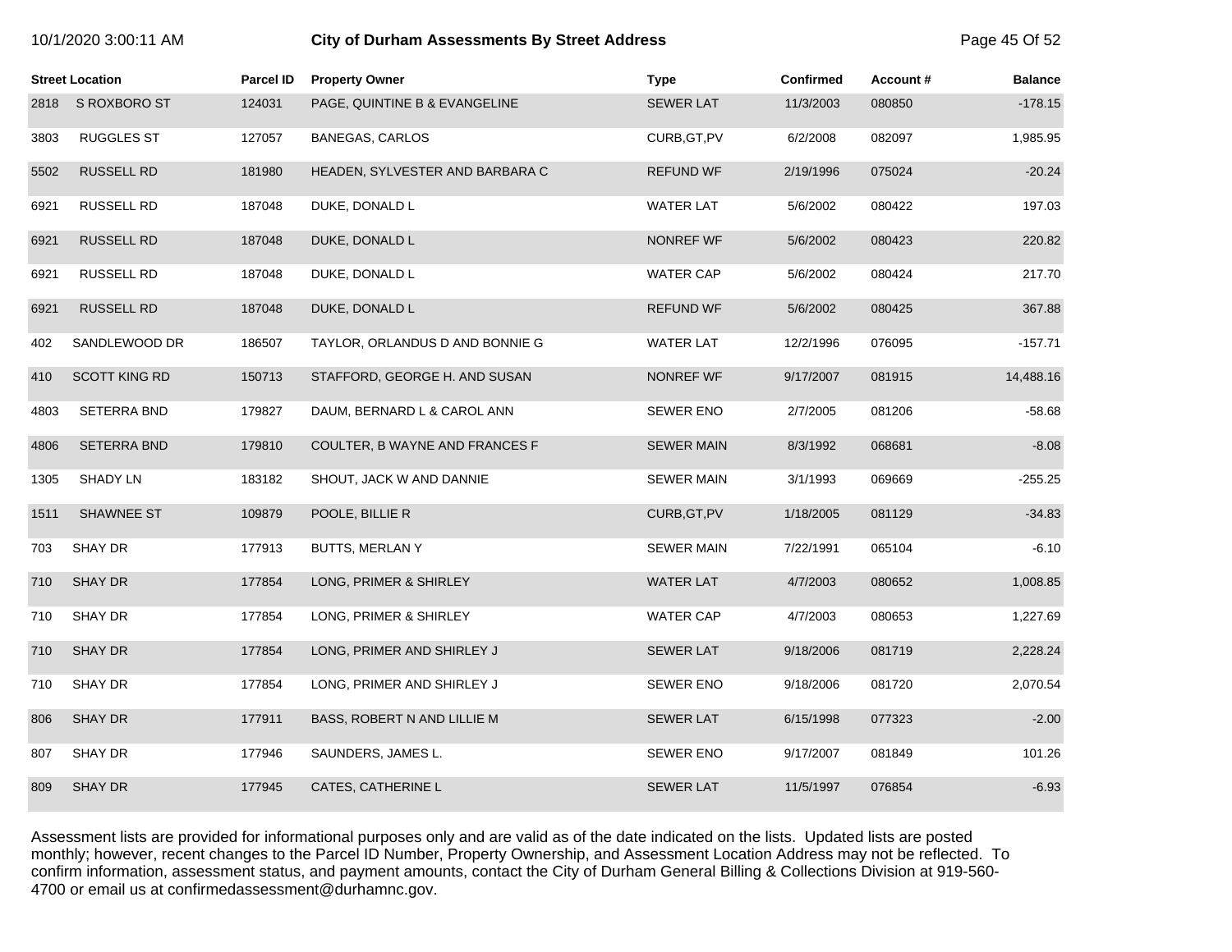| 10/1/2020 3:00:11 AM |  |  |
|----------------------|--|--|
|----------------------|--|--|

# **10/2020 3:00:11 City of Durham Assessments By Street Address** Page 45 Of 52

|      | <b>Street Location</b> | <b>Parcel ID</b> | <b>Property Owner</b>           | <b>Type</b>       | <b>Confirmed</b> | Account # | <b>Balance</b> |
|------|------------------------|------------------|---------------------------------|-------------------|------------------|-----------|----------------|
| 2818 | S ROXBORO ST           | 124031           | PAGE, QUINTINE B & EVANGELINE   | <b>SEWER LAT</b>  | 11/3/2003        | 080850    | $-178.15$      |
| 3803 | <b>RUGGLES ST</b>      | 127057           | <b>BANEGAS, CARLOS</b>          | CURB, GT, PV      | 6/2/2008         | 082097    | 1,985.95       |
| 5502 | <b>RUSSELL RD</b>      | 181980           | HEADEN, SYLVESTER AND BARBARA C | <b>REFUND WF</b>  | 2/19/1996        | 075024    | $-20.24$       |
| 6921 | <b>RUSSELL RD</b>      | 187048           | DUKE, DONALD L                  | <b>WATER LAT</b>  | 5/6/2002         | 080422    | 197.03         |
| 6921 | <b>RUSSELL RD</b>      | 187048           | DUKE, DONALD L                  | NONREF WF         | 5/6/2002         | 080423    | 220.82         |
| 6921 | <b>RUSSELL RD</b>      | 187048           | DUKE, DONALD L                  | <b>WATER CAP</b>  | 5/6/2002         | 080424    | 217.70         |
| 6921 | <b>RUSSELL RD</b>      | 187048           | DUKE, DONALD L                  | <b>REFUND WF</b>  | 5/6/2002         | 080425    | 367.88         |
| 402  | SANDLEWOOD DR          | 186507           | TAYLOR, ORLANDUS D AND BONNIE G | <b>WATER LAT</b>  | 12/2/1996        | 076095    | $-157.71$      |
| 410  | <b>SCOTT KING RD</b>   | 150713           | STAFFORD, GEORGE H. AND SUSAN   | NONREF WF         | 9/17/2007        | 081915    | 14,488.16      |
| 4803 | <b>SETERRA BND</b>     | 179827           | DAUM, BERNARD L & CAROL ANN     | <b>SEWER ENO</b>  | 2/7/2005         | 081206    | $-58.68$       |
| 4806 | <b>SETERRA BND</b>     | 179810           | COULTER, B WAYNE AND FRANCES F  | <b>SEWER MAIN</b> | 8/3/1992         | 068681    | $-8.08$        |
| 1305 | SHADY LN               | 183182           | SHOUT, JACK W AND DANNIE        | <b>SEWER MAIN</b> | 3/1/1993         | 069669    | $-255.25$      |
| 1511 | <b>SHAWNEE ST</b>      | 109879           | POOLE, BILLIE R                 | CURB, GT, PV      | 1/18/2005        | 081129    | $-34.83$       |
| 703  | <b>SHAY DR</b>         | 177913           | BUTTS, MERLAN Y                 | <b>SEWER MAIN</b> | 7/22/1991        | 065104    | $-6.10$        |
| 710  | <b>SHAY DR</b>         | 177854           | LONG, PRIMER & SHIRLEY          | <b>WATER LAT</b>  | 4/7/2003         | 080652    | 1,008.85       |
| 710  | <b>SHAY DR</b>         | 177854           | LONG, PRIMER & SHIRLEY          | <b>WATER CAP</b>  | 4/7/2003         | 080653    | 1,227.69       |
| 710  | <b>SHAY DR</b>         | 177854           | LONG, PRIMER AND SHIRLEY J      | <b>SEWER LAT</b>  | 9/18/2006        | 081719    | 2,228.24       |
| 710  | <b>SHAY DR</b>         | 177854           | LONG, PRIMER AND SHIRLEY J      | <b>SEWER ENO</b>  | 9/18/2006        | 081720    | 2,070.54       |
| 806  | <b>SHAY DR</b>         | 177911           | BASS, ROBERT N AND LILLIE M     | <b>SEWER LAT</b>  | 6/15/1998        | 077323    | $-2.00$        |
| 807  | <b>SHAY DR</b>         | 177946           | SAUNDERS, JAMES L.              | SEWER ENO         | 9/17/2007        | 081849    | 101.26         |
| 809  | <b>SHAY DR</b>         | 177945           | <b>CATES, CATHERINE L</b>       | <b>SEWER LAT</b>  | 11/5/1997        | 076854    | $-6.93$        |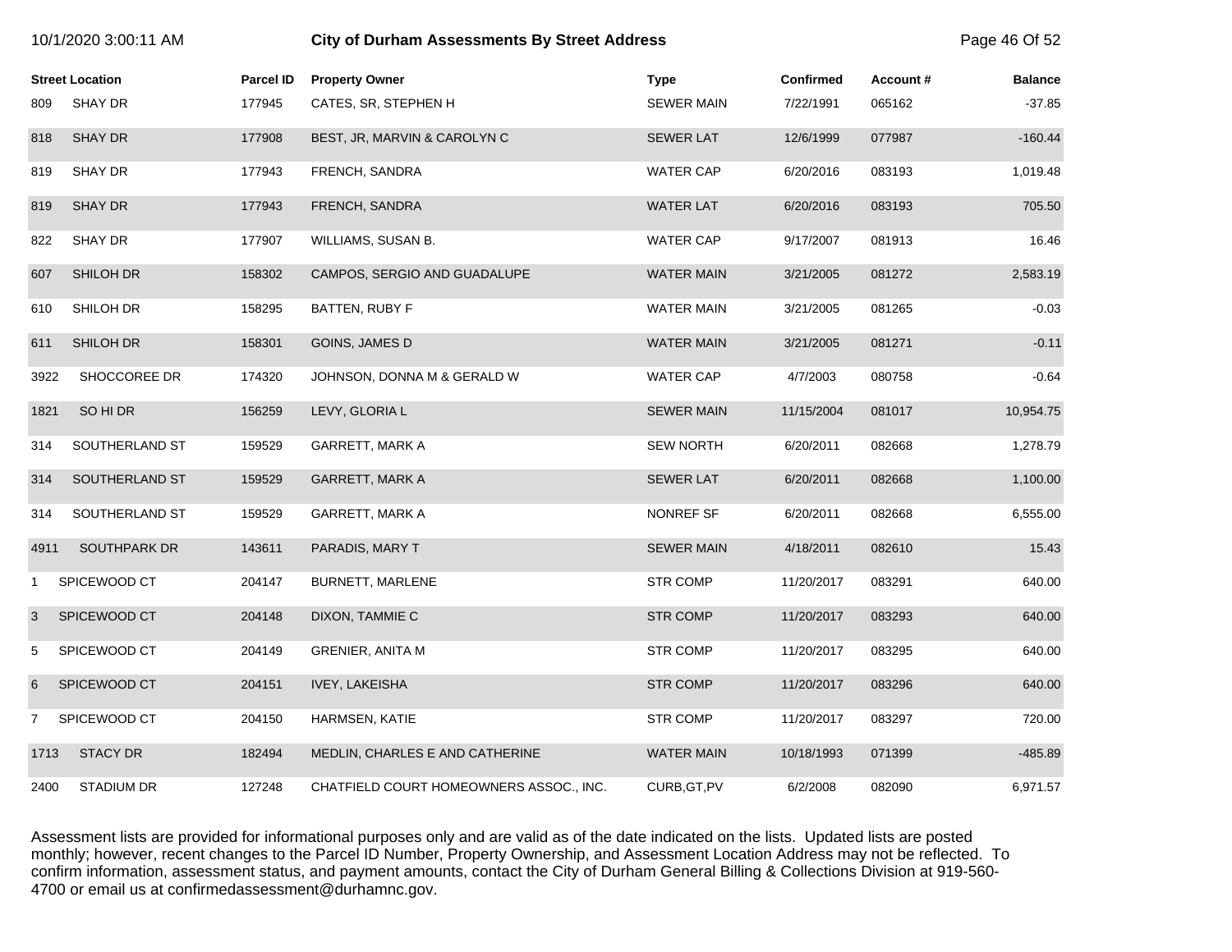|                | 10/1/2020 3:00:11 AM   |                  | <b>City of Durham Assessments By Street Address</b> |                   |                  |          |                |
|----------------|------------------------|------------------|-----------------------------------------------------|-------------------|------------------|----------|----------------|
|                | <b>Street Location</b> | <b>Parcel ID</b> | <b>Property Owner</b>                               | <b>Type</b>       | <b>Confirmed</b> | Account# | <b>Balance</b> |
| 809            | SHAY DR                | 177945           | CATES, SR, STEPHEN H                                | <b>SEWER MAIN</b> | 7/22/1991        | 065162   | $-37.85$       |
| 818            | <b>SHAY DR</b>         | 177908           | BEST, JR, MARVIN & CAROLYN C                        | <b>SEWER LAT</b>  | 12/6/1999        | 077987   | $-160.44$      |
| 819            | SHAY DR                | 177943           | FRENCH, SANDRA                                      | <b>WATER CAP</b>  | 6/20/2016        | 083193   | 1,019.48       |
| 819            | <b>SHAY DR</b>         | 177943           | FRENCH, SANDRA                                      | <b>WATER LAT</b>  | 6/20/2016        | 083193   | 705.50         |
| 822            | SHAY DR                | 177907           | WILLIAMS, SUSAN B.                                  | <b>WATER CAP</b>  | 9/17/2007        | 081913   | 16.46          |
| 607            | SHILOH DR              | 158302           | CAMPOS, SERGIO AND GUADALUPE                        | <b>WATER MAIN</b> | 3/21/2005        | 081272   | 2,583.19       |
| 610            | SHILOH DR              | 158295           | BATTEN, RUBY F                                      | WATER MAIN        | 3/21/2005        | 081265   | $-0.03$        |
| 611            | SHILOH DR              | 158301           | GOINS, JAMES D                                      | <b>WATER MAIN</b> | 3/21/2005        | 081271   | $-0.11$        |
| 3922           | SHOCCOREE DR           | 174320           | JOHNSON, DONNA M & GERALD W                         | <b>WATER CAP</b>  | 4/7/2003         | 080758   | $-0.64$        |
| 1821           | SO HI DR               | 156259           | LEVY, GLORIA L                                      | <b>SEWER MAIN</b> | 11/15/2004       | 081017   | 10,954.75      |
| 314            | SOUTHERLAND ST         | 159529           | GARRETT, MARK A                                     | <b>SEW NORTH</b>  | 6/20/2011        | 082668   | 1,278.79       |
| 314            | SOUTHERLAND ST         | 159529           | <b>GARRETT, MARK A</b>                              | <b>SEWER LAT</b>  | 6/20/2011        | 082668   | 1,100.00       |
| 314            | SOUTHERLAND ST         | 159529           | GARRETT, MARK A                                     | NONREF SF         | 6/20/2011        | 082668   | 6,555.00       |
| 4911           | SOUTHPARK DR           | 143611           | PARADIS, MARY T                                     | <b>SEWER MAIN</b> | 4/18/2011        | 082610   | 15.43          |
| 1              | SPICEWOOD CT           | 204147           | <b>BURNETT, MARLENE</b>                             | <b>STR COMP</b>   | 11/20/2017       | 083291   | 640.00         |
| 3              | SPICEWOOD CT           | 204148           | DIXON, TAMMIE C                                     | <b>STR COMP</b>   | 11/20/2017       | 083293   | 640.00         |
| 5              | SPICEWOOD CT           | 204149           | <b>GRENIER, ANITA M</b>                             | <b>STR COMP</b>   | 11/20/2017       | 083295   | 640.00         |
| 6              | SPICEWOOD CT           | 204151           | <b>IVEY, LAKEISHA</b>                               | <b>STR COMP</b>   | 11/20/2017       | 083296   | 640.00         |
| $\overline{7}$ | SPICEWOOD CT           | 204150           | HARMSEN, KATIE                                      | <b>STR COMP</b>   | 11/20/2017       | 083297   | 720.00         |
| 1713           | <b>STACY DR</b>        | 182494           | MEDLIN, CHARLES E AND CATHERINE                     | <b>WATER MAIN</b> | 10/18/1993       | 071399   | $-485.89$      |
| 2400           | <b>STADIUM DR</b>      | 127248           | CHATFIELD COURT HOMEOWNERS ASSOC., INC.             | CURB, GT, PV      | 6/2/2008         | 082090   | 6,971.57       |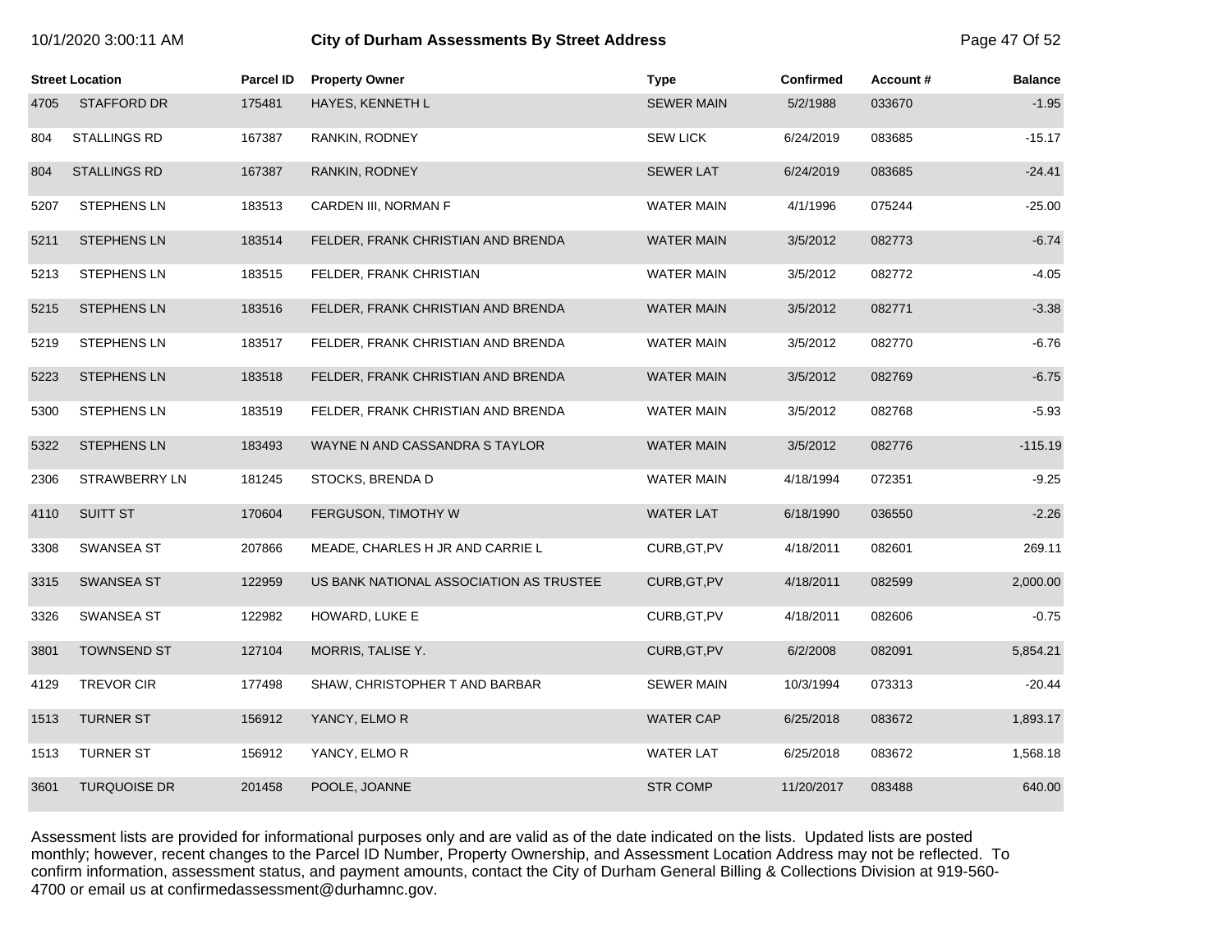#### 10/1/2020 3:00:11 AM **City of Durham Assessments By Street Address** Page 47 Of 52

|      | <b>Street Location</b> | <b>Parcel ID</b> | <b>Property Owner</b>                   | <b>Type</b>       | <b>Confirmed</b> | Account# | <b>Balance</b> |
|------|------------------------|------------------|-----------------------------------------|-------------------|------------------|----------|----------------|
| 4705 | <b>STAFFORD DR</b>     | 175481           | HAYES, KENNETH L                        | <b>SEWER MAIN</b> | 5/2/1988         | 033670   | $-1.95$        |
| 804  | STALLINGS RD           | 167387           | RANKIN, RODNEY                          | <b>SEW LICK</b>   | 6/24/2019        | 083685   | $-15.17$       |
| 804  | <b>STALLINGS RD</b>    | 167387           | RANKIN, RODNEY                          | <b>SEWER LAT</b>  | 6/24/2019        | 083685   | $-24.41$       |
| 5207 | <b>STEPHENS LN</b>     | 183513           | CARDEN III, NORMAN F                    | <b>WATER MAIN</b> | 4/1/1996         | 075244   | $-25.00$       |
| 5211 | <b>STEPHENS LN</b>     | 183514           | FELDER, FRANK CHRISTIAN AND BRENDA      | <b>WATER MAIN</b> | 3/5/2012         | 082773   | $-6.74$        |
| 5213 | <b>STEPHENS LN</b>     | 183515           | FELDER, FRANK CHRISTIAN                 | <b>WATER MAIN</b> | 3/5/2012         | 082772   | $-4.05$        |
| 5215 | <b>STEPHENS LN</b>     | 183516           | FELDER, FRANK CHRISTIAN AND BRENDA      | <b>WATER MAIN</b> | 3/5/2012         | 082771   | $-3.38$        |
| 5219 | <b>STEPHENS LN</b>     | 183517           | FELDER, FRANK CHRISTIAN AND BRENDA      | <b>WATER MAIN</b> | 3/5/2012         | 082770   | $-6.76$        |
| 5223 | <b>STEPHENS LN</b>     | 183518           | FELDER, FRANK CHRISTIAN AND BRENDA      | <b>WATER MAIN</b> | 3/5/2012         | 082769   | $-6.75$        |
| 5300 | <b>STEPHENS LN</b>     | 183519           | FELDER, FRANK CHRISTIAN AND BRENDA      | <b>WATER MAIN</b> | 3/5/2012         | 082768   | $-5.93$        |
| 5322 | <b>STEPHENS LN</b>     | 183493           | WAYNE N AND CASSANDRA S TAYLOR          | <b>WATER MAIN</b> | 3/5/2012         | 082776   | $-115.19$      |
| 2306 | <b>STRAWBERRY LN</b>   | 181245           | STOCKS, BRENDA D                        | <b>WATER MAIN</b> | 4/18/1994        | 072351   | $-9.25$        |
| 4110 | <b>SUITT ST</b>        | 170604           | FERGUSON, TIMOTHY W                     | <b>WATER LAT</b>  | 6/18/1990        | 036550   | $-2.26$        |
| 3308 | SWANSEA ST             | 207866           | MEADE, CHARLES H JR AND CARRIE L        | CURB, GT, PV      | 4/18/2011        | 082601   | 269.11         |
| 3315 | SWANSEA ST             | 122959           | US BANK NATIONAL ASSOCIATION AS TRUSTEE | CURB, GT, PV      | 4/18/2011        | 082599   | 2,000.00       |
| 3326 | <b>SWANSEA ST</b>      | 122982           | HOWARD, LUKE E                          | CURB, GT, PV      | 4/18/2011        | 082606   | $-0.75$        |
| 3801 | <b>TOWNSEND ST</b>     | 127104           | MORRIS, TALISE Y.                       | CURB, GT, PV      | 6/2/2008         | 082091   | 5,854.21       |
| 4129 | <b>TREVOR CIR</b>      | 177498           | SHAW, CHRISTOPHER T AND BARBAR          | <b>SEWER MAIN</b> | 10/3/1994        | 073313   | $-20.44$       |
| 1513 | <b>TURNER ST</b>       | 156912           | YANCY, ELMOR                            | <b>WATER CAP</b>  | 6/25/2018        | 083672   | 1,893.17       |
| 1513 | <b>TURNER ST</b>       | 156912           | YANCY, ELMO R                           | <b>WATER LAT</b>  | 6/25/2018        | 083672   | 1,568.18       |
| 3601 | <b>TURQUOISE DR</b>    | 201458           | POOLE, JOANNE                           | <b>STR COMP</b>   | 11/20/2017       | 083488   | 640.00         |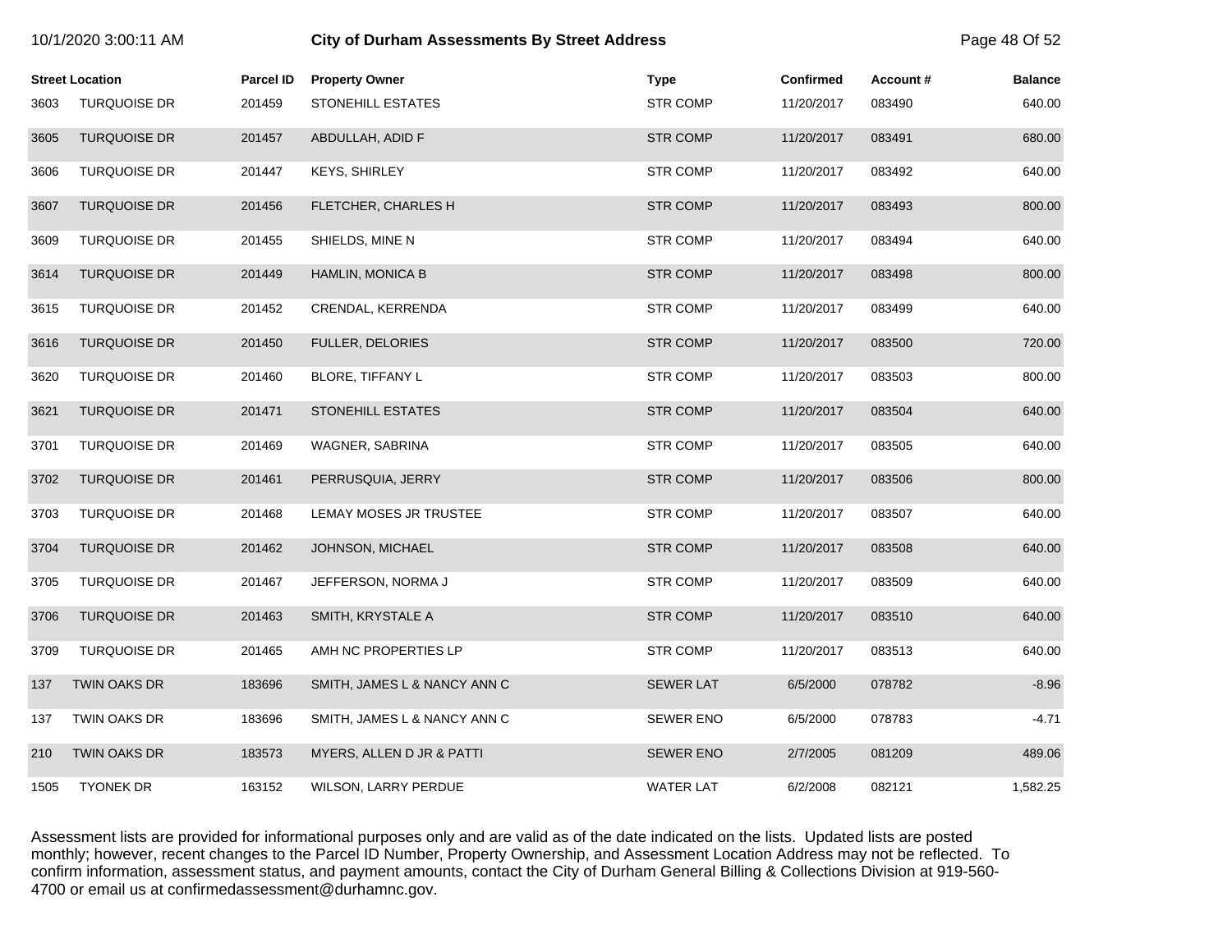|      | <b>Street Location</b> | <b>Parcel ID</b> | <b>Property Owner</b>        | <b>Type</b>      | <b>Confirmed</b> | Account# | <b>Balance</b> |
|------|------------------------|------------------|------------------------------|------------------|------------------|----------|----------------|
| 3603 | <b>TURQUOISE DR</b>    | 201459           | <b>STONEHILL ESTATES</b>     | <b>STR COMP</b>  | 11/20/2017       | 083490   | 640.00         |
| 3605 | <b>TURQUOISE DR</b>    | 201457           | ABDULLAH, ADID F             | <b>STR COMP</b>  | 11/20/2017       | 083491   | 680.00         |
| 3606 | <b>TURQUOISE DR</b>    | 201447           | <b>KEYS, SHIRLEY</b>         | <b>STR COMP</b>  | 11/20/2017       | 083492   | 640.00         |
| 3607 | <b>TURQUOISE DR</b>    | 201456           | FLETCHER, CHARLES H          | <b>STR COMP</b>  | 11/20/2017       | 083493   | 800.00         |
| 3609 | TURQUOISE DR           | 201455           | SHIELDS, MINE N              | <b>STR COMP</b>  | 11/20/2017       | 083494   | 640.00         |
| 3614 | <b>TURQUOISE DR</b>    | 201449           | HAMLIN, MONICA B             | <b>STR COMP</b>  | 11/20/2017       | 083498   | 800.00         |
| 3615 | TURQUOISE DR           | 201452           | CRENDAL, KERRENDA            | STR COMP         | 11/20/2017       | 083499   | 640.00         |
| 3616 | <b>TURQUOISE DR</b>    | 201450           | FULLER, DELORIES             | <b>STR COMP</b>  | 11/20/2017       | 083500   | 720.00         |
| 3620 | <b>TURQUOISE DR</b>    | 201460           | BLORE, TIFFANY L             | <b>STR COMP</b>  | 11/20/2017       | 083503   | 800.00         |
| 3621 | <b>TURQUOISE DR</b>    | 201471           | <b>STONEHILL ESTATES</b>     | <b>STR COMP</b>  | 11/20/2017       | 083504   | 640.00         |
| 3701 | <b>TURQUOISE DR</b>    | 201469           | WAGNER, SABRINA              | <b>STR COMP</b>  | 11/20/2017       | 083505   | 640.00         |
| 3702 | <b>TURQUOISE DR</b>    | 201461           | PERRUSQUIA, JERRY            | <b>STR COMP</b>  | 11/20/2017       | 083506   | 800.00         |
| 3703 | <b>TURQUOISE DR</b>    | 201468           | LEMAY MOSES JR TRUSTEE       | <b>STR COMP</b>  | 11/20/2017       | 083507   | 640.00         |
| 3704 | <b>TURQUOISE DR</b>    | 201462           | JOHNSON, MICHAEL             | <b>STR COMP</b>  | 11/20/2017       | 083508   | 640.00         |
| 3705 | <b>TURQUOISE DR</b>    | 201467           | JEFFERSON, NORMA J           | <b>STR COMP</b>  | 11/20/2017       | 083509   | 640.00         |
| 3706 | <b>TURQUOISE DR</b>    | 201463           | SMITH, KRYSTALE A            | <b>STR COMP</b>  | 11/20/2017       | 083510   | 640.00         |
| 3709 | <b>TURQUOISE DR</b>    | 201465           | AMH NC PROPERTIES LP         | <b>STR COMP</b>  | 11/20/2017       | 083513   | 640.00         |
| 137  | TWIN OAKS DR           | 183696           | SMITH, JAMES L & NANCY ANN C | <b>SEWER LAT</b> | 6/5/2000         | 078782   | $-8.96$        |
| 137  | TWIN OAKS DR           | 183696           | SMITH, JAMES L & NANCY ANN C | SEWER ENO        | 6/5/2000         | 078783   | $-4.71$        |
| 210  | TWIN OAKS DR           | 183573           | MYERS, ALLEN D JR & PATTI    | <b>SEWER ENO</b> | 2/7/2005         | 081209   | 489.06         |
| 1505 | <b>TYONEK DR</b>       | 163152           | WILSON, LARRY PERDUE         | <b>WATER LAT</b> | 6/2/2008         | 082121   | 1,582.25       |

10/1/2020 3:00:11 AM **City of Durham Assessments By Street Address** Page 48 Of 52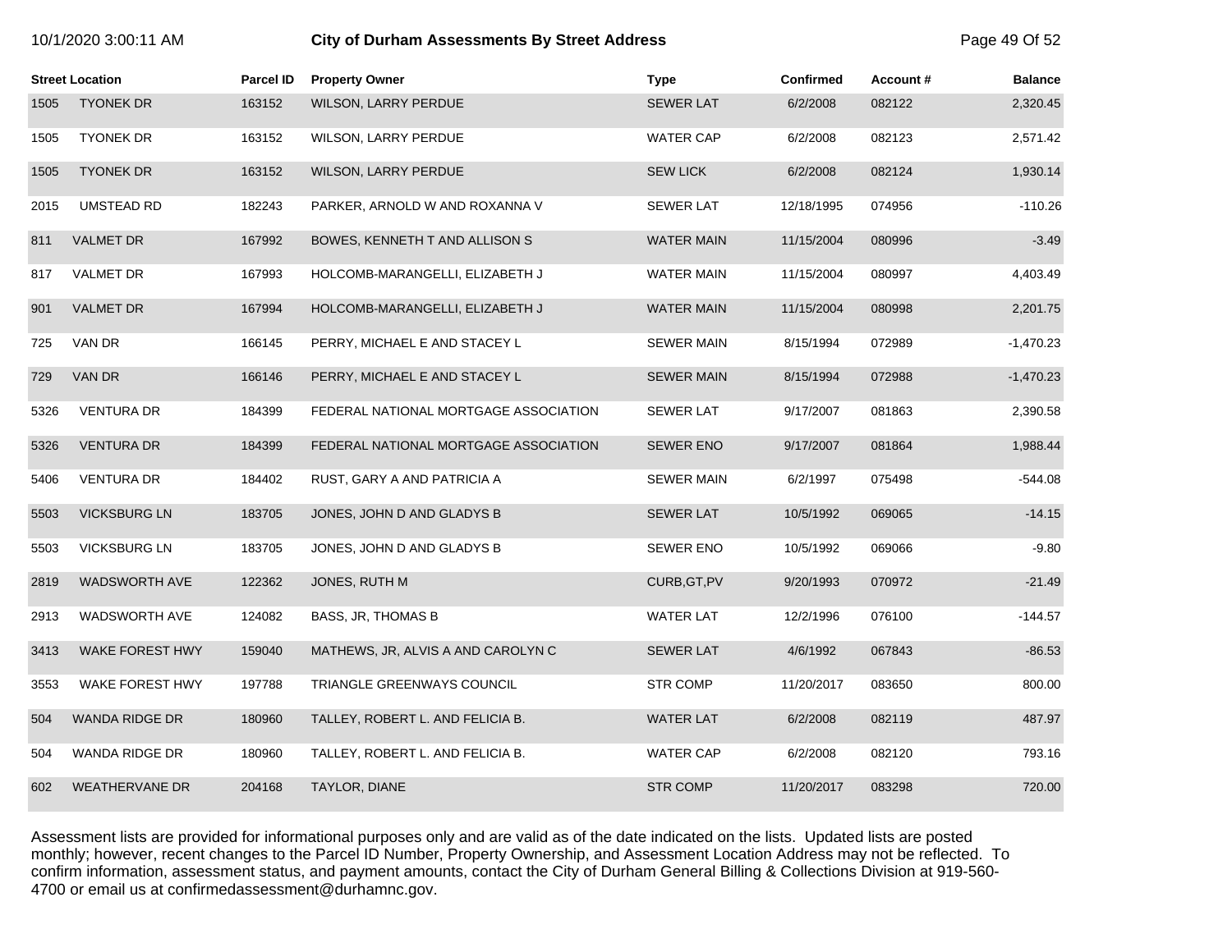# 10/1/2020 3:00:11 AM **City of Durham Assessments By Street Address** Page 49 Of 52

|      | <b>Street Location</b> | <b>Parcel ID</b> | <b>Property Owner</b>                 | <b>Type</b>       | <b>Confirmed</b> | Account# | <b>Balance</b> |
|------|------------------------|------------------|---------------------------------------|-------------------|------------------|----------|----------------|
| 1505 | <b>TYONEK DR</b>       | 163152           | <b>WILSON, LARRY PERDUE</b>           | <b>SEWER LAT</b>  | 6/2/2008         | 082122   | 2,320.45       |
| 1505 | <b>TYONEK DR</b>       | 163152           | WILSON, LARRY PERDUE                  | <b>WATER CAP</b>  | 6/2/2008         | 082123   | 2,571.42       |
| 1505 | <b>TYONEK DR</b>       | 163152           | <b>WILSON, LARRY PERDUE</b>           | <b>SEW LICK</b>   | 6/2/2008         | 082124   | 1,930.14       |
| 2015 | <b>UMSTEAD RD</b>      | 182243           | PARKER, ARNOLD W AND ROXANNA V        | <b>SEWER LAT</b>  | 12/18/1995       | 074956   | $-110.26$      |
| 811  | <b>VALMET DR</b>       | 167992           | BOWES, KENNETH T AND ALLISON S        | <b>WATER MAIN</b> | 11/15/2004       | 080996   | $-3.49$        |
| 817  | <b>VALMET DR</b>       | 167993           | HOLCOMB-MARANGELLI, ELIZABETH J       | WATER MAIN        | 11/15/2004       | 080997   | 4,403.49       |
| 901  | <b>VALMET DR</b>       | 167994           | HOLCOMB-MARANGELLI, ELIZABETH J       | <b>WATER MAIN</b> | 11/15/2004       | 080998   | 2,201.75       |
| 725  | VAN DR                 | 166145           | PERRY, MICHAEL E AND STACEY L         | <b>SEWER MAIN</b> | 8/15/1994        | 072989   | $-1,470.23$    |
| 729  | VAN DR                 | 166146           | PERRY, MICHAEL E AND STACEY L         | <b>SEWER MAIN</b> | 8/15/1994        | 072988   | $-1,470.23$    |
| 5326 | <b>VENTURA DR</b>      | 184399           | FEDERAL NATIONAL MORTGAGE ASSOCIATION | <b>SEWER LAT</b>  | 9/17/2007        | 081863   | 2,390.58       |
| 5326 | <b>VENTURA DR</b>      | 184399           | FEDERAL NATIONAL MORTGAGE ASSOCIATION | <b>SEWER ENO</b>  | 9/17/2007        | 081864   | 1,988.44       |
| 5406 | <b>VENTURA DR</b>      | 184402           | RUST, GARY A AND PATRICIA A           | <b>SEWER MAIN</b> | 6/2/1997         | 075498   | $-544.08$      |
| 5503 | <b>VICKSBURG LN</b>    | 183705           | JONES, JOHN D AND GLADYS B            | <b>SEWER LAT</b>  | 10/5/1992        | 069065   | $-14.15$       |
| 5503 | <b>VICKSBURG LN</b>    | 183705           | JONES, JOHN D AND GLADYS B            | <b>SEWER ENO</b>  | 10/5/1992        | 069066   | $-9.80$        |
| 2819 | WADSWORTH AVE          | 122362           | JONES, RUTH M                         | CURB, GT, PV      | 9/20/1993        | 070972   | $-21.49$       |
| 2913 | WADSWORTH AVE          | 124082           | BASS, JR, THOMAS B                    | <b>WATER LAT</b>  | 12/2/1996        | 076100   | $-144.57$      |
| 3413 | WAKE FOREST HWY        | 159040           | MATHEWS, JR, ALVIS A AND CAROLYN C    | <b>SEWER LAT</b>  | 4/6/1992         | 067843   | $-86.53$       |
| 3553 | WAKE FOREST HWY        | 197788           | TRIANGLE GREENWAYS COUNCIL            | STR COMP          | 11/20/2017       | 083650   | 800.00         |
| 504  | <b>WANDA RIDGE DR</b>  | 180960           | TALLEY, ROBERT L. AND FELICIA B.      | <b>WATER LAT</b>  | 6/2/2008         | 082119   | 487.97         |
| 504  | WANDA RIDGE DR         | 180960           | TALLEY, ROBERT L. AND FELICIA B.      | <b>WATER CAP</b>  | 6/2/2008         | 082120   | 793.16         |
| 602  | <b>WEATHERVANE DR</b>  | 204168           | TAYLOR, DIANE                         | <b>STR COMP</b>   | 11/20/2017       | 083298   | 720.00         |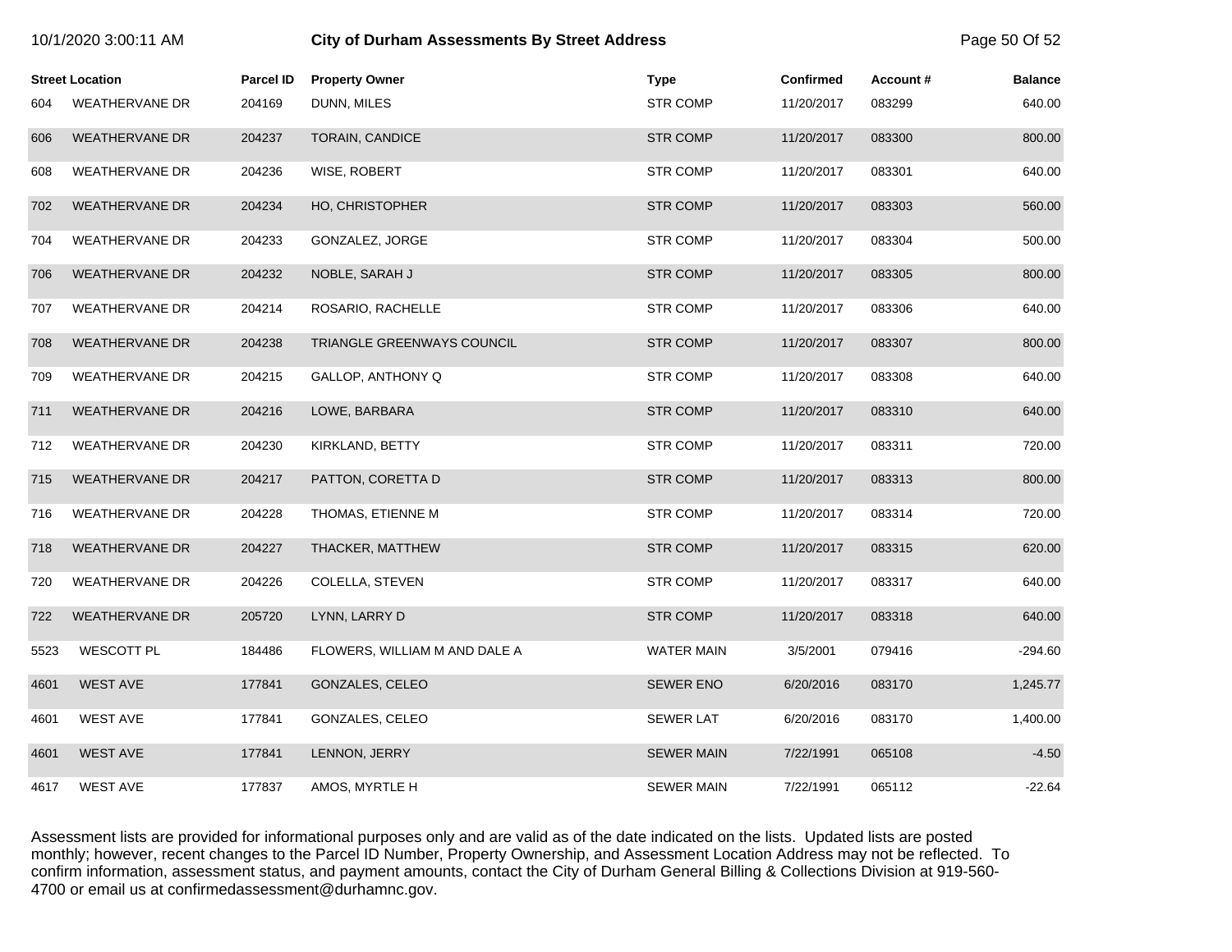|      |                        |                  | ony or Barnam Accessments By Otreet Addre |                   |                  |          |                |
|------|------------------------|------------------|-------------------------------------------|-------------------|------------------|----------|----------------|
|      | <b>Street Location</b> | <b>Parcel ID</b> | <b>Property Owner</b>                     | <b>Type</b>       | <b>Confirmed</b> | Account# | <b>Balance</b> |
| 604  | <b>WEATHERVANE DR</b>  | 204169           | DUNN, MILES                               | <b>STR COMP</b>   | 11/20/2017       | 083299   | 640.00         |
| 606  | <b>WEATHERVANE DR</b>  | 204237           | <b>TORAIN, CANDICE</b>                    | <b>STR COMP</b>   | 11/20/2017       | 083300   | 800.00         |
| 608  | <b>WEATHERVANE DR</b>  | 204236           | WISE, ROBERT                              | <b>STR COMP</b>   | 11/20/2017       | 083301   | 640.00         |
| 702  | <b>WEATHERVANE DR</b>  | 204234           | HO, CHRISTOPHER                           | <b>STR COMP</b>   | 11/20/2017       | 083303   | 560.00         |
| 704  | <b>WEATHERVANE DR</b>  | 204233           | GONZALEZ, JORGE                           | STR COMP          | 11/20/2017       | 083304   | 500.00         |
| 706  | <b>WEATHERVANE DR</b>  | 204232           | NOBLE, SARAH J                            | <b>STR COMP</b>   | 11/20/2017       | 083305   | 800.00         |
| 707  | <b>WEATHERVANE DR</b>  | 204214           | ROSARIO, RACHELLE                         | <b>STR COMP</b>   | 11/20/2017       | 083306   | 640.00         |
| 708  | <b>WEATHERVANE DR</b>  | 204238           | TRIANGLE GREENWAYS COUNCIL                | <b>STR COMP</b>   | 11/20/2017       | 083307   | 800.00         |
| 709  | <b>WEATHERVANE DR</b>  | 204215           | GALLOP, ANTHONY Q                         | <b>STR COMP</b>   | 11/20/2017       | 083308   | 640.00         |
| 711  | <b>WEATHERVANE DR</b>  | 204216           | LOWE, BARBARA                             | <b>STR COMP</b>   | 11/20/2017       | 083310   | 640.00         |
| 712  | <b>WEATHERVANE DR</b>  | 204230           | KIRKLAND, BETTY                           | <b>STR COMP</b>   | 11/20/2017       | 083311   | 720.00         |
| 715  | <b>WEATHERVANE DR</b>  | 204217           | PATTON, CORETTA D                         | <b>STR COMP</b>   | 11/20/2017       | 083313   | 800.00         |
| 716  | <b>WEATHERVANE DR</b>  | 204228           | THOMAS, ETIENNE M                         | <b>STR COMP</b>   | 11/20/2017       | 083314   | 720.00         |
| 718  | <b>WEATHERVANE DR</b>  | 204227           | THACKER, MATTHEW                          | <b>STR COMP</b>   | 11/20/2017       | 083315   | 620.00         |
| 720  | WEATHERVANE DR         | 204226           | COLELLA, STEVEN                           | STR COMP          | 11/20/2017       | 083317   | 640.00         |
| 722  | <b>WEATHERVANE DR</b>  | 205720           | LYNN, LARRY D                             | <b>STR COMP</b>   | 11/20/2017       | 083318   | 640.00         |
| 5523 | <b>WESCOTT PL</b>      | 184486           | FLOWERS, WILLIAM M AND DALE A             | WATER MAIN        | 3/5/2001         | 079416   | $-294.60$      |
| 4601 | <b>WEST AVE</b>        | 177841           | GONZALES, CELEO                           | <b>SEWER ENO</b>  | 6/20/2016        | 083170   | 1,245.77       |
| 4601 | <b>WEST AVE</b>        | 177841           | GONZALES, CELEO                           | <b>SEWER LAT</b>  | 6/20/2016        | 083170   | 1,400.00       |
| 4601 | <b>WEST AVE</b>        | 177841           | LENNON, JERRY                             | <b>SEWER MAIN</b> | 7/22/1991        | 065108   | $-4.50$        |
| 4617 | <b>WEST AVE</b>        | 177837           | AMOS, MYRTLE H                            | <b>SEWER MAIN</b> | 7/22/1991        | 065112   | -22.64         |

10/1/2020 3:00:11 AM **City of Durham Assessments By Street Address** Page 50 Of 52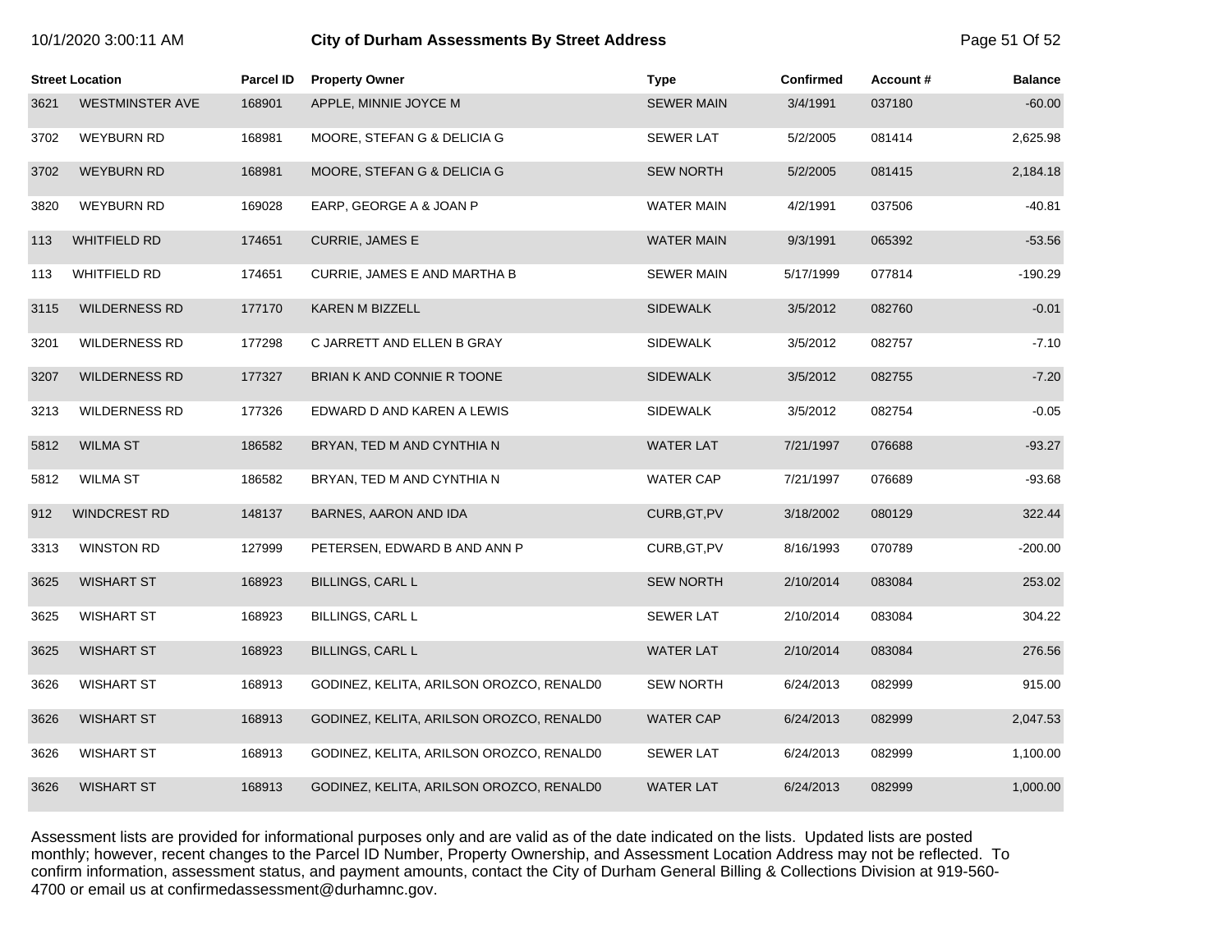| 10/1/2020 3:00:11 AM |  |  |  |
|----------------------|--|--|--|
|----------------------|--|--|--|

# **10.12020 3:00:11 City of Durham Assessments By Street Address** Page 51 Of 52

|      | <b>Street Location</b> | <b>Parcel ID</b> | <b>Property Owner</b>                    | <b>Type</b>       | <b>Confirmed</b> | Account# | <b>Balance</b> |
|------|------------------------|------------------|------------------------------------------|-------------------|------------------|----------|----------------|
| 3621 | <b>WESTMINSTER AVE</b> | 168901           | APPLE, MINNIE JOYCE M                    | <b>SEWER MAIN</b> | 3/4/1991         | 037180   | $-60.00$       |
| 3702 | <b>WEYBURN RD</b>      | 168981           | MOORE, STEFAN G & DELICIA G              | <b>SEWER LAT</b>  | 5/2/2005         | 081414   | 2,625.98       |
| 3702 | <b>WEYBURN RD</b>      | 168981           | MOORE, STEFAN G & DELICIA G              | <b>SEW NORTH</b>  | 5/2/2005         | 081415   | 2,184.18       |
| 3820 | <b>WEYBURN RD</b>      | 169028           | EARP, GEORGE A & JOAN P                  | <b>WATER MAIN</b> | 4/2/1991         | 037506   | $-40.81$       |
| 113  | <b>WHITFIELD RD</b>    | 174651           | CURRIE, JAMES E                          | <b>WATER MAIN</b> | 9/3/1991         | 065392   | $-53.56$       |
| 113  | <b>WHITFIELD RD</b>    | 174651           | CURRIE, JAMES E AND MARTHA B             | <b>SEWER MAIN</b> | 5/17/1999        | 077814   | $-190.29$      |
| 3115 | <b>WILDERNESS RD</b>   | 177170           | <b>KAREN M BIZZELL</b>                   | <b>SIDEWALK</b>   | 3/5/2012         | 082760   | $-0.01$        |
| 3201 | <b>WILDERNESS RD</b>   | 177298           | C JARRETT AND ELLEN B GRAY               | <b>SIDEWALK</b>   | 3/5/2012         | 082757   | $-7.10$        |
| 3207 | <b>WILDERNESS RD</b>   | 177327           | BRIAN K AND CONNIE R TOONE               | <b>SIDEWALK</b>   | 3/5/2012         | 082755   | $-7.20$        |
| 3213 | <b>WILDERNESS RD</b>   | 177326           | EDWARD D AND KAREN A LEWIS               | <b>SIDEWALK</b>   | 3/5/2012         | 082754   | $-0.05$        |
| 5812 | <b>WILMA ST</b>        | 186582           | BRYAN, TED M AND CYNTHIA N               | <b>WATER LAT</b>  | 7/21/1997        | 076688   | $-93.27$       |
| 5812 | WILMA ST               | 186582           | BRYAN, TED M AND CYNTHIA N               | <b>WATER CAP</b>  | 7/21/1997        | 076689   | $-93.68$       |
| 912  | WINDCREST RD           | 148137           | BARNES, AARON AND IDA                    | CURB, GT, PV      | 3/18/2002        | 080129   | 322.44         |
| 3313 | <b>WINSTON RD</b>      | 127999           | PETERSEN, EDWARD B AND ANN P             | CURB, GT, PV      | 8/16/1993        | 070789   | $-200.00$      |
| 3625 | <b>WISHART ST</b>      | 168923           | <b>BILLINGS, CARL L</b>                  | <b>SEW NORTH</b>  | 2/10/2014        | 083084   | 253.02         |
| 3625 | <b>WISHART ST</b>      | 168923           | <b>BILLINGS, CARL L</b>                  | <b>SEWER LAT</b>  | 2/10/2014        | 083084   | 304.22         |
| 3625 | <b>WISHART ST</b>      | 168923           | <b>BILLINGS, CARL L</b>                  | <b>WATER LAT</b>  | 2/10/2014        | 083084   | 276.56         |
| 3626 | <b>WISHART ST</b>      | 168913           | GODINEZ, KELITA, ARILSON OROZCO, RENALDO | <b>SEW NORTH</b>  | 6/24/2013        | 082999   | 915.00         |
| 3626 | <b>WISHART ST</b>      | 168913           | GODINEZ, KELITA, ARILSON OROZCO, RENALDO | <b>WATER CAP</b>  | 6/24/2013        | 082999   | 2,047.53       |
| 3626 | WISHART ST             | 168913           | GODINEZ, KELITA, ARILSON OROZCO, RENALD0 | <b>SEWER LAT</b>  | 6/24/2013        | 082999   | 1,100.00       |
| 3626 | <b>WISHART ST</b>      | 168913           | GODINEZ, KELITA, ARILSON OROZCO, RENALDO | <b>WATER LAT</b>  | 6/24/2013        | 082999   | 1,000.00       |